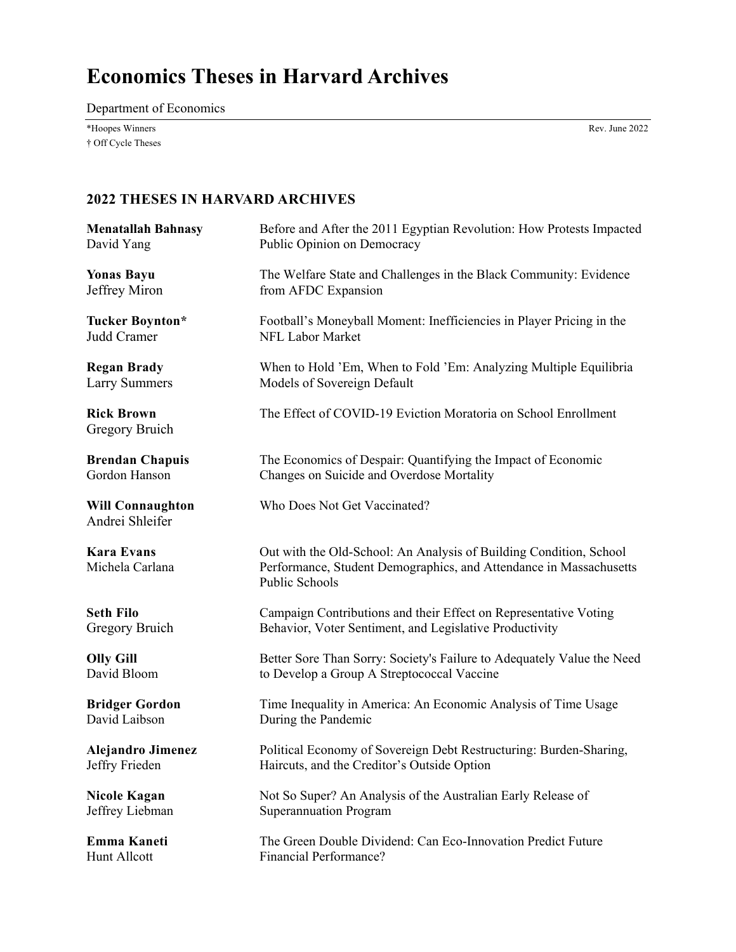# **Economics Theses in Harvard Archives**

Department of Economics

\*Hoopes Winners Rev. June 2022 † Off Cycle Theses

| <b>Menatallah Bahnasy</b>                  | Before and After the 2011 Egyptian Revolution: How Protests Impacted                                                                                       |
|--------------------------------------------|------------------------------------------------------------------------------------------------------------------------------------------------------------|
| David Yang                                 | Public Opinion on Democracy                                                                                                                                |
| <b>Yonas Bayu</b>                          | The Welfare State and Challenges in the Black Community: Evidence                                                                                          |
| Jeffrey Miron                              | from AFDC Expansion                                                                                                                                        |
| <b>Tucker Boynton*</b>                     | Football's Moneyball Moment: Inefficiencies in Player Pricing in the                                                                                       |
| Judd Cramer                                | NFL Labor Market                                                                                                                                           |
| <b>Regan Brady</b>                         | When to Hold 'Em, When to Fold 'Em: Analyzing Multiple Equilibria                                                                                          |
| <b>Larry Summers</b>                       | Models of Sovereign Default                                                                                                                                |
| <b>Rick Brown</b><br>Gregory Bruich        | The Effect of COVID-19 Eviction Moratoria on School Enrollment                                                                                             |
| <b>Brendan Chapuis</b>                     | The Economics of Despair: Quantifying the Impact of Economic                                                                                               |
| Gordon Hanson                              | Changes on Suicide and Overdose Mortality                                                                                                                  |
| <b>Will Connaughton</b><br>Andrei Shleifer | Who Does Not Get Vaccinated?                                                                                                                               |
| <b>Kara Evans</b><br>Michela Carlana       | Out with the Old-School: An Analysis of Building Condition, School<br>Performance, Student Demographics, and Attendance in Massachusetts<br>Public Schools |
| <b>Seth Filo</b>                           | Campaign Contributions and their Effect on Representative Voting                                                                                           |
| Gregory Bruich                             | Behavior, Voter Sentiment, and Legislative Productivity                                                                                                    |
| <b>Olly Gill</b>                           | Better Sore Than Sorry: Society's Failure to Adequately Value the Need                                                                                     |
| David Bloom                                | to Develop a Group A Streptococcal Vaccine                                                                                                                 |
| <b>Bridger Gordon</b>                      | Time Inequality in America: An Economic Analysis of Time Usage                                                                                             |
| David Laibson                              | During the Pandemic                                                                                                                                        |
| <b>Alejandro Jimenez</b>                   | Political Economy of Sovereign Debt Restructuring: Burden-Sharing,                                                                                         |
| Jeffry Frieden                             | Haircuts, and the Creditor's Outside Option                                                                                                                |
| Nicole Kagan                               | Not So Super? An Analysis of the Australian Early Release of                                                                                               |
| Jeffrey Liebman                            | Superannuation Program                                                                                                                                     |
| <b>Emma Kaneti</b>                         | The Green Double Dividend: Can Eco-Innovation Predict Future                                                                                               |
| Hunt Allcott                               | <b>Financial Performance?</b>                                                                                                                              |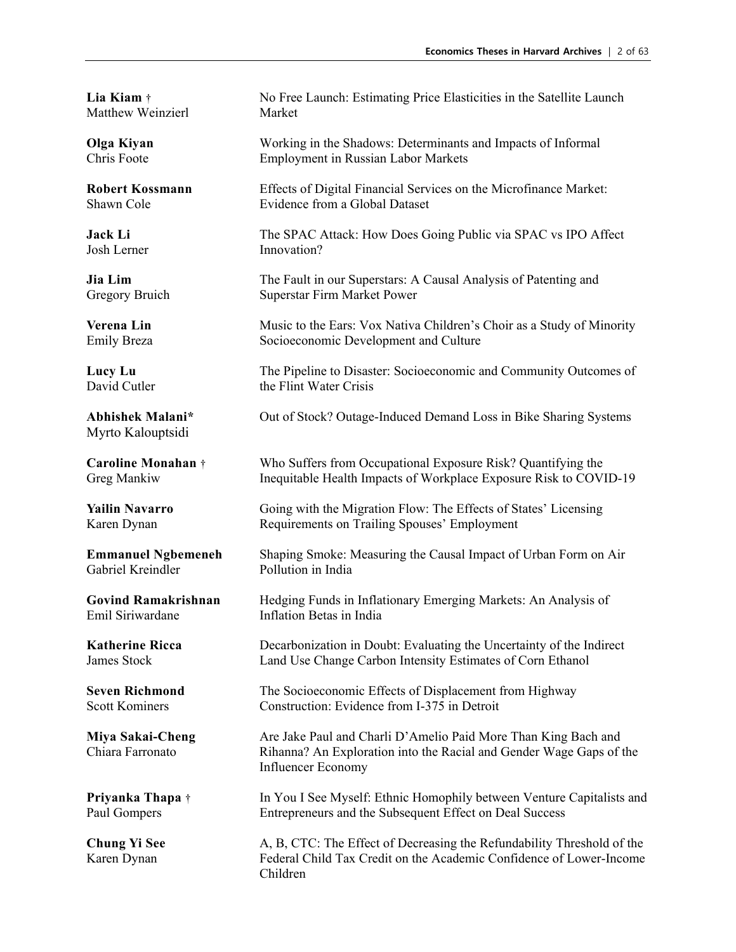Matthew Weinzierl Market

Myrto Kalouptsidi

**Lia Kiam** † No Free Launch: Estimating Price Elasticities in the Satellite Launch

**Olga Kiyan** Working in the Shadows: Determinants and Impacts of Informal Chris Foote **Employment** in Russian Labor Markets Employment in Russian Labor Markets

**Robert Kossmann** Effects of Digital Financial Services on the Microfinance Market: Shawn Cole **Evidence from a Global Dataset** 

**Jack Li** The SPAC Attack: How Does Going Public via SPAC vs IPO Affect Josh Lerner Innovation?

**Jia Lim** The Fault in our Superstars: A Causal Analysis of Patenting and Gregory Bruich Superstar Firm Market Power

**Verena Lin** Music to the Ears: Vox Nativa Children's Choir as a Study of Minority Emily Breza Socioeconomic Development and Culture

**Lucy Lu** The Pipeline to Disaster: Socioeconomic and Community Outcomes of the Flint Water Crisis

**Abhishek Malani\*** Out of Stock? Outage-Induced Demand Loss in Bike Sharing Systems

**Caroline Monahan** † Who Suffers from Occupational Exposure Risk? Quantifying the Greg Mankiw Inequitable Health Impacts of Workplace Exposure Risk to COVID-19

**Yailin Navarro** Going with the Migration Flow: The Effects of States' Licensing Karen Dynan Requirements on Trailing Spouses' Employment

**Emmanuel Ngbemeneh** Shaping Smoke: Measuring the Causal Impact of Urban Form on Air Gabriel Kreindler Pollution in India Pollution in India

**Govind Ramakrishnan** Hedging Funds in Inflationary Emerging Markets: An Analysis of Emil Siriwardane Inflation Betas in India Inflation Betas in India

**Katherine Ricca** Decarbonization in Doubt: Evaluating the Uncertainty of the Indirect James Stock Land Use Change Carbon Intensity Estimates of Corn Ethanol

**Seven Richmond** The Socioeconomic Effects of Displacement from Highway Scott Kominers Construction: Evidence from I-375 in Detroit

**Miya Sakai-Cheng** Are Jake Paul and Charli D'Amelio Paid More Than King Bach and Chiara Farronato Rihanna? An Exploration into the Racial and Gender Wage Gaps of the Influencer Economy

**Priyanka Thapa** † In You I See Myself: Ethnic Homophily between Venture Capitalists and Paul Gompers Entrepreneurs and the Subsequent Effect on Deal Success

**Chung Yi See** A, B, CTC: The Effect of Decreasing the Refundability Threshold of the Karen Dynan Federal Child Tax Credit on the Academic Confidence of Lower-Income Children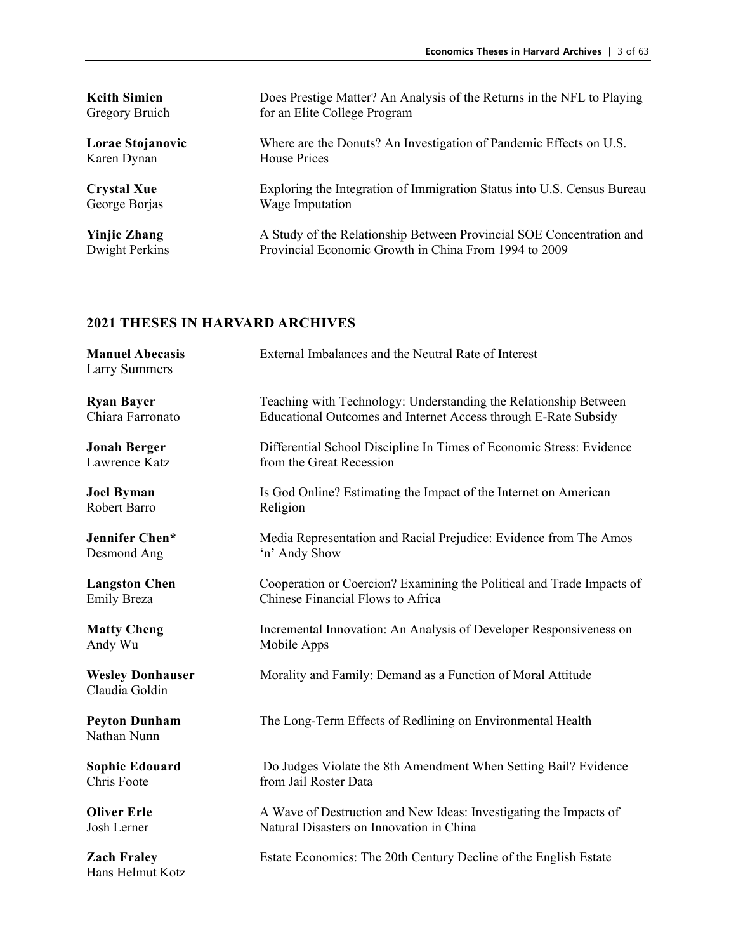| <b>Keith Simien</b> | Does Prestige Matter? An Analysis of the Returns in the NFL to Playing  |
|---------------------|-------------------------------------------------------------------------|
| Gregory Bruich      | for an Elite College Program                                            |
| Lorae Stojanovic    | Where are the Donuts? An Investigation of Pandemic Effects on U.S.      |
| Karen Dynan         | House Prices                                                            |
| <b>Crystal Xue</b>  | Exploring the Integration of Immigration Status into U.S. Census Bureau |
| George Borjas       | Wage Imputation                                                         |
| <b>Yinjie Zhang</b> | A Study of the Relationship Between Provincial SOE Concentration and    |
| Dwight Perkins      | Provincial Economic Growth in China From 1994 to 2009                   |

| <b>Manuel Abecasis</b><br><b>Larry Summers</b> | External Imbalances and the Neutral Rate of Interest                  |
|------------------------------------------------|-----------------------------------------------------------------------|
| <b>Ryan Bayer</b>                              | Teaching with Technology: Understanding the Relationship Between      |
| Chiara Farronato                               | Educational Outcomes and Internet Access through E-Rate Subsidy       |
| <b>Jonah Berger</b>                            | Differential School Discipline In Times of Economic Stress: Evidence  |
| Lawrence Katz                                  | from the Great Recession                                              |
| <b>Joel Byman</b>                              | Is God Online? Estimating the Impact of the Internet on American      |
| Robert Barro                                   | Religion                                                              |
| Jennifer Chen*                                 | Media Representation and Racial Prejudice: Evidence from The Amos     |
| Desmond Ang                                    | 'n' Andy Show                                                         |
| <b>Langston Chen</b>                           | Cooperation or Coercion? Examining the Political and Trade Impacts of |
| <b>Emily Breza</b>                             | Chinese Financial Flows to Africa                                     |
| <b>Matty Cheng</b>                             | Incremental Innovation: An Analysis of Developer Responsiveness on    |
| Andy Wu                                        | Mobile Apps                                                           |
| <b>Wesley Donhauser</b><br>Claudia Goldin      | Morality and Family: Demand as a Function of Moral Attitude           |
| <b>Peyton Dunham</b><br>Nathan Nunn            | The Long-Term Effects of Redlining on Environmental Health            |
| <b>Sophie Edouard</b>                          | Do Judges Violate the 8th Amendment When Setting Bail? Evidence       |
| Chris Foote                                    | from Jail Roster Data                                                 |
| <b>Oliver Erle</b>                             | A Wave of Destruction and New Ideas: Investigating the Impacts of     |
| Josh Lerner                                    | Natural Disasters on Innovation in China                              |
| <b>Zach Fraley</b><br>Hans Helmut Kotz         | Estate Economics: The 20th Century Decline of the English Estate      |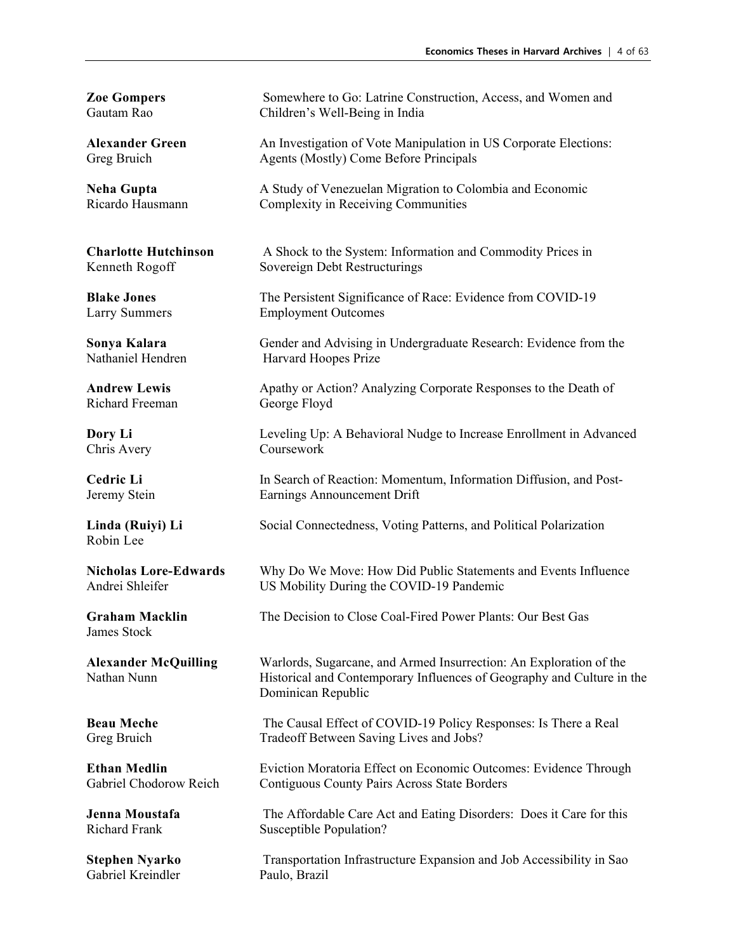Richard Freeman George Floyd

Robin Lee

James Stock

Gabriel Kreindler

**Zoe Gompers** Somewhere to Go: Latrine Construction, Access, and Women and Gautam Rao Children's Well-Being in India Children's Well-Being in India

**Alexander Green** An Investigation of Vote Manipulation in US Corporate Elections: Greg Bruich Agents (Mostly) Come Before Principals

**Neha Gupta A Study of Venezuelan Migration to Colombia and Economic** Ricardo Hausmann Complexity in Receiving Communities

**Charlotte Hutchinson** A Shock to the System: Information and Commodity Prices in Kenneth Rogoff Sovereign Debt Restructurings

**Blake Jones** The Persistent Significance of Race: Evidence from COVID-19 Larry Summers Employment Outcomes

**Sonya Kalara** Gender and Advising in Undergraduate Research: Evidence from the Nathaniel Hendren Harvard Hoopes Prize Harvard Hoopes Prize

**Andrew Lewis** Apathy or Action? Analyzing Corporate Responses to the Death of

**Dory Li** Leveling Up: A Behavioral Nudge to Increase Enrollment in Advanced Chris Avery Coursework

**Cedric Li** In Search of Reaction: Momentum, Information Diffusion, and Post-Jeremy Stein Earnings Announcement Drift

**Linda (Ruiyi) Li** Social Connectedness, Voting Patterns, and Political Polarization

**Nicholas Lore-Edwards** Why Do We Move: How Did Public Statements and Events Influence Andrei Shleifer US Mobility During the COVID-19 Pandemic

**Graham Macklin** The Decision to Close Coal-Fired Power Plants: Our Best Gas

**Alexander McQuilling** Warlords, Sugarcane, and Armed Insurrection: An Exploration of the Nathan Nunn Historical and Contemporary Influences of Geography and Culture in the Dominican Republic

**Beau Meche** The Causal Effect of COVID-19 Policy Responses: Is There a Real Greg Bruich Tradeoff Between Saving Lives and Jobs?

**Ethan Medlin** Eviction Moratoria Effect on Economic Outcomes: Evidence Through Gabriel Chodorow Reich Contiguous County Pairs Across State Borders

**Jenna Moustafa** The Affordable Care Act and Eating Disorders: Does it Care for this Richard Frank Susceptible Population?

**Stephen Nyarko** Transportation Infrastructure Expansion and Job Accessibility in Sao<br>
Gabriel Kreindler Paulo, Brazil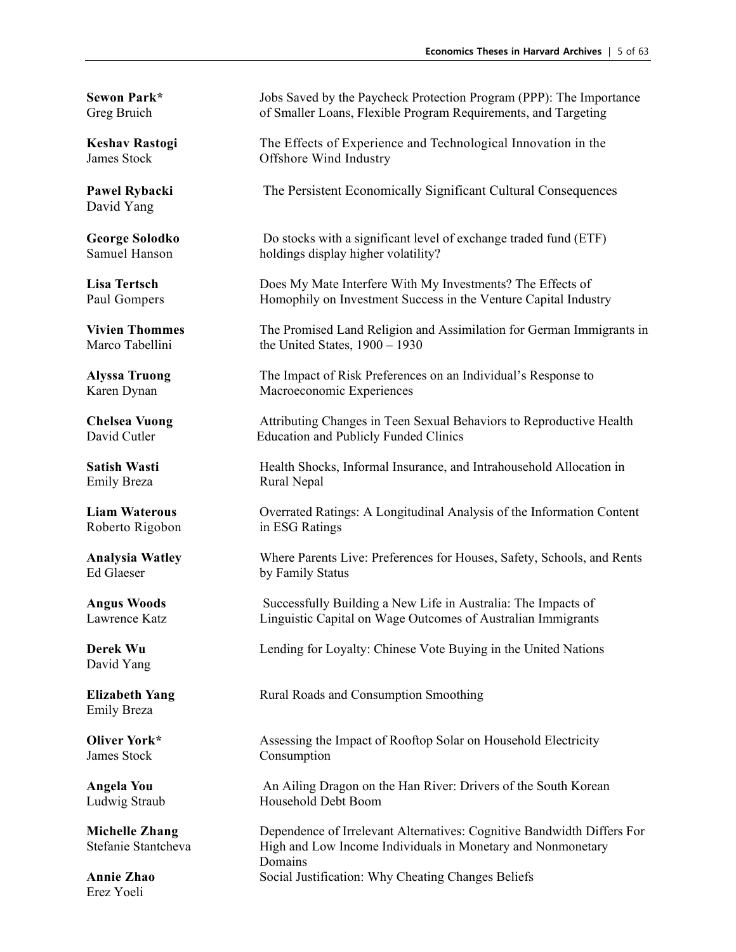David Yang

Emily Breza Rural Nepal

Roberto Rigobon in ESG Ratings

Ed Glaeser by Family Status

David Yang

Emily Breza

James Stock Consumption

Erez Yoeli

**Sewon Park\*** Jobs Saved by the Paycheck Protection Program (PPP): The Importance Greg Bruich of Smaller Loans, Flexible Program Requirements, and Targeting

**Keshav Rastogi** The Effects of Experience and Technological Innovation in the James Stock Offshore Wind Industry Offshore Wind Industry

**Pawel Rybacki** The Persistent Economically Significant Cultural Consequences

**George Solodko** Do stocks with a significant level of exchange traded fund (ETF)<br>Samuel Hanson holdings display higher volatility? holdings display higher volatility?

**Lisa Tertsch** Does My Mate Interfere With My Investments? The Effects of Paul Gompers Homophily on Investment Success in the Venture Capital Industry

**Vivien Thommes** The Promised Land Religion and Assimilation for German Immigrants in Marco Tabellini the United States. 1900 – 1930 the United States,  $1900 - 1930$ 

**Alyssa Truong** The Impact of Risk Preferences on an Individual's Response to Karen Dynan Macroeconomic Experiences

**Chelsea Vuong** Attributing Changes in Teen Sexual Behaviors to Reproductive Health David Cutler Education and Publicly Funded Clinics

**Satish Wasti Health Shocks, Informal Insurance, and Intrahousehold Allocation in** 

**Liam Waterous** Overrated Ratings: A Longitudinal Analysis of the Information Content

**Analysia Watley** Where Parents Live: Preferences for Houses, Safety, Schools, and Rents

**Angus Woods** Successfully Building a New Life in Australia: The Impacts of Lawrence Katz Linguistic Capital on Wage Outcomes of Australian Immigrants

**Derek Wu** Lending for Loyalty: Chinese Vote Buying in the United Nations

**Elizabeth Yang** Rural Roads and Consumption Smoothing

**Oliver York\*** Assessing the Impact of Rooftop Solar on Household Electricity

**Angela You** An Ailing Dragon on the Han River: Drivers of the South Korean Ludwig Straub Household Debt Boom

**Michelle Zhang** Dependence of Irrelevant Alternatives: Cognitive Bandwidth Differs For Stefanie Stantcheva<br>
High and Low Income Individuals in Monetary and Nonmonetary High and Low Income Individuals in Monetary and Nonmonetary Domains **Annie Zhao** Social Justification: Why Cheating Changes Beliefs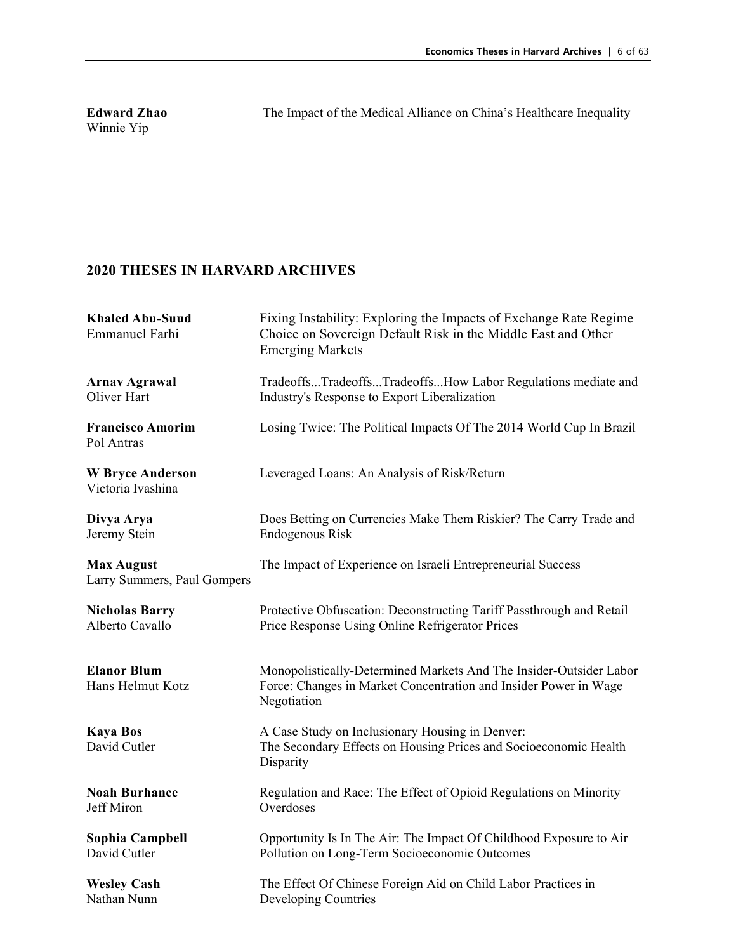Winnie Yip

**Edward Zhao** The Impact of the Medical Alliance on China's Healthcare Inequality

| <b>Khaled Abu-Suud</b><br><b>Emmanuel Farhi</b>  | Fixing Instability: Exploring the Impacts of Exchange Rate Regime<br>Choice on Sovereign Default Risk in the Middle East and Other<br><b>Emerging Markets</b> |
|--------------------------------------------------|---------------------------------------------------------------------------------------------------------------------------------------------------------------|
| <b>Arnav Agrawal</b>                             | TradeoffsTradeoffsTradeoffsHow Labor Regulations mediate and                                                                                                  |
| Oliver Hart                                      | Industry's Response to Export Liberalization                                                                                                                  |
| <b>Francisco Amorim</b><br>Pol Antras            | Losing Twice: The Political Impacts Of The 2014 World Cup In Brazil                                                                                           |
| <b>W</b> Bryce Anderson<br>Victoria Ivashina     | Leveraged Loans: An Analysis of Risk/Return                                                                                                                   |
| Divya Arya                                       | Does Betting on Currencies Make Them Riskier? The Carry Trade and                                                                                             |
| Jeremy Stein                                     | Endogenous Risk                                                                                                                                               |
| <b>Max August</b><br>Larry Summers, Paul Gompers | The Impact of Experience on Israeli Entrepreneurial Success                                                                                                   |
| <b>Nicholas Barry</b>                            | Protective Obfuscation: Deconstructing Tariff Passthrough and Retail                                                                                          |
| Alberto Cavallo                                  | Price Response Using Online Refrigerator Prices                                                                                                               |
| <b>Elanor Blum</b><br>Hans Helmut Kotz           | Monopolistically-Determined Markets And The Insider-Outsider Labor<br>Force: Changes in Market Concentration and Insider Power in Wage<br>Negotiation         |
| <b>Kaya Bos</b><br>David Cutler                  | A Case Study on Inclusionary Housing in Denver:<br>The Secondary Effects on Housing Prices and Socioeconomic Health<br>Disparity                              |
| <b>Noah Burhance</b>                             | Regulation and Race: The Effect of Opioid Regulations on Minority                                                                                             |
| Jeff Miron                                       | Overdoses                                                                                                                                                     |
| Sophia Campbell                                  | Opportunity Is In The Air: The Impact Of Childhood Exposure to Air                                                                                            |
| David Cutler                                     | Pollution on Long-Term Socioeconomic Outcomes                                                                                                                 |
| <b>Wesley Cash</b>                               | The Effect Of Chinese Foreign Aid on Child Labor Practices in                                                                                                 |
| Nathan Nunn                                      | Developing Countries                                                                                                                                          |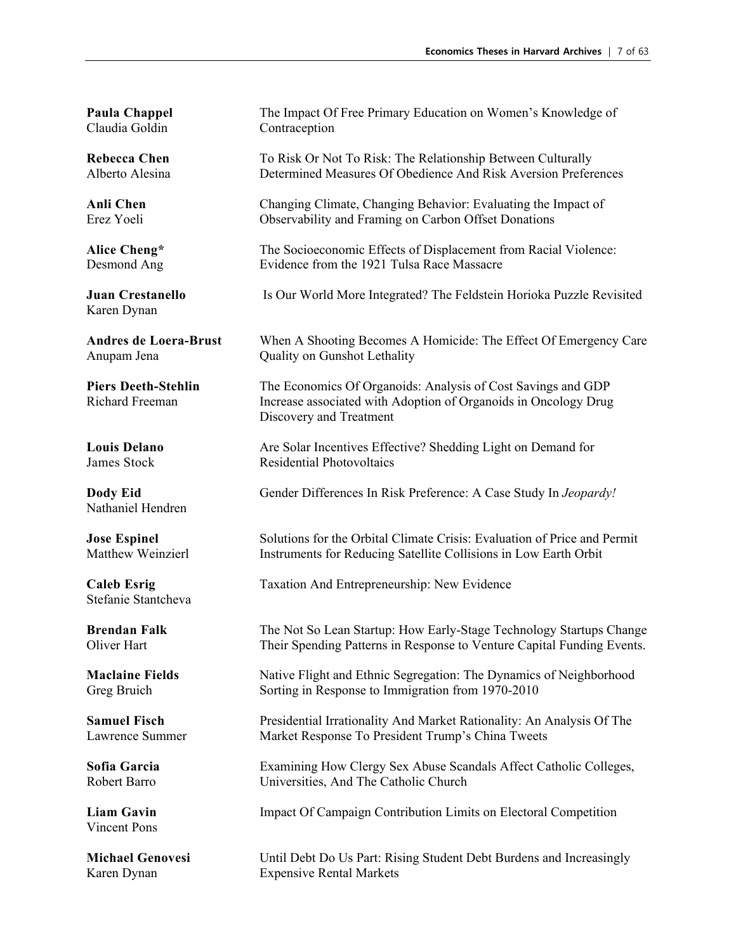Claudia Goldin Contraception

Karen Dynan

Nathaniel Hendren

Stefanie Stantcheva

Vincent Pons

**Paula Chappel** The Impact Of Free Primary Education on Women's Knowledge of

**Rebecca Chen** To Risk Or Not To Risk: The Relationship Between Culturally Alberto Alesina Determined Measures Of Obedience And Risk Aversion Preferences

**Anli Chen** Changing Climate, Changing Behavior: Evaluating the Impact of Erez Yoeli Observability and Framing on Carbon Offset Donations

Alice Cheng\* The Socioeconomic Effects of Displacement from Racial Violence:<br>
Desmond Ang Evidence from the 1921 Tulsa Race Massacre Evidence from the 1921 Tulsa Race Massacre

**Juan Crestanello** Is Our World More Integrated? The Feldstein Horioka Puzzle Revisited

**Andres de Loera-Brust** When A Shooting Becomes A Homicide: The Effect Of Emergency Care Anupam Jena Quality on Gunshot Lethality

**Piers Deeth-Stehlin** The Economics Of Organoids: Analysis of Cost Savings and GDP Richard Freeman Increase associated with Adoption of Organoids in Oncology Drug Discovery and Treatment

**Louis Delano** Are Solar Incentives Effective? Shedding Light on Demand for James Stock Residential Photovoltaics

**Dody Eid** Gender Differences In Risk Preference: A Case Study In *Jeopardy!* 

**Jose Espinel** Solutions for the Orbital Climate Crisis: Evaluation of Price and Permit Matthew Weinzierl Instruments for Reducing Satellite Collisions in Low Earth Orbit

**Caleb Esrig** Taxation And Entrepreneurship: New Evidence

**Brendan Falk** The Not So Lean Startup: How Early-Stage Technology Startups Change Oliver Hart Their Spending Patterns in Response to Venture Capital Funding Events.

**Maclaine Fields** Native Flight and Ethnic Segregation: The Dynamics of Neighborhood Greg Bruich Sorting in Response to Immigration from 1970-2010

**Samuel Fisch** Presidential Irrationality And Market Rationality: An Analysis Of The Lawrence Summer Market Response To President Trump's China Tweets

**Sofia Garcia** Examining How Clergy Sex Abuse Scandals Affect Catholic Colleges, Robert Barro Universities, And The Catholic Church

**Liam Gavin** Impact Of Campaign Contribution Limits on Electoral Competition

**Michael Genovesi** Until Debt Do Us Part: Rising Student Debt Burdens and Increasingly Karen Dynan Expensive Rental Markets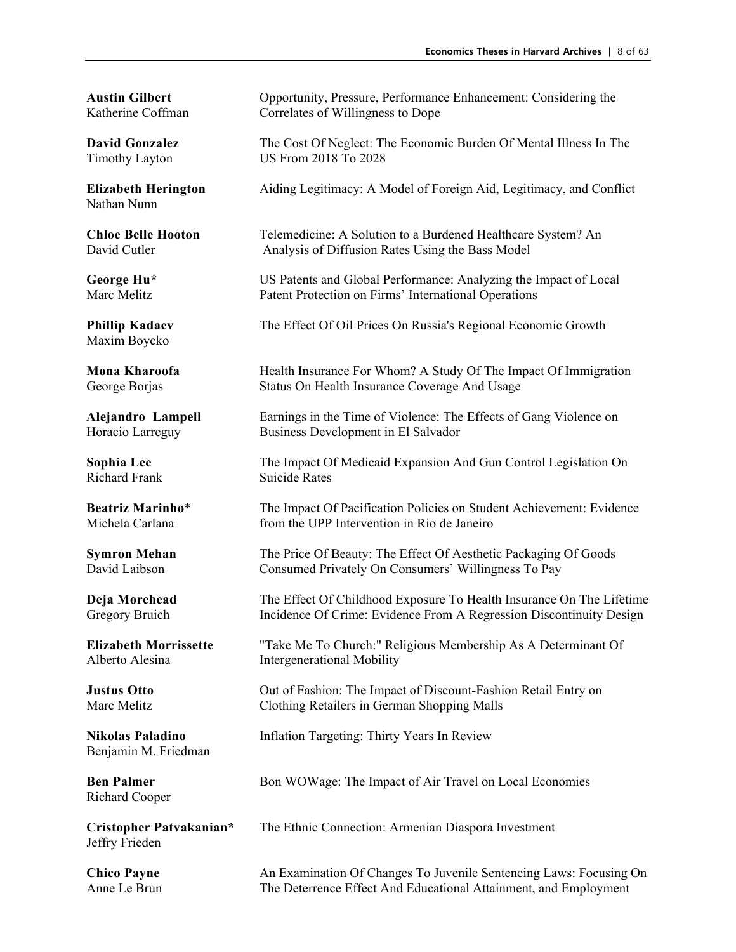Nathan Nunn

Maxim Boycko

Richard Frank Suicide Rates

Benjamin M. Friedman

Richard Cooper

Jeffry Frieden

**Austin Gilbert** Opportunity, Pressure, Performance Enhancement: Considering the Katherine Coffman Correlates of Willingness to Dope

**David Gonzalez** The Cost Of Neglect: The Economic Burden Of Mental Illness In The Timothy Layton US From 2018 To 2028 US From 2018 To 2028

**Elizabeth Herington** Aiding Legitimacy: A Model of Foreign Aid, Legitimacy, and Conflict

**Chloe Belle Hooton** Telemedicine: A Solution to a Burdened Healthcare System? An David Cutler **Analysis of Diffusion Rates Using the Bass Model** 

**George Hu\*** US Patents and Global Performance: Analyzing the Impact of Local Marc Melitz **Patent Protection on Firms' International Operations** 

**Phillip Kadaev** The Effect Of Oil Prices On Russia's Regional Economic Growth

**Mona Kharoofa** Health Insurance For Whom? A Study Of The Impact Of Immigration George Borjas Status On Health Insurance Coverage And Usage

Alejandro Lampell Earnings in the Time of Violence: The Effects of Gang Violence on Horacio Larreguy Business Development in El Salvador

**Sophia Lee** The Impact Of Medicaid Expansion And Gun Control Legislation On

**Beatriz Marinho**\* The Impact Of Pacification Policies on Student Achievement: Evidence Michela Carlana from the UPP Intervention in Rio de Janeiro

**Symron Mehan** The Price Of Beauty: The Effect Of Aesthetic Packaging Of Goods David Laibson Consumed Privately On Consumers' Willingness To Pay

**Deja Morehead** The Effect Of Childhood Exposure To Health Insurance On The Lifetime Gregory Bruich Incidence Of Crime: Evidence From A Regression Discontinuity Design

**Elizabeth Morrissette** "Take Me To Church:" Religious Membership As A Determinant Of Alberto Alesina Intergenerational Mobility

**Justus Otto** Out of Fashion: The Impact of Discount-Fashion Retail Entry on Marc Melitz Clothing Retailers in German Shopping Malls

**Nikolas Paladino** Inflation Targeting: Thirty Years In Review

**Ben Palmer** Bon WOWage: The Impact of Air Travel on Local Economies

**Cristopher Patvakanian\*** The Ethnic Connection: Armenian Diaspora Investment

**Chico Payne** An Examination Of Changes To Juvenile Sentencing Laws: Focusing On Anne Le Brun The Deterrence Effect And Educational Attainment, and Employment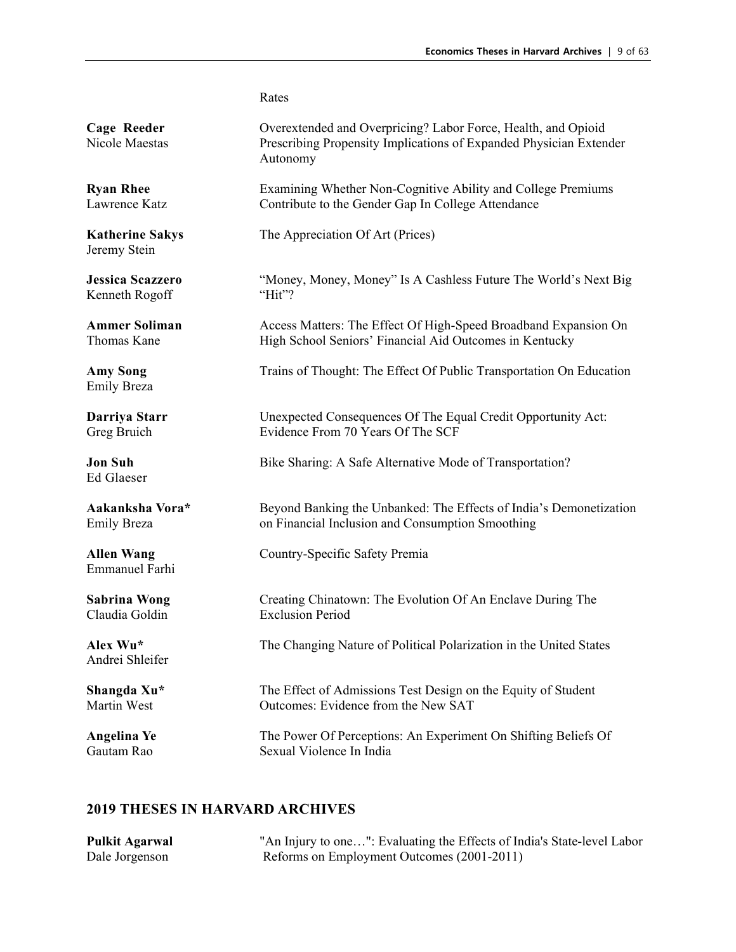Rates

| Cage Reeder<br>Nicole Maestas              | Overextended and Overpricing? Labor Force, Health, and Opioid<br>Prescribing Propensity Implications of Expanded Physician Extender<br>Autonomy |
|--------------------------------------------|-------------------------------------------------------------------------------------------------------------------------------------------------|
| <b>Ryan Rhee</b>                           | Examining Whether Non-Cognitive Ability and College Premiums                                                                                    |
| Lawrence Katz                              | Contribute to the Gender Gap In College Attendance                                                                                              |
| <b>Katherine Sakys</b><br>Jeremy Stein     | The Appreciation Of Art (Prices)                                                                                                                |
| <b>Jessica Scazzero</b>                    | "Money, Money, Money" Is A Cashless Future The World's Next Big                                                                                 |
| Kenneth Rogoff                             | "Hit"?                                                                                                                                          |
| <b>Ammer Soliman</b>                       | Access Matters: The Effect Of High-Speed Broadband Expansion On                                                                                 |
| Thomas Kane                                | High School Seniors' Financial Aid Outcomes in Kentucky                                                                                         |
| <b>Amy Song</b><br><b>Emily Breza</b>      | Trains of Thought: The Effect Of Public Transportation On Education                                                                             |
| Darriya Starr                              | Unexpected Consequences Of The Equal Credit Opportunity Act:                                                                                    |
| Greg Bruich                                | Evidence From 70 Years Of The SCF                                                                                                               |
| <b>Jon Suh</b><br>Ed Glaeser               | Bike Sharing: A Safe Alternative Mode of Transportation?                                                                                        |
| Aakanksha Vora*                            | Beyond Banking the Unbanked: The Effects of India's Demonetization                                                                              |
| <b>Emily Breza</b>                         | on Financial Inclusion and Consumption Smoothing                                                                                                |
| <b>Allen Wang</b><br><b>Emmanuel Farhi</b> | Country-Specific Safety Premia                                                                                                                  |
| <b>Sabrina Wong</b>                        | Creating Chinatown: The Evolution Of An Enclave During The                                                                                      |
| Claudia Goldin                             | <b>Exclusion Period</b>                                                                                                                         |
| Alex Wu*<br>Andrei Shleifer                | The Changing Nature of Political Polarization in the United States                                                                              |
| Shangda Xu*                                | The Effect of Admissions Test Design on the Equity of Student                                                                                   |
| Martin West                                | Outcomes: Evidence from the New SAT                                                                                                             |
| Angelina Ye                                | The Power Of Perceptions: An Experiment On Shifting Beliefs Of                                                                                  |
| Gautam Rao                                 | Sexual Violence In India                                                                                                                        |

| <b>Pulkit Agarwal</b> | "An Injury to one": Evaluating the Effects of India's State-level Labor |
|-----------------------|-------------------------------------------------------------------------|
| Dale Jorgenson        | Reforms on Employment Outcomes (2001-2011)                              |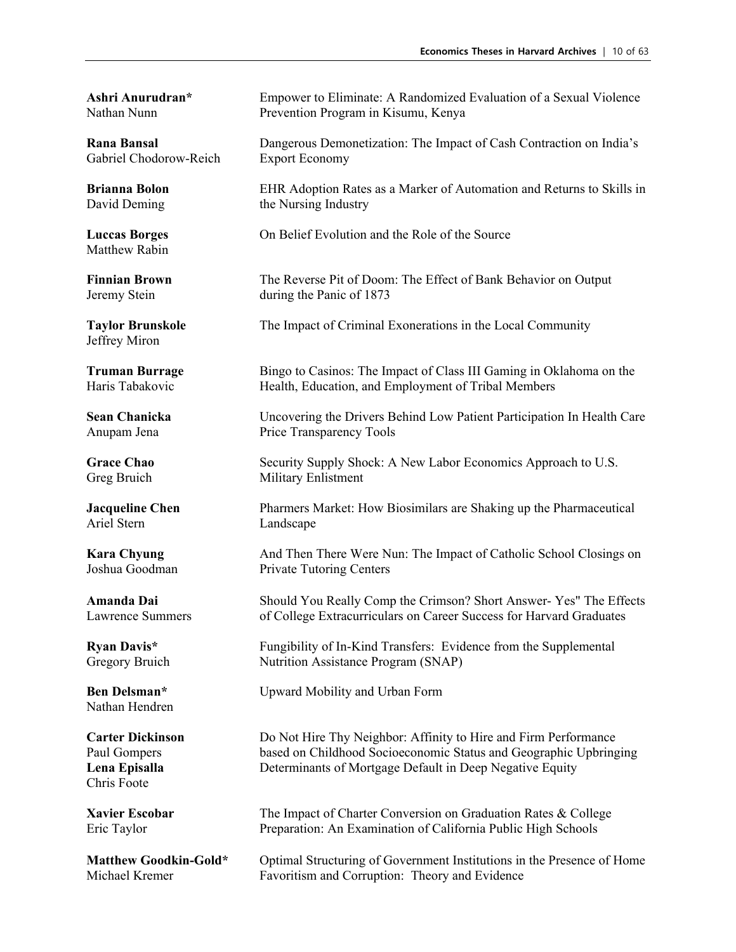Gabriel Chodorow-Reich Export Economy

Matthew Rabin

Jeffrey Miron

Ariel Stern Landscape

Nathan Hendren

Chris Foote

**Ashri Anurudran\*** Empower to Eliminate: A Randomized Evaluation of a Sexual Violence Nathan Nunn Prevention Program in Kisumu, Kenya

**Rana Bansal** Dangerous Demonetization: The Impact of Cash Contraction on India's

**Brianna Bolon** EHR Adoption Rates as a Marker of Automation and Returns to Skills in David Deming the Nursing Industry

**Luccas Borges** On Belief Evolution and the Role of the Source

**Finnian Brown** The Reverse Pit of Doom: The Effect of Bank Behavior on Output Jeremy Stein during the Panic of 1873

**Taylor Brunskole** The Impact of Criminal Exonerations in the Local Community

**Truman Burrage** Bingo to Casinos: The Impact of Class III Gaming in Oklahoma on the Haris Tabakovic Health Education, and Employment of Tribal Members Health, Education, and Employment of Tribal Members

**Sean Chanicka** Uncovering the Drivers Behind Low Patient Participation In Health Care Anupam Jena Price Transparency Tools

Grace Chao Security Supply Shock: A New Labor Economics Approach to U.S. Greg Bruich Military Enlistment

**Jacqueline Chen** Pharmers Market: How Biosimilars are Shaking up the Pharmaceutical

**Kara Chyung** And Then There Were Nun: The Impact of Catholic School Closings on Joshua Goodman Private Tutoring Centers

**Amanda Dai** Should You Really Comp the Crimson? Short Answer- Yes" The Effects Lawrence Summers of College Extracurriculars on Career Success for Harvard Graduates

**Ryan Davis\*** Fungibility of In-Kind Transfers: Evidence from the Supplemental Gregory Bruich Nutrition Assistance Program (SNAP)

**Ben Delsman\*** Upward Mobility and Urban Form

**Carter Dickinson** Do Not Hire Thy Neighbor: Affinity to Hire and Firm Performance Paul Gompers based on Childhood Socioeconomic Status and Geographic Upbringing **Lena Episalla** Determinants of Mortgage Default in Deep Negative Equity

**Xavier Escobar** The Impact of Charter Conversion on Graduation Rates & College Eric Taylor Preparation: An Examination of California Public High Schools

Matthew Goodkin-Gold\* Optimal Structuring of Government Institutions in the Presence of Home Michael Kremer Favoritism and Corruption: Theory and Evidence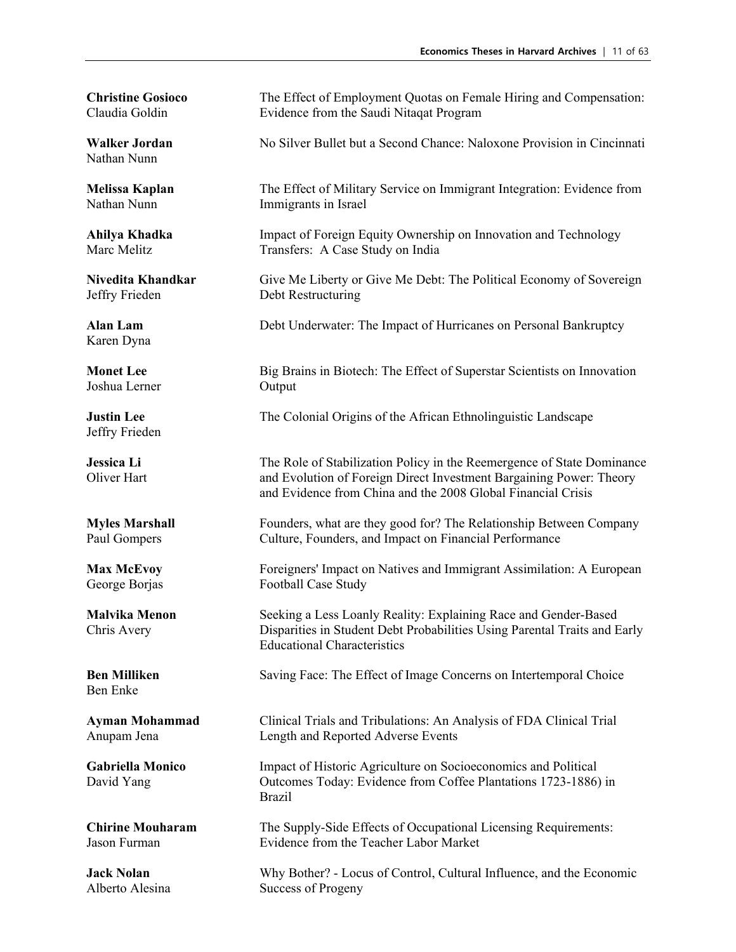Nathan Nunn

Jeffry Frieden Debt Restructuring

Karen Dyna

Joshua Lerner

Jeffry Frieden

Ben Enke

**Christine Gosioco** The Effect of Employment Quotas on Female Hiring and Compensation: Claudia Goldin Evidence from the Saudi Nitaqat Program

**Walker Jordan** No Silver Bullet but a Second Chance: Naloxone Provision in Cincinnati

**Melissa Kaplan** The Effect of Military Service on Immigrant Integration: Evidence from Nathan Nunn Immigrants in Israel

**Ahilya Khadka** Impact of Foreign Equity Ownership on Innovation and Technology Marc Melitz Transfers: A Case Study on India

**Nivedita Khandkar** Give Me Liberty or Give Me Debt: The Political Economy of Sovereign

**Alan Lam** Debt Underwater: The Impact of Hurricanes on Personal Bankruptcy

**Monet Lee** Big Brains in Biotech: The Effect of Superstar Scientists on Innovation Joshua Lerner Output

**Justin Lee** The Colonial Origins of the African Ethnolinguistic Landscape

**Jessica Li** The Role of Stabilization Policy in the Reemergence of State Dominance Oliver Hart and Evolution of Foreign Direct Investment Bargaining Power: Theory and Evidence from China and the 2008 Global Financial Crisis

**Myles Marshall** Founders, what are they good for? The Relationship Between Company Paul Gompers Culture, Founders, and Impact on Financial Performance

**Max McEvoy** Foreigners' Impact on Natives and Immigrant Assimilation: A European George Borjas Football Case Study

**Malvika Menon** Seeking a Less Loanly Reality: Explaining Race and Gender-Based Chris Avery Disparities in Student Debt Probabilities Using Parental Traits and Early Educational Characteristics

**Ben Milliken** Saving Face: The Effect of Image Concerns on Intertemporal Choice

**Ayman Mohammad** Clinical Trials and Tribulations: An Analysis of FDA Clinical Trial Anupam Jena Length and Reported Adverse Events

**Gabriella Monico** Impact of Historic Agriculture on Socioeconomics and Political David Yang Outcomes Today: Evidence from Coffee Plantations 1723-1886) in Brazil

**Chirine Mouharam** The Supply-Side Effects of Occupational Licensing Requirements:<br>
Iason Furman Fusicidence from the Teacher Labor Market Evidence from the Teacher Labor Market

**Jack Nolan** Why Bother? - Locus of Control, Cultural Influence, and the Economic Alberto Alesina Success of Progeny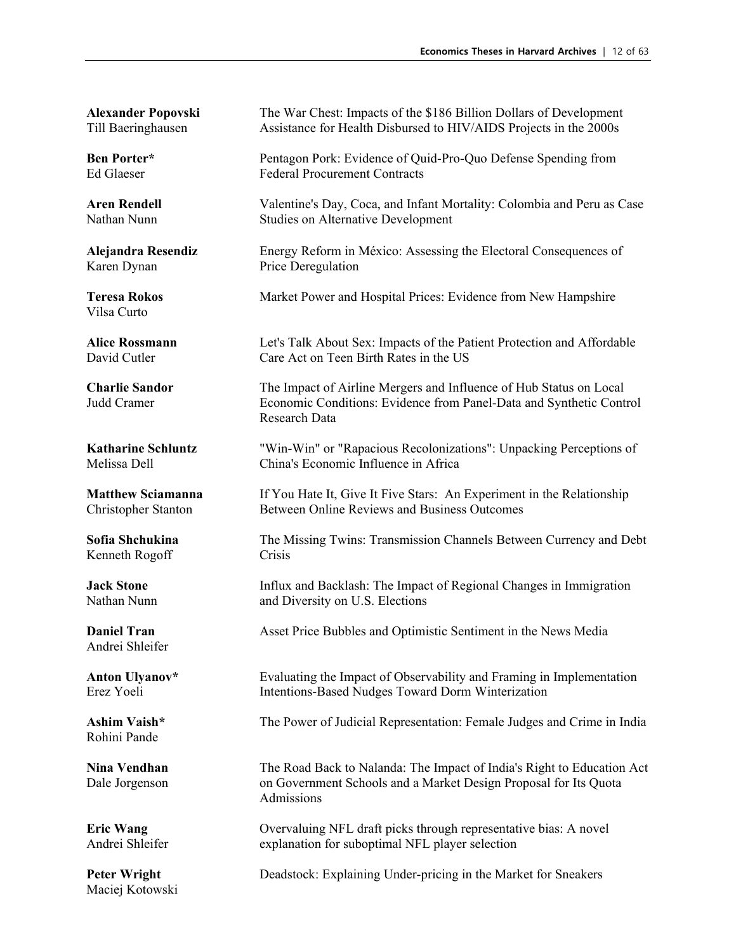Karen Dynan Price Deregulation

Vilsa Curto

Kenneth Rogoff Crisis

Andrei Shleifer

Rohini Pande

Maciej Kotowski

**Alexander Popovski** The War Chest: Impacts of the \$186 Billion Dollars of Development Till Baeringhausen Assistance for Health Disbursed to HIV/AIDS Projects in the 2000s

**Ben Porter\*** Pentagon Pork: Evidence of Quid-Pro-Quo Defense Spending from Ed Glaeser Federal Procurement Contracts

**Aren Rendell** Valentine's Day, Coca, and Infant Mortality: Colombia and Peru as Case Nathan Nunn Studies on Alternative Development

**Alejandra Resendiz** Energy Reform in México: Assessing the Electoral Consequences of

**Teresa Rokos** Market Power and Hospital Prices: Evidence from New Hampshire

**Alice Rossmann** Let's Talk About Sex: Impacts of the Patient Protection and Affordable David Cutler Care Act on Teen Birth Rates in the US

**Charlie Sandor** The Impact of Airline Mergers and Influence of Hub Status on Local Judd Cramer Economic Conditions: Evidence from Panel-Data and Synthetic Control Research Data

**Katharine Schluntz** "Win-Win" or "Rapacious Recolonizations": Unpacking Perceptions of Melissa Dell China's Economic Influence in Africa

**Matthew Sciamanna** If You Hate It, Give It Five Stars: An Experiment in the Relationship Christopher Stanton Between Online Reviews and Business Outcomes

**Sofia Shchukina** The Missing Twins: Transmission Channels Between Currency and Debt

**Jack Stone** Influx and Backlash: The Impact of Regional Changes in Immigration Nathan Nunn and Diversity on U.S. Elections

**Daniel Tran Asset Price Bubbles and Optimistic Sentiment in the News Media** 

**Anton Ulyanov\*** Evaluating the Impact of Observability and Framing in Implementation Erez Yoeli Intentions-Based Nudges Toward Dorm Winterization

**Ashim Vaish\*** The Power of Judicial Representation: Female Judges and Crime in India

**Nina Vendhan** The Road Back to Nalanda: The Impact of India's Right to Education Act Dale Jorgenson on Government Schools and a Market Design Proposal for Its Quota Admissions

**Eric Wang** Overvaluing NFL draft picks through representative bias: A novel Andrei Shleifer explanation for suboptimal NFL player selection

**Peter Wright** Deadstock: Explaining Under-pricing in the Market for Sneakers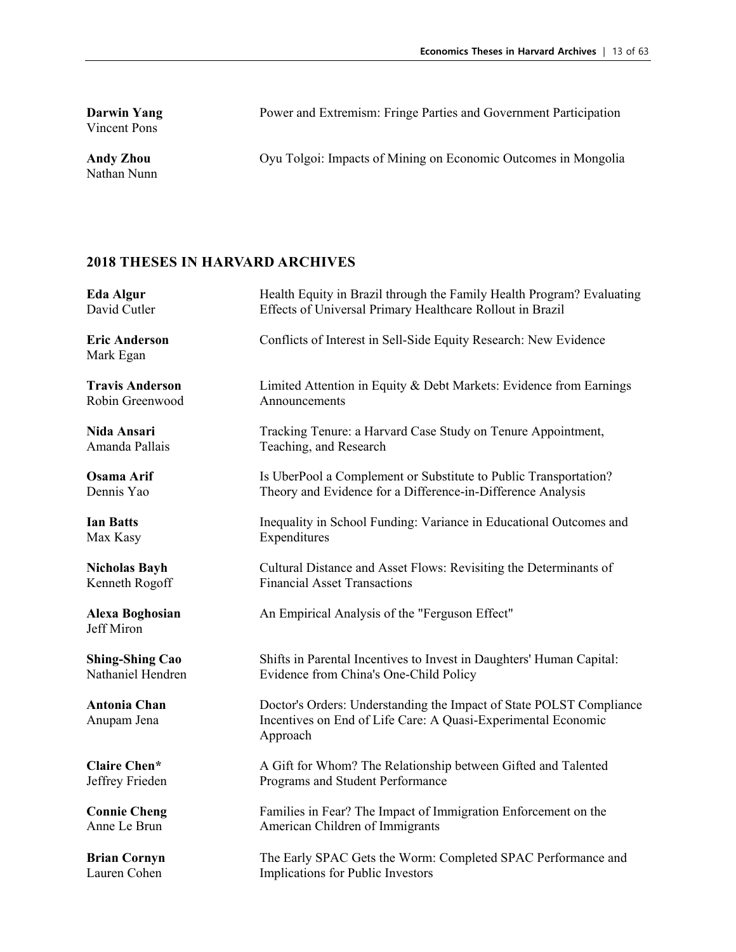**Darwin Yang**<br>Vincent Pons

Nathan Nunn

Power and Extremism: Fringe Parties and Government Participation

Andy Zhou **Oyu Tolgoi: Impacts of Mining on Economic Outcomes in Mongolia** 

| Eda Algur                            | Health Equity in Brazil through the Family Health Program? Evaluating                                                                            |
|--------------------------------------|--------------------------------------------------------------------------------------------------------------------------------------------------|
| David Cutler                         | Effects of Universal Primary Healthcare Rollout in Brazil                                                                                        |
| <b>Eric Anderson</b><br>Mark Egan    | Conflicts of Interest in Sell-Side Equity Research: New Evidence                                                                                 |
| <b>Travis Anderson</b>               | Limited Attention in Equity & Debt Markets: Evidence from Earnings                                                                               |
| Robin Greenwood                      | Announcements                                                                                                                                    |
| Nida Ansari                          | Tracking Tenure: a Harvard Case Study on Tenure Appointment,                                                                                     |
| Amanda Pallais                       | Teaching, and Research                                                                                                                           |
| <b>Osama Arif</b>                    | Is UberPool a Complement or Substitute to Public Transportation?                                                                                 |
| Dennis Yao                           | Theory and Evidence for a Difference-in-Difference Analysis                                                                                      |
| <b>Ian Batts</b>                     | Inequality in School Funding: Variance in Educational Outcomes and                                                                               |
| Max Kasy                             | Expenditures                                                                                                                                     |
| <b>Nicholas Bayh</b>                 | Cultural Distance and Asset Flows: Revisiting the Determinants of                                                                                |
| Kenneth Rogoff                       | <b>Financial Asset Transactions</b>                                                                                                              |
| <b>Alexa Boghosian</b><br>Jeff Miron | An Empirical Analysis of the "Ferguson Effect"                                                                                                   |
| <b>Shing-Shing Cao</b>               | Shifts in Parental Incentives to Invest in Daughters' Human Capital:                                                                             |
| Nathaniel Hendren                    | Evidence from China's One-Child Policy                                                                                                           |
| <b>Antonia Chan</b><br>Anupam Jena   | Doctor's Orders: Understanding the Impact of State POLST Compliance<br>Incentives on End of Life Care: A Quasi-Experimental Economic<br>Approach |
| <b>Claire Chen*</b>                  | A Gift for Whom? The Relationship between Gifted and Talented                                                                                    |
| Jeffrey Frieden                      | Programs and Student Performance                                                                                                                 |
| <b>Connie Cheng</b>                  | Families in Fear? The Impact of Immigration Enforcement on the                                                                                   |
| Anne Le Brun                         | American Children of Immigrants                                                                                                                  |
| <b>Brian Cornyn</b>                  | The Early SPAC Gets the Worm: Completed SPAC Performance and                                                                                     |
| Lauren Cohen                         | Implications for Public Investors                                                                                                                |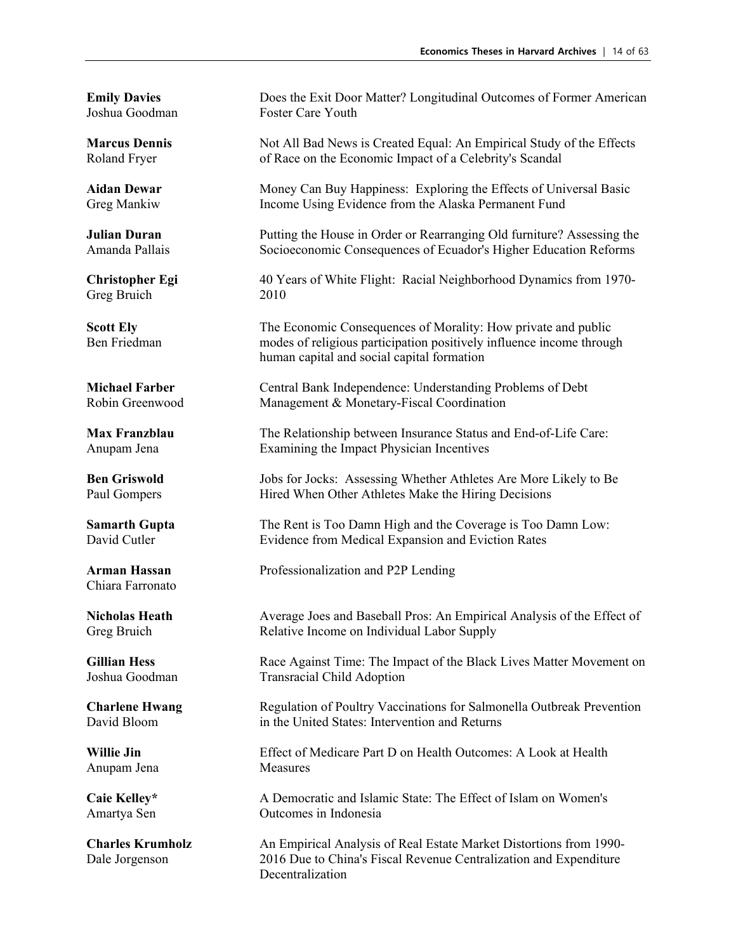Greg Bruich 2010

Chiara Farronato

Anupam Jena Measures

**Emily Davies** Does the Exit Door Matter? Longitudinal Outcomes of Former American Joshua Goodman Foster Care Youth

**Marcus Dennis** Not All Bad News is Created Equal: An Empirical Study of the Effects Roland Fryer of Race on the Economic Impact of a Celebrity's Scandal of Race on the Economic Impact of a Celebrity's Scandal

**Aidan Dewar** Money Can Buy Happiness: Exploring the Effects of Universal Basic Greg Mankiw Income Using Evidence from the Alaska Permanent Fund

**Julian Duran** Putting the House in Order or Rearranging Old furniture? Assessing the Amanda Pallais Socioeconomic Consequences of Ecuador's Higher Education Reforms

**Christopher Egi** 40 Years of White Flight: Racial Neighborhood Dynamics from 1970-

**Scott Ely** The Economic Consequences of Morality: How private and public Ben Friedman modes of religious participation positively influence income through human capital and social capital formation

**Michael Farber** Central Bank Independence: Understanding Problems of Debt Robin Greenwood Management & Monetary-Fiscal Coordination

**Max Franzblau** The Relationship between Insurance Status and End-of-Life Care: Anupam Jena Examining the Impact Physician Incentives

**Ben Griswold** Jobs for Jocks: Assessing Whether Athletes Are More Likely to Be Paul Gompers Hired When Other Athletes Make the Hiring Decisions

**Samarth Gupta** The Rent is Too Damn High and the Coverage is Too Damn Low: David Cutler Evidence from Medical Expansion and Eviction Rates

**Arman Hassan** Professionalization and P2P Lending

**Nicholas Heath** Average Joes and Baseball Pros: An Empirical Analysis of the Effect of Greg Bruich Relative Income on Individual Labor Supply

**Gillian Hess** Race Against Time: The Impact of the Black Lives Matter Movement on Joshua Goodman Transracial Child Adoption

**Charlene Hwang** Regulation of Poultry Vaccinations for Salmonella Outbreak Prevention David Bloom in the United States: Intervention and Returns

**Willie Jin** Effect of Medicare Part D on Health Outcomes: A Look at Health

**Caie Kelley\*** A Democratic and Islamic State: The Effect of Islam on Women's Amartya Sen Outcomes in Indonesia

**Charles Krumholz** An Empirical Analysis of Real Estate Market Distortions from 1990- Dale Jorgenson 2016 Due to China's Fiscal Revenue Centralization and Expenditure Decentralization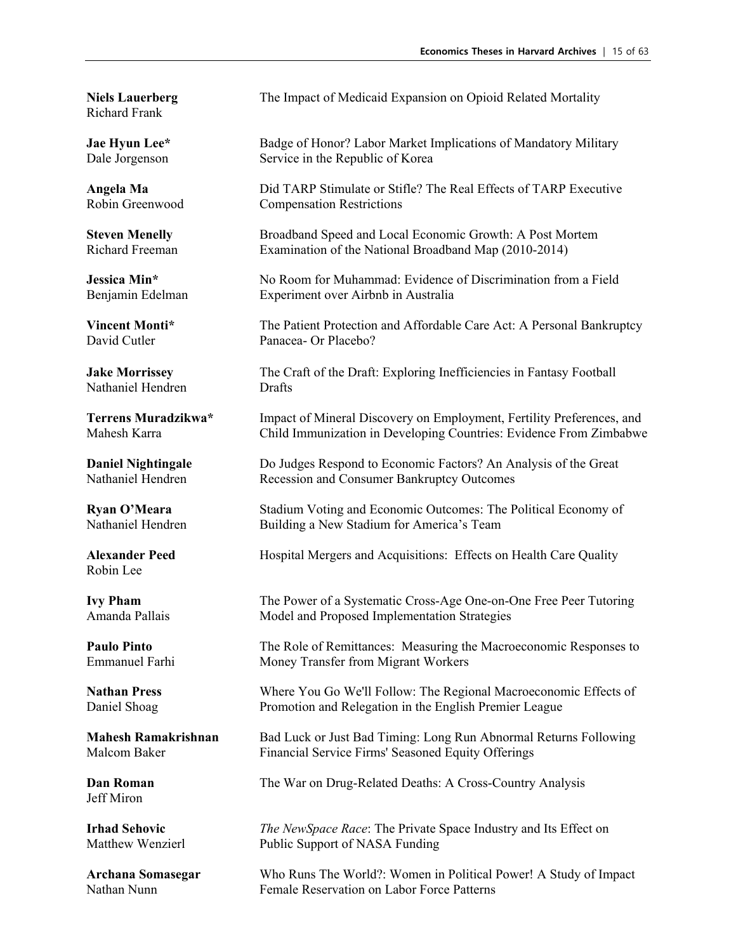Richard Frank

Nathaniel Hendren Drafts

Robin Lee

Jeff Miron

**Niels Lauerberg** The Impact of Medicaid Expansion on Opioid Related Mortality

**Jae Hyun Lee\*** Badge of Honor? Labor Market Implications of Mandatory Military Dale Jorgenson Service in the Republic of Korea Service in the Republic of Korea

**Angela Ma** Did TARP Stimulate or Stifle? The Real Effects of TARP Executive Robin Greenwood Compensation Restrictions

**Steven Menelly** Broadband Speed and Local Economic Growth: A Post Mortem Richard Freeman Examination of the National Broadband Map (2010-2014)

**Jessica Min<sup>\*</sup>** No Room for Muhammad: Evidence of Discrimination from a Field Benjamin Edelman Experiment over Airbnb in Australia

**Vincent Monti\*** The Patient Protection and Affordable Care Act: A Personal Bankruptcy David Cutler Panacea- Or Placebo?

**Jake Morrissey** The Craft of the Draft: Exploring Inefficiencies in Fantasy Football

**Terrens Muradzikwa\*** Impact of Mineral Discovery on Employment, Fertility Preferences, and Mahesh Karra Child Immunization in Developing Countries: Evidence From Zimbabwe

**Daniel Nightingale** Do Judges Respond to Economic Factors? An Analysis of the Great Nathaniel Hendren Recession and Consumer Bankruptcy Outcomes

**Ryan O'Meara** Stadium Voting and Economic Outcomes: The Political Economy of Nathaniel Hendren Building a New Stadium for America's Team

Alexander Peed **Hospital Mergers and Acquisitions:** Effects on Health Care Quality

**Ivy Pham** The Power of a Systematic Cross-Age One-on-One Free Peer Tutoring Amanda Pallais Model and Proposed Implementation Strategies

**Paulo Pinto** The Role of Remittances: Measuring the Macroeconomic Responses to Emmanuel Farhi Money Transfer from Migrant Workers

**Nathan Press** Where You Go We'll Follow: The Regional Macroeconomic Effects of Daniel Shoag Promotion and Relegation in the English Premier League

**Mahesh Ramakrishnan** Bad Luck or Just Bad Timing: Long Run Abnormal Returns Following Malcom Baker Financial Service Firms' Seasoned Equity Offerings

**Dan Roman** The War on Drug-Related Deaths: A Cross-Country Analysis

**Irhad Sehovic** *The NewSpace Race*: The Private Space Industry and Its Effect on Matthew Wenzierl Public Support of NASA Funding

**Archana Somasegar** Who Runs The World?: Women in Political Power! A Study of Impact Nathan Nunn Female Reservation on Labor Force Patterns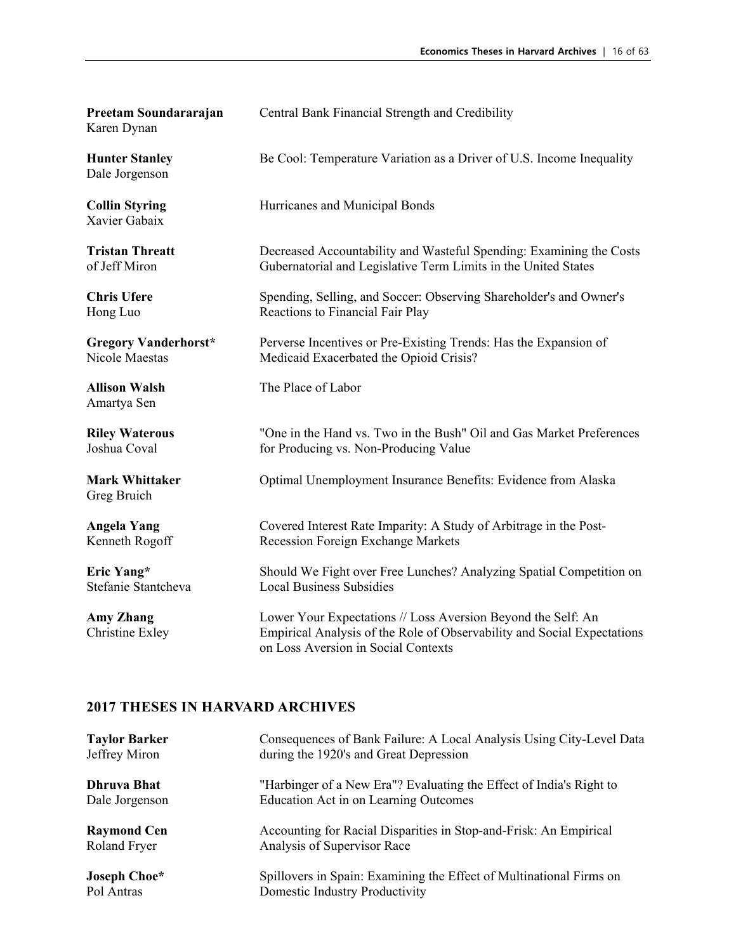| Preetam Soundararajan<br>Karen Dynan    | Central Bank Financial Strength and Credibility                                                                                                                                |
|-----------------------------------------|--------------------------------------------------------------------------------------------------------------------------------------------------------------------------------|
| <b>Hunter Stanley</b><br>Dale Jorgenson | Be Cool: Temperature Variation as a Driver of U.S. Income Inequality                                                                                                           |
| <b>Collin Styring</b><br>Xavier Gabaix  | Hurricanes and Municipal Bonds                                                                                                                                                 |
| <b>Tristan Threatt</b>                  | Decreased Accountability and Wasteful Spending: Examining the Costs                                                                                                            |
| of Jeff Miron                           | Gubernatorial and Legislative Term Limits in the United States                                                                                                                 |
| <b>Chris Ufere</b>                      | Spending, Selling, and Soccer: Observing Shareholder's and Owner's                                                                                                             |
| Hong Luo                                | Reactions to Financial Fair Play                                                                                                                                               |
| <b>Gregory Vanderhorst*</b>             | Perverse Incentives or Pre-Existing Trends: Has the Expansion of                                                                                                               |
| <b>Nicole Maestas</b>                   | Medicaid Exacerbated the Opioid Crisis?                                                                                                                                        |
| <b>Allison Walsh</b><br>Amartya Sen     | The Place of Labor                                                                                                                                                             |
| <b>Riley Waterous</b>                   | "One in the Hand vs. Two in the Bush" Oil and Gas Market Preferences                                                                                                           |
| Joshua Coval                            | for Producing vs. Non-Producing Value                                                                                                                                          |
| <b>Mark Whittaker</b><br>Greg Bruich    | Optimal Unemployment Insurance Benefits: Evidence from Alaska                                                                                                                  |
| <b>Angela Yang</b>                      | Covered Interest Rate Imparity: A Study of Arbitrage in the Post-                                                                                                              |
| Kenneth Rogoff                          | Recession Foreign Exchange Markets                                                                                                                                             |
| Eric Yang*                              | Should We Fight over Free Lunches? Analyzing Spatial Competition on                                                                                                            |
| Stefanie Stantcheva                     | <b>Local Business Subsidies</b>                                                                                                                                                |
| <b>Amy Zhang</b><br>Christine Exley     | Lower Your Expectations // Loss Aversion Beyond the Self: An<br>Empirical Analysis of the Role of Observability and Social Expectations<br>on Loss Aversion in Social Contexts |

| <b>Taylor Barker</b> | Consequences of Bank Failure: A Local Analysis Using City-Level Data |
|----------------------|----------------------------------------------------------------------|
| Jeffrey Miron        | during the 1920's and Great Depression                               |
| <b>Dhruva Bhat</b>   | "Harbinger of a New Era"? Evaluating the Effect of India's Right to  |
| Dale Jorgenson       | Education Act in on Learning Outcomes                                |
| <b>Raymond Cen</b>   | Accounting for Racial Disparities in Stop-and-Frisk: An Empirical    |
| Roland Fryer         | Analysis of Supervisor Race                                          |
| Joseph Choe*         | Spillovers in Spain: Examining the Effect of Multinational Firms on  |
| Pol Antras           | Domestic Industry Productivity                                       |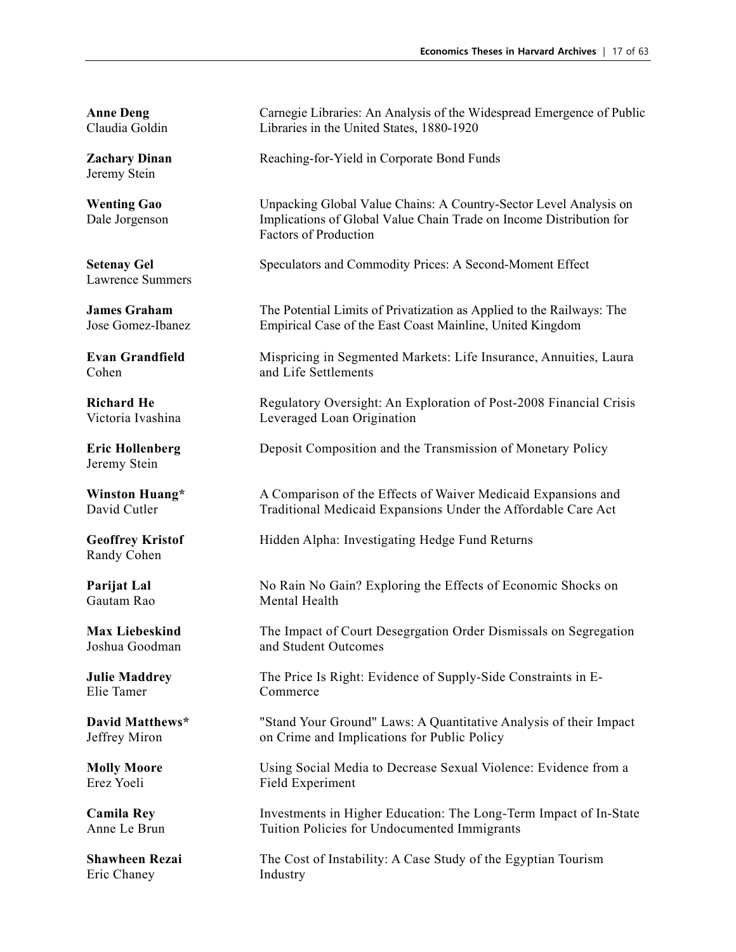Jeremy Stein

Lawrence Summers

Jeremy Stein

Randy Cohen

Elie Tamer Commerce

Eric Chaney **Industry** 

**Anne Deng** Carnegie Libraries: An Analysis of the Widespread Emergence of Public Claudia Goldin Libraries in the United States, 1880-1920

**Zachary Dinan** Reaching-for-Yield in Corporate Bond Funds

**Wenting Gao** Unpacking Global Value Chains: A Country-Sector Level Analysis on Dale Jorgenson Implications of Global Value Chain Trade on Income Distribution for Factors of Production

**Setenay Gel Speculators and Commodity Prices: A Second-Moment Effect** 

**James Graham** The Potential Limits of Privatization as Applied to the Railways: The Jose Gomez-Ibanez Empirical Case of the East Coast Mainline, United Kingdom

**Evan Grandfield** Mispricing in Segmented Markets: Life Insurance, Annuities, Laura Cohen and Life Settlements

**Richard He** Regulatory Oversight: An Exploration of Post-2008 Financial Crisis Victoria Ivashina Leveraged Loan Origination

**Eric Hollenberg** Deposit Composition and the Transmission of Monetary Policy

**Winston Huang\*** A Comparison of the Effects of Waiver Medicaid Expansions and David Cutler Traditional Medicaid Expansions Under the Affordable Care Act

**Geoffrey Kristof** Hidden Alpha: Investigating Hedge Fund Returns

**Parijat Lal** No Rain No Gain? Exploring the Effects of Economic Shocks on Gautam Rao Mental Health

**Max Liebeskind** The Impact of Court Desegrgation Order Dismissals on Segregation Joshua Goodman and Student Outcomes

**Julie Maddrey** The Price Is Right: Evidence of Supply-Side Constraints in E-

**David Matthews\*** "Stand Your Ground" Laws: A Quantitative Analysis of their Impact Jeffrey Miron on Crime and Implications for Public Policy

**Molly Moore** Using Social Media to Decrease Sexual Violence: Evidence from a<br>
Field Experiment Field Experiment

**Camila Rey 19. Investments in Higher Education: The Long-Term Impact of In-State** Anne Le Brun Tuition Policies for Undocumented Immigrants

**Shawheen Rezai** The Cost of Instability: A Case Study of the Egyptian Tourism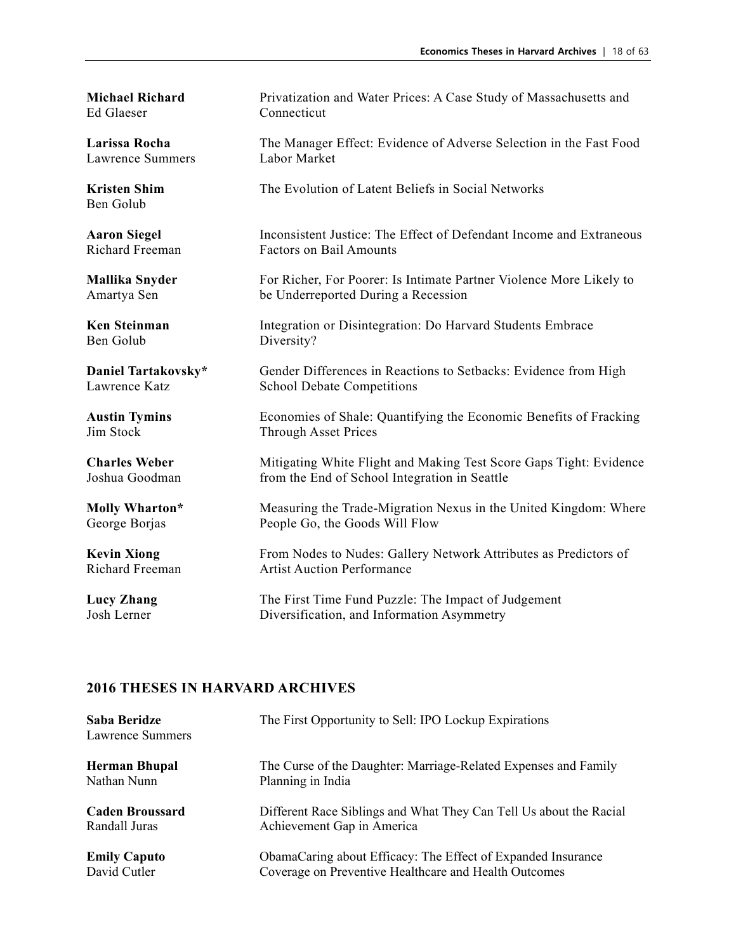Ed Glaeser Connecticut

Lawrence Summers

Ben Golub

Ben Golub Diversity?

**Michael Richard Privatization and Water Prices: A Case Study of Massachusetts and** 

**Larissa Rocha** The Manager Effect: Evidence of Adverse Selection in the Fast Food<br>Lawrence Summers Labor Market

**Kristen Shim** The Evolution of Latent Beliefs in Social Networks

**Aaron Siegel** Inconsistent Justice: The Effect of Defendant Income and Extraneous Richard Freeman Factors on Bail Amounts

**Mallika Snyder** For Richer, For Poorer: Is Intimate Partner Violence More Likely to Amartya Sen be Underreported During a Recession

**Ken Steinman Integration or Disintegration: Do Harvard Students Embrace** 

**Daniel Tartakovsky\*** Gender Differences in Reactions to Setbacks: Evidence from High Lawrence Katz<br>
Competitions School Debate Competitions

**Austin Tymins** Economies of Shale: Quantifying the Economic Benefits of Fracking Jim Stock Through Asset Prices

**Charles Weber** Mitigating White Flight and Making Test Score Gaps Tight: Evidence Joshua Goodman from the End of School Integration in Seattle

**Molly Wharton\*** Measuring the Trade-Migration Nexus in the United Kingdom: Where George Borjas People Go, the Goods Will Flow

**Kevin Xiong** From Nodes to Nudes: Gallery Network Attributes as Predictors of Richard Freeman Artist Auction Performance

**Lucy Zhang** The First Time Fund Puzzle: The Impact of Judgement<br>
Josh Lerner Diversification and Information Asymmetry Diversification, and Information Asymmetry

| Saba Beridze<br>Lawrence Summers | The First Opportunity to Sell: IPO Lockup Expirations              |
|----------------------------------|--------------------------------------------------------------------|
| <b>Herman Bhupal</b>             | The Curse of the Daughter: Marriage-Related Expenses and Family    |
| Nathan Nunn                      | Planning in India                                                  |
| <b>Caden Broussard</b>           | Different Race Siblings and What They Can Tell Us about the Racial |
| Randall Juras                    | Achievement Gap in America                                         |
| <b>Emily Caputo</b>              | ObamaCaring about Efficacy: The Effect of Expanded Insurance       |
| David Cutler                     | Coverage on Preventive Healthcare and Health Outcomes              |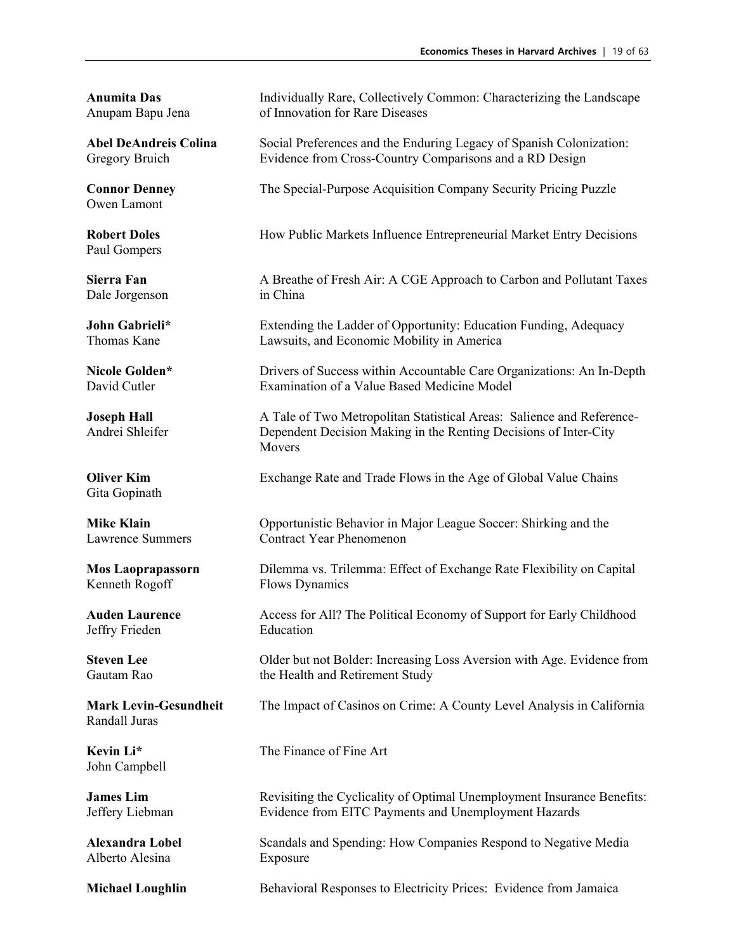Owen Lamont

Paul Gompers

Dale Jorgenson in China

Gita Gopinath

Kenneth Rogoff Flows Dynamics

Jeffry Frieden Education

Randall Juras

John Campbell

Alberto Alesina Exposure

**Anumita Das** Individually Rare, Collectively Common: Characterizing the Landscape Anupam Bapu Jena of Innovation for Rare Diseases

**Abel DeAndreis Colina** Social Preferences and the Enduring Legacy of Spanish Colonization: Gregory Bruich Evidence from Cross-Country Comparisons and a RD Design

**Connor Denney** The Special-Purpose Acquisition Company Security Pricing Puzzle

**Robert Doles** How Public Markets Influence Entrepreneurial Market Entry Decisions

**Sierra Fan** A Breathe of Fresh Air: A CGE Approach to Carbon and Pollutant Taxes

**John Gabrieli\*** Extending the Ladder of Opportunity: Education Funding, Adequacy Thomas Kane Lawsuits, and Economic Mobility in America

**Nicole Golden\*** Drivers of Success within Accountable Care Organizations: An In-Depth David Cutler **Care Conserversity** Examination of a Value Based Medicine Model Examination of a Value Based Medicine Model

**Joseph Hall** A Tale of Two Metropolitan Statistical Areas: Salience and Reference-Andrei Shleifer Dependent Decision Making in the Renting Decisions of Inter-City **Movers** 

**Oliver Kim** Exchange Rate and Trade Flows in the Age of Global Value Chains

**Mike Klain Opportunistic Behavior in Major League Soccer: Shirking and the** Lawrence Summers Contract Year Phenomenon

**Mos Laoprapassorn** Dilemma vs. Trilemma: Effect of Exchange Rate Flexibility on Capital

Auden Laurence Access for All? The Political Economy of Support for Early Childhood

**Steven Lee** Older but not Bolder: Increasing Loss Aversion with Age. Evidence from Gautam Rao the Health and Retirement Study

**Mark Levin-Gesundheit** The Impact of Casinos on Crime: A County Level Analysis in California

**Kevin Li<sup>\*</sup>** The Finance of Fine Art

**James Lim** Revisiting the Cyclicality of Optimal Unemployment Insurance Benefits: Jeffery Liebman Evidence from EITC Payments and Unemployment Hazards

**Alexandra Lobel** Scandals and Spending: How Companies Respond to Negative Media

**Michael Loughlin** Behavioral Responses to Electricity Prices: Evidence from Jamaica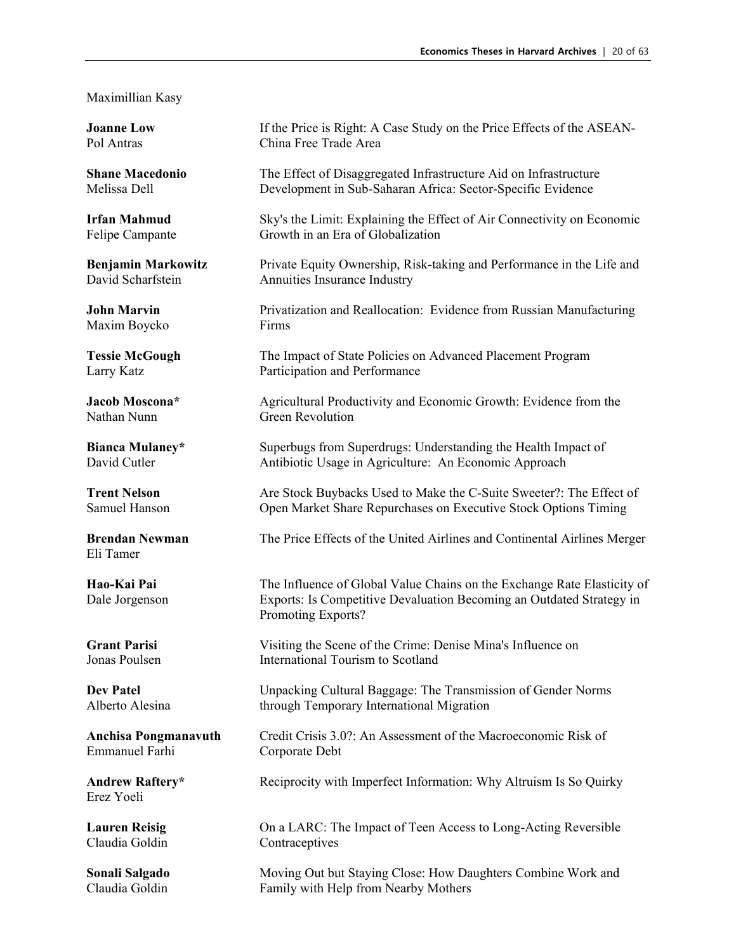#### Maximillian Kasy

Maxim Boycko Firms

Eli Tamer

Emmanuel Farhi Corporate Debt

Erez Yoeli

**Joanne Low** If the Price is Right: A Case Study on the Price Effects of the ASEAN-Pol Antras China Free Trade Area

**Shane Macedonio** The Effect of Disaggregated Infrastructure Aid on Infrastructure Melissa Dell Development in Sub-Saharan Africa: Sector-Specific Evidence

**Irfan Mahmud** Sky's the Limit: Explaining the Effect of Air Connectivity on Economic Felipe Campante Growth in an Era of Globalization

**Benjamin Markowitz** Private Equity Ownership, Risk-taking and Performance in the Life and David Scharfstein Annuities Insurance Industry

**John Marvin** Privatization and Reallocation: Evidence from Russian Manufacturing

**Tessie McGough** The Impact of State Policies on Advanced Placement Program Larry Katz **Participation and Performance** 

**Jacob Moscona\*** Agricultural Productivity and Economic Growth: Evidence from the Nathan Nunn Green Revolution

**Bianca Mulaney\*** Superbugs from Superdrugs: Understanding the Health Impact of David Cutler **Antibiotic Usage in Agriculture:** An Economic Approach

**Trent Nelson** Are Stock Buybacks Used to Make the C-Suite Sweeter?: The Effect of Samuel Hanson Open Market Share Repurchases on Executive Stock Options Timing

**Brendan Newman** The Price Effects of the United Airlines and Continental Airlines Merger

**Hao-Kai Pai** The Influence of Global Value Chains on the Exchange Rate Elasticity of Dale Jorgenson Exports: Is Competitive Devaluation Becoming an Outdated Strategy in Promoting Exports?

**Grant Parisi** Visiting the Scene of the Crime: Denise Mina's Influence on Jonas Poulsen International Tourism to Scotland

**Dev Patel** Unpacking Cultural Baggage: The Transmission of Gender Norms Alberto Alesina through Temporary International Migration

**Anchisa Pongmanavuth** Credit Crisis 3.0?: An Assessment of the Macroeconomic Risk of

**Andrew Raftery\*** Reciprocity with Imperfect Information: Why Altruism Is So Quirky

**Lauren Reisig** Con a LARC: The Impact of Teen Access to Long-Acting Reversible Claudia Goldin Contraceptives

**Sonali Salgado** Moving Out but Staying Close: How Daughters Combine Work and Claudia Goldin Family with Help from Nearby Mothers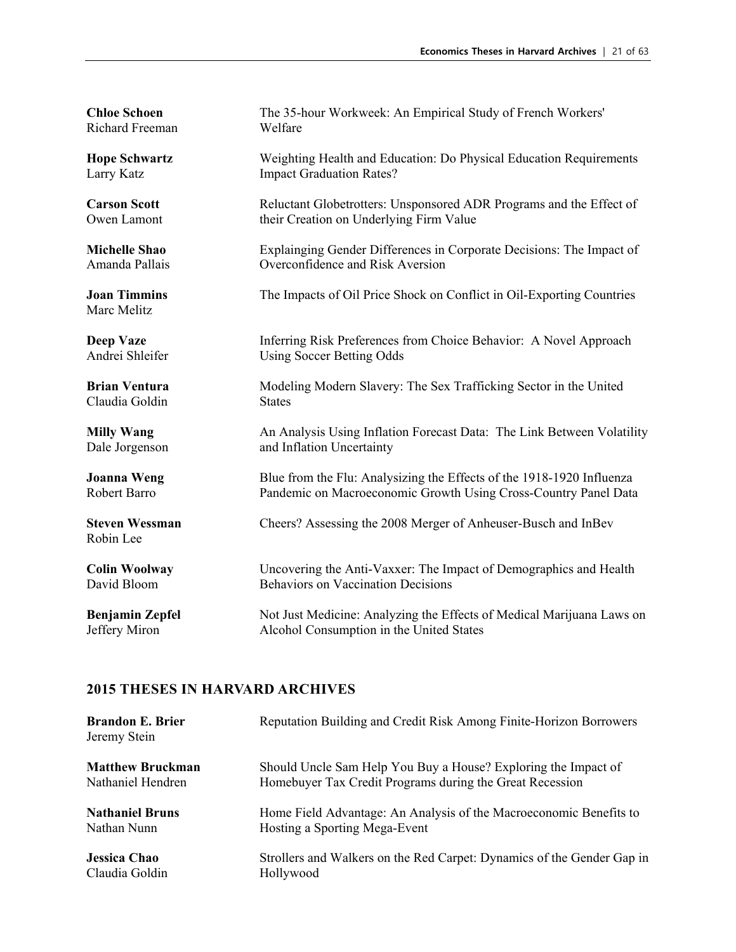Richard Freeman Welfare

Marc Melitz

Claudia Goldin States

Robin Lee

**Chloe Schoen** The 35-hour Workweek: An Empirical Study of French Workers'

**Hope Schwartz** Weighting Health and Education: Do Physical Education Requirements Larry Katz **Impact Graduation Rates?** 

**Carson Scott** Reluctant Globetrotters: Unsponsored ADR Programs and the Effect of Owen Lamont their Creation on Underlying Firm Value

**Michelle Shao** Explainging Gender Differences in Corporate Decisions: The Impact of Amanda Pallais Overconfidence and Risk Aversion Overconfidence and Risk Aversion

**Joan Timmins** The Impacts of Oil Price Shock on Conflict in Oil-Exporting Countries

**Deep Vaze** Inferring Risk Preferences from Choice Behavior: A Novel Approach Andrei Shleifer Using Soccer Betting Odds

**Brian Ventura** Modeling Modern Slavery: The Sex Trafficking Sector in the United

**Milly Wang** An Analysis Using Inflation Forecast Data: The Link Between Volatility Dale Jorgenson and Inflation Uncertainty

**Joanna Weng** Blue from the Flu: Analysizing the Effects of the 1918-1920 Influenza Robert Barro Pandemic on Macroeconomic Growth Using Cross-Country Panel Data

**Steven Wessman** Cheers? Assessing the 2008 Merger of Anheuser-Busch and InBev

**Colin Woolway** Uncovering the Anti-Vaxxer: The Impact of Demographics and Health David Bloom Behaviors on Vaccination Decisions

**Benjamin Zepfel** Not Just Medicine: Analyzing the Effects of Medical Marijuana Laws on Jeffery Miron Alcohol Consumption in the United States

| <b>Brandon E. Brier</b><br>Jeremy Stein | Reputation Building and Credit Risk Among Finite-Horizon Borrowers     |
|-----------------------------------------|------------------------------------------------------------------------|
| <b>Matthew Bruckman</b>                 | Should Uncle Sam Help You Buy a House? Exploring the Impact of         |
| Nathaniel Hendren                       | Homebuyer Tax Credit Programs during the Great Recession               |
| <b>Nathaniel Bruns</b>                  | Home Field Advantage: An Analysis of the Macroeconomic Benefits to     |
| Nathan Nunn                             | Hosting a Sporting Mega-Event                                          |
| <b>Jessica Chao</b>                     | Strollers and Walkers on the Red Carpet: Dynamics of the Gender Gap in |
| Claudia Goldin                          | Hollywood                                                              |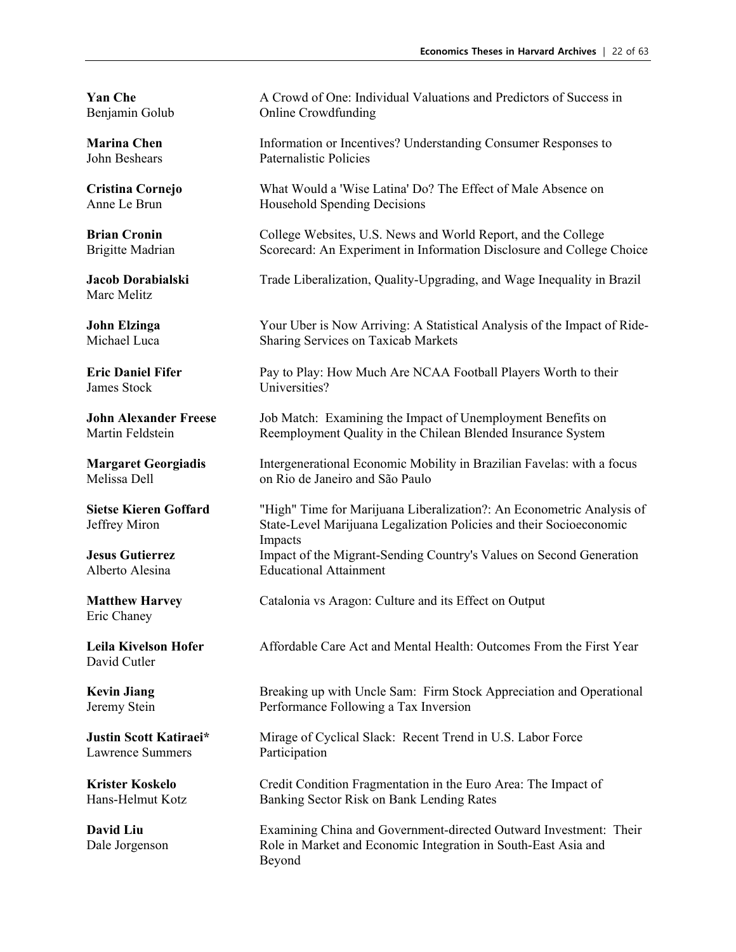Marc Melitz

James Stock Universities?

Eric Chaney

David Cutler

Lawrence Summers Participation

**Yan Che** A Crowd of One: Individual Valuations and Predictors of Success in Benjamin Golub Online Crowdfunding

**Marina Chen** Information or Incentives? Understanding Consumer Responses to John Beshears Paternalistic Policies Paternalistic Policies

**Cristina Cornejo** What Would a 'Wise Latina' Do? The Effect of Male Absence on Anne Le Brun Household Spending Decisions

**Brian Cronin** College Websites, U.S. News and World Report, and the College Brigitte Madrian Scorecard: An Experiment in Information Disclosure and College Choice

**Jacob Dorabialski** Trade Liberalization, Quality-Upgrading, and Wage Inequality in Brazil

**John Elzinga** Your Uber is Now Arriving: A Statistical Analysis of the Impact of Ride-Michael Luca Sharing Services on Taxicab Markets

**Eric Daniel Fifer** Pay to Play: How Much Are NCAA Football Players Worth to their

**John Alexander Freese** Job Match: Examining the Impact of Unemployment Benefits on Martin Feldstein **Reemployment Quality in the Chilean Blended Insurance System** 

**Margaret Georgiadis** Intergenerational Economic Mobility in Brazilian Favelas: with a focus Melissa Dell on Rio de Janeiro and São Paulo

**Sietse Kieren Goffard** "High" Time for Marijuana Liberalization?: An Econometric Analysis of Jeffrey Miron State-Level Marijuana Legalization Policies and their Socioeconomic Impacts **Jesus Gutierrez** Impact of the Migrant-Sending Country's Values on Second Generation Alberto Alesina Educational Attainment

**Matthew Harvey** Catalonia vs Aragon: Culture and its Effect on Output

**Leila Kivelson Hofer** Affordable Care Act and Mental Health: Outcomes From the First Year

**Kevin Jiang** Breaking up with Uncle Sam: Firm Stock Appreciation and Operational Jeremy Stein Performance Following a Tax Inversion

**Justin Scott Katiraei\*** Mirage of Cyclical Slack: Recent Trend in U.S. Labor Force

**Krister Koskelo** Credit Condition Fragmentation in the Euro Area: The Impact of Hans-Helmut Kotz Banking Sector Risk on Bank Lending Rates

**David Liu** Examining China and Government-directed Outward Investment: Their Dale Jorgenson Role in Market and Economic Integration in South-East Asia and Beyond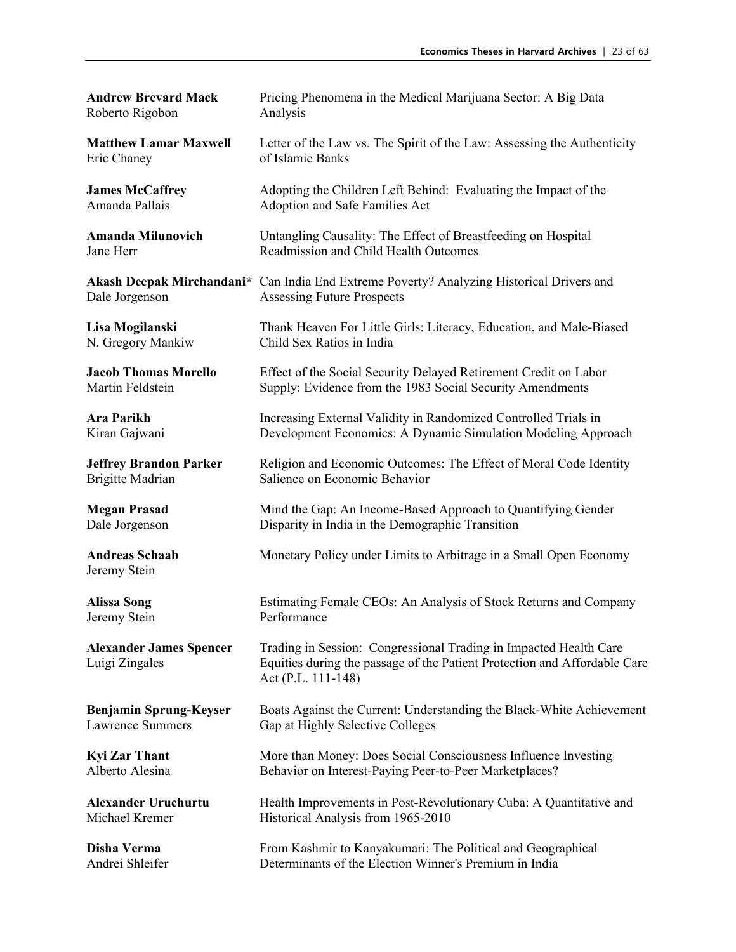| <b>Andrew Brevard Mack</b>                       | Pricing Phenomena in the Medical Marijuana Sector: A Big Data                                                                                                        |
|--------------------------------------------------|----------------------------------------------------------------------------------------------------------------------------------------------------------------------|
| Roberto Rigobon                                  | Analysis                                                                                                                                                             |
| <b>Matthew Lamar Maxwell</b>                     | Letter of the Law vs. The Spirit of the Law: Assessing the Authenticity                                                                                              |
| Eric Chaney                                      | of Islamic Banks                                                                                                                                                     |
| <b>James McCaffrey</b>                           | Adopting the Children Left Behind: Evaluating the Impact of the                                                                                                      |
| Amanda Pallais                                   | Adoption and Safe Families Act                                                                                                                                       |
| <b>Amanda Milunovich</b>                         | Untangling Causality: The Effect of Breastfeeding on Hospital                                                                                                        |
| Jane Herr                                        | Readmission and Child Health Outcomes                                                                                                                                |
| Dale Jorgenson                                   | Akash Deepak Mirchandani* Can India End Extreme Poverty? Analyzing Historical Drivers and<br><b>Assessing Future Prospects</b>                                       |
| Lisa Mogilanski                                  | Thank Heaven For Little Girls: Literacy, Education, and Male-Biased                                                                                                  |
| N. Gregory Mankiw                                | Child Sex Ratios in India                                                                                                                                            |
| <b>Jacob Thomas Morello</b>                      | Effect of the Social Security Delayed Retirement Credit on Labor                                                                                                     |
| Martin Feldstein                                 | Supply: Evidence from the 1983 Social Security Amendments                                                                                                            |
| <b>Ara Parikh</b>                                | Increasing External Validity in Randomized Controlled Trials in                                                                                                      |
| Kiran Gajwani                                    | Development Economics: A Dynamic Simulation Modeling Approach                                                                                                        |
| <b>Jeffrey Brandon Parker</b>                    | Religion and Economic Outcomes: The Effect of Moral Code Identity                                                                                                    |
| <b>Brigitte Madrian</b>                          | Salience on Economic Behavior                                                                                                                                        |
| <b>Megan Prasad</b>                              | Mind the Gap: An Income-Based Approach to Quantifying Gender                                                                                                         |
| Dale Jorgenson                                   | Disparity in India in the Demographic Transition                                                                                                                     |
| <b>Andreas Schaab</b><br>Jeremy Stein            | Monetary Policy under Limits to Arbitrage in a Small Open Economy                                                                                                    |
| <b>Alissa Song</b>                               | Estimating Female CEOs: An Analysis of Stock Returns and Company                                                                                                     |
| Jeremy Stein                                     | Performance                                                                                                                                                          |
| <b>Alexander James Spencer</b><br>Luigi Zingales | Trading in Session: Congressional Trading in Impacted Health Care<br>Equities during the passage of the Patient Protection and Affordable Care<br>Act (P.L. 111-148) |
| <b>Benjamin Sprung-Keyser</b>                    | Boats Against the Current: Understanding the Black-White Achievement                                                                                                 |
| <b>Lawrence Summers</b>                          | Gap at Highly Selective Colleges                                                                                                                                     |
| <b>Kyi Zar Thant</b>                             | More than Money: Does Social Consciousness Influence Investing                                                                                                       |
| Alberto Alesina                                  | Behavior on Interest-Paying Peer-to-Peer Marketplaces?                                                                                                               |
| <b>Alexander Uruchurtu</b>                       | Health Improvements in Post-Revolutionary Cuba: A Quantitative and                                                                                                   |
| Michael Kremer                                   | Historical Analysis from 1965-2010                                                                                                                                   |
| Disha Verma                                      | From Kashmir to Kanyakumari: The Political and Geographical                                                                                                          |
| Andrei Shleifer                                  | Determinants of the Election Winner's Premium in India                                                                                                               |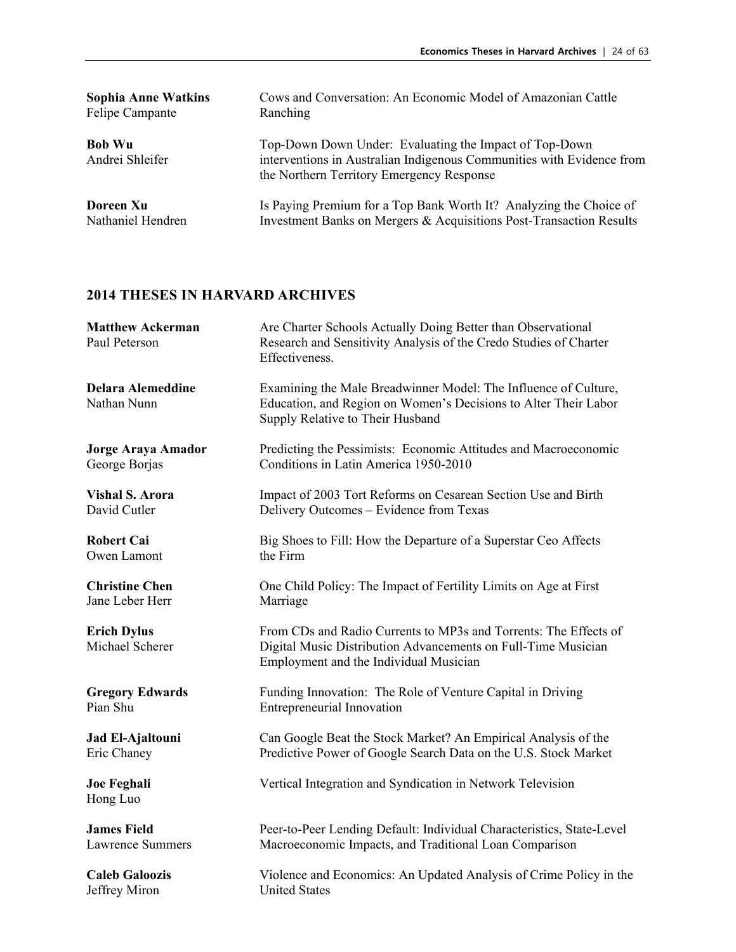| <b>Sophia Anne Watkins</b>       | Cows and Conversation: An Economic Model of Amazonian Cattle                                                                                                                 |
|----------------------------------|------------------------------------------------------------------------------------------------------------------------------------------------------------------------------|
| Felipe Campante                  | Ranching                                                                                                                                                                     |
| <b>Bob Wu</b><br>Andrei Shleifer | Top-Down Down Under: Evaluating the Impact of Top-Down<br>interventions in Australian Indigenous Communities with Evidence from<br>the Northern Territory Emergency Response |
| Doreen Xu                        | Is Paying Premium for a Top Bank Worth It? Analyzing the Choice of                                                                                                           |
| Nathaniel Hendren                | Investment Banks on Mergers & Acquisitions Post-Transaction Results                                                                                                          |

| <b>Matthew Ackerman</b><br>Paul Peterson | Are Charter Schools Actually Doing Better than Observational<br>Research and Sensitivity Analysis of the Credo Studies of Charter<br>Effectiveness.                         |
|------------------------------------------|-----------------------------------------------------------------------------------------------------------------------------------------------------------------------------|
| <b>Delara Alemeddine</b><br>Nathan Nunn  | Examining the Male Breadwinner Model: The Influence of Culture,<br>Education, and Region on Women's Decisions to Alter Their Labor<br>Supply Relative to Their Husband      |
| <b>Jorge Araya Amador</b>                | Predicting the Pessimists: Economic Attitudes and Macroeconomic                                                                                                             |
| George Borjas                            | Conditions in Latin America 1950-2010                                                                                                                                       |
| <b>Vishal S. Arora</b>                   | Impact of 2003 Tort Reforms on Cesarean Section Use and Birth                                                                                                               |
| David Cutler                             | Delivery Outcomes - Evidence from Texas                                                                                                                                     |
| <b>Robert Cai</b>                        | Big Shoes to Fill: How the Departure of a Superstar Ceo Affects                                                                                                             |
| Owen Lamont                              | the Firm                                                                                                                                                                    |
| <b>Christine Chen</b>                    | One Child Policy: The Impact of Fertility Limits on Age at First                                                                                                            |
| Jane Leber Herr                          | Marriage                                                                                                                                                                    |
| <b>Erich Dylus</b><br>Michael Scherer    | From CDs and Radio Currents to MP3s and Torrents: The Effects of<br>Digital Music Distribution Advancements on Full-Time Musician<br>Employment and the Individual Musician |
| <b>Gregory Edwards</b>                   | Funding Innovation: The Role of Venture Capital in Driving                                                                                                                  |
| Pian Shu                                 | <b>Entrepreneurial Innovation</b>                                                                                                                                           |
| Jad El-Ajaltouni                         | Can Google Beat the Stock Market? An Empirical Analysis of the                                                                                                              |
| Eric Chaney                              | Predictive Power of Google Search Data on the U.S. Stock Market                                                                                                             |
| <b>Joe Feghali</b><br>Hong Luo           | Vertical Integration and Syndication in Network Television                                                                                                                  |
| <b>James Field</b>                       | Peer-to-Peer Lending Default: Individual Characteristics, State-Level                                                                                                       |
| <b>Lawrence Summers</b>                  | Macroeconomic Impacts, and Traditional Loan Comparison                                                                                                                      |
| <b>Caleb Galoozis</b>                    | Violence and Economics: An Updated Analysis of Crime Policy in the                                                                                                          |
| Jeffrey Miron                            | <b>United States</b>                                                                                                                                                        |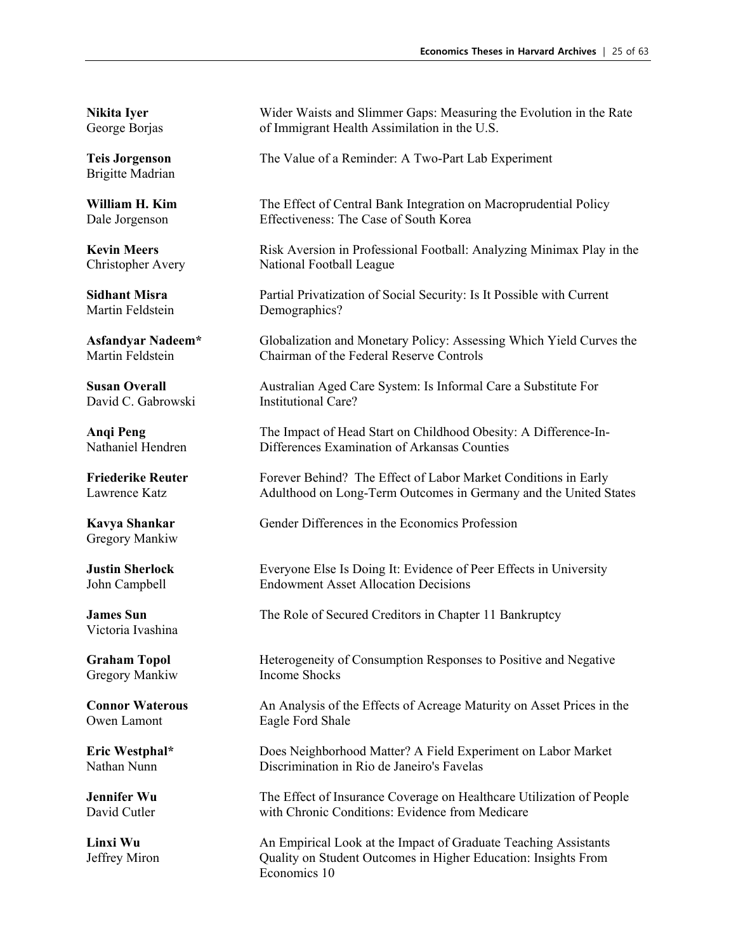Brigitte Madrian

Martin Feldstein Demographics?

David C. Gabrowski Institutional Care?

Gregory Mankiw

Victoria Ivashina

Gregory Mankiw Income Shocks

Owen Lamont Eagle Ford Shale

**Nikita Iyer** Wider Waists and Slimmer Gaps: Measuring the Evolution in the Rate George Borjas of Immigrant Health Assimilation in the U.S.

**Teis Jorgenson** The Value of a Reminder: A Two-Part Lab Experiment

William H. Kim The Effect of Central Bank Integration on Macroprudential Policy Dale Jorgenson Effectiveness: The Case of South Korea

Kevin Meers **Risk Aversion in Professional Football: Analyzing Minimax Play in the** Christopher Avery National Football League

**Sidhant Misra** Partial Privatization of Social Security: Is It Possible with Current

**Asfandyar Nadeem\*** Globalization and Monetary Policy: Assessing Which Yield Curves the Martin Feldstein Chairman of the Federal Reserve Controls

**Susan Overall** Australian Aged Care System: Is Informal Care a Substitute For

**Anqi Peng** The Impact of Head Start on Childhood Obesity: A Difference-In-<br>Nathaniel Hendren Differences Examination of Arkansas Counties Differences Examination of Arkansas Counties

**Friederike Reuter** Forever Behind? The Effect of Labor Market Conditions in Early Lawrence Katz Adulthood on Long-Term Outcomes in Germany and the United States

**Kavya Shankar** Gender Differences in the Economics Profession

**Justin Sherlock** Everyone Else Is Doing It: Evidence of Peer Effects in University John Campbell Endowment Asset Allocation Decisions

**James Sun** The Role of Secured Creditors in Chapter 11 Bankruptcy

**Graham Topol Heterogeneity of Consumption Responses to Positive and Negative** 

**Connor Waterous** An Analysis of the Effects of Acreage Maturity on Asset Prices in the

**Eric Westphal\*** Does Neighborhood Matter? A Field Experiment on Labor Market Nathan Nunn Discrimination in Rio de Janeiro's Favelas

**Jennifer Wu** The Effect of Insurance Coverage on Healthcare Utilization of People David Cutler with Chronic Conditions: Evidence from Medicare

**Linxi Wu** An Empirical Look at the Impact of Graduate Teaching Assistants Jeffrey Miron Quality on Student Outcomes in Higher Education: Insights From Economics 10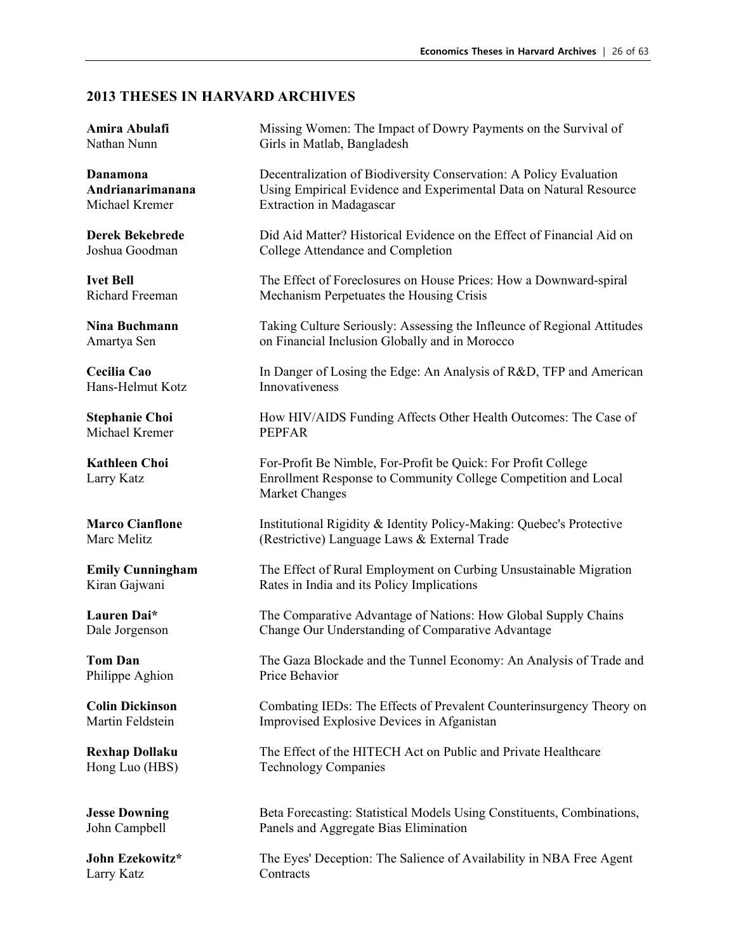Hans-Helmut Kotz Innovativeness

Michael Kremer PEPFAR

Philippe Aghion Price Behavior

Larry Katz Contracts

**Amira Abulafi** Missing Women: The Impact of Dowry Payments on the Survival of Nathan Nunn Girls in Matlab, Bangladesh

**Danamona Decentralization of Biodiversity Conservation: A Policy Evaluation Andrianarimanana** Using Empirical Evidence and Experimental Data on Natural Resource Michael Kremer Extraction in Madagascar

**Derek Bekebrede** Did Aid Matter? Historical Evidence on the Effect of Financial Aid on Joshua Goodman College Attendance and Completion

**Ivet Bell** The Effect of Foreclosures on House Prices: How a Downward-spiral Richard Freeman Mechanism Perpetuates the Housing Crisis

**Nina Buchmann** Taking Culture Seriously: Assessing the Infleunce of Regional Attitudes Amartya Sen on Financial Inclusion Globally and in Morocco

**Cecilia Cao** In Danger of Losing the Edge: An Analysis of R&D, TFP and American

**Stephanie Choi** How HIV/AIDS Funding Affects Other Health Outcomes: The Case of

**Kathleen Choi** For-Profit Be Nimble, For-Profit be Quick: For Profit College Larry Katz Enrollment Response to Community College Competition and Local Market Changes

**Marco Cianflone** Institutional Rigidity & Identity Policy-Making: Quebec's Protective Marc Melitz (Restrictive) Language Laws & External Trade

**Emily Cunningham** The Effect of Rural Employment on Curbing Unsustainable Migration Kiran Gajwani Rates in India and its Policy Implications

Lauren Dai\* The Comparative Advantage of Nations: How Global Supply Chains Dale Jorgenson Change Our Understanding of Comparative Advantage

**Tom Dan** The Gaza Blockade and the Tunnel Economy: An Analysis of Trade and

**Colin Dickinson** Combating IEDs: The Effects of Prevalent Counterinsurgency Theory on Martin Feldstein Improvised Explosive Devices in Afganistan

**Rexhap Dollaku** The Effect of the HITECH Act on Public and Private Healthcare Hong Luo (HBS) Technology Companies

**Jesse Downing Statistical Models Using Constituents, Combinations, Inc. 2016** Beta Forecasting: Statistical Models Using Constituents, Combinations, John Campbell Panels and Aggregate Bias Elimination

**John Ezekowitz\*** The Eyes' Deception: The Salience of Availability in NBA Free Agent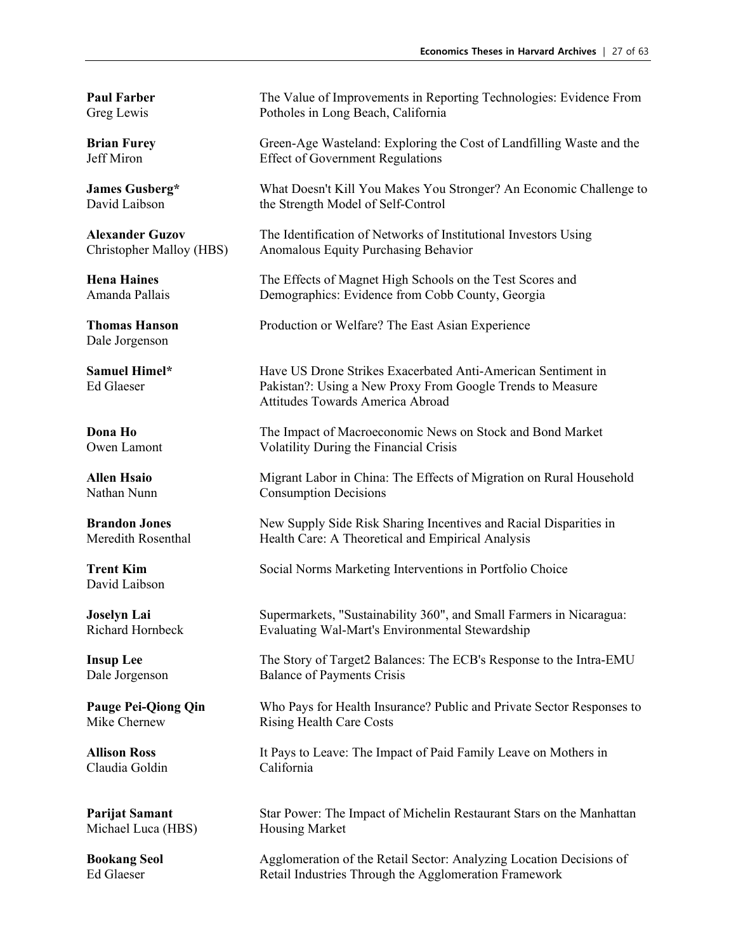Dale Jorgenson

David Laibson

Claudia Goldin California

Michael Luca (HBS) Housing Market

**Paul Farber** The Value of Improvements in Reporting Technologies: Evidence From Greg Lewis Potholes in Long Beach, California

**Brian Furey** Green-Age Wasteland: Exploring the Cost of Landfilling Waste and the Jeff Miron Effect of Government Regulations

**James Gusberg\*** What Doesn't Kill You Makes You Stronger? An Economic Challenge to David Laibson the Strength Model of Self-Control

**Alexander Guzov** The Identification of Networks of Institutional Investors Using Christopher Malloy (HBS) Anomalous Equity Purchasing Behavior

**Hena Haines** The Effects of Magnet High Schools on the Test Scores and Amanda Pallais Demographics: Evidence from Cobb County, Georgia

**Thomas Hanson** Production or Welfare? The East Asian Experience

**Samuel Himel\*** Have US Drone Strikes Exacerbated Anti-American Sentiment in<br> **Ed Glaeser** Pakistan<sup>2</sup>: Using a New Proxy From Google Trends to Measure Pakistan?: Using a New Proxy From Google Trends to Measure Attitudes Towards America Abroad

**Dona Ho** The Impact of Macroeconomic News on Stock and Bond Market Owen Lamont Volatility During the Financial Crisis Volatility During the Financial Crisis

**Allen Hsaio** Migrant Labor in China: The Effects of Migration on Rural Household Nathan Nunn Consumption Decisions

**Brandon Jones** New Supply Side Risk Sharing Incentives and Racial Disparities in Meredith Rosenthal Health Care: A Theoretical and Empirical Analysis

**Trent Kim** Social Norms Marketing Interventions in Portfolio Choice

**Joselyn Lai** Supermarkets, "Sustainability 360", and Small Farmers in Nicaragua: Richard Hornbeck Evaluating Wal-Mart's Environmental Stewardship

**Insup Lee** The Story of Target2 Balances: The ECB's Response to the Intra-EMU Dale Jorgenson Balance of Payments Crisis

**Pauge Pei-Qiong Qin** Who Pays for Health Insurance? Public and Private Sector Responses to Mike Chernew Rising Health Care Costs Rising Health Care Costs

**Allison Ross** It Pays to Leave: The Impact of Paid Family Leave on Mothers in

**Parijat Samant** Star Power: The Impact of Michelin Restaurant Stars on the Manhattan

**Bookang Seol** Agglomeration of the Retail Sector: Analyzing Location Decisions of Ed Glaeser **Retail Industries Through the Agglomeration Framework**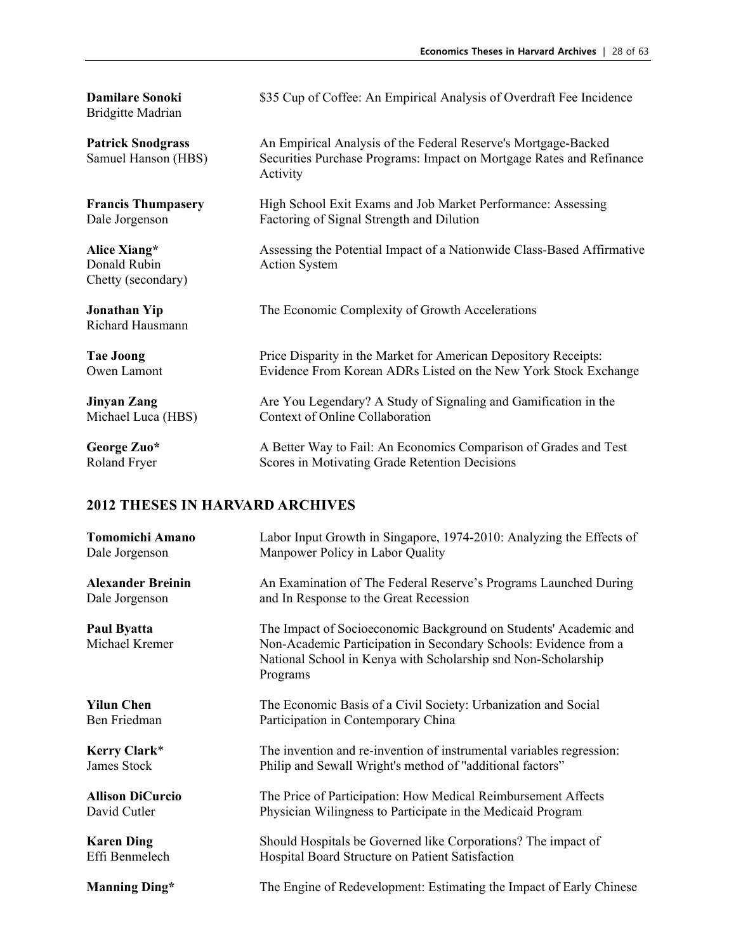Bridgitte Madrian

Chetty (secondary)

Richard Hausmann

**Damilare Sonoki** \$35 Cup of Coffee: An Empirical Analysis of Overdraft Fee Incidence

**Patrick Snodgrass** An Empirical Analysis of the Federal Reserve's Mortgage-Backed Samuel Hanson (HBS) Securities Purchase Programs: Impact on Mortgage Rates and Refi Securities Purchase Programs: Impact on Mortgage Rates and Refinance Activity

**Francis Thumpasery** High School Exit Exams and Job Market Performance: Assessing Dale Jorgenson Factoring of Signal Strength and Dilution

Alice Xiang\* Assessing the Potential Impact of a Nationwide Class-Based Affirmative<br>Donald Rubin **Action** System Action System

**Jonathan Yip** The Economic Complexity of Growth Accelerations

Tae Joong **Price Disparity in the Market for American Depository Receipts:** Owen Lamont Evidence From Korean ADRs Listed on the New York Stock Exchange

**Jinyan Zang** Are You Legendary? A Study of Signaling and Gamification in the Michael Luca (HBS) Context of Online Collaboration

**George Zuo\*** A Better Way to Fail: An Economics Comparison of Grades and Test Roland Fryer Scores in Motivating Grade Retention Decisions

| <b>Tomomichi Amano</b>        | Labor Input Growth in Singapore, 1974-2010: Analyzing the Effects of                                                                                                                                              |
|-------------------------------|-------------------------------------------------------------------------------------------------------------------------------------------------------------------------------------------------------------------|
| Dale Jorgenson                | Manpower Policy in Labor Quality                                                                                                                                                                                  |
| <b>Alexander Breinin</b>      | An Examination of The Federal Reserve's Programs Launched During                                                                                                                                                  |
| Dale Jorgenson                | and In Response to the Great Recession                                                                                                                                                                            |
| Paul Byatta<br>Michael Kremer | The Impact of Socioeconomic Background on Students' Academic and<br>Non-Academic Participation in Secondary Schools: Evidence from a<br>National School in Kenya with Scholarship snd Non-Scholarship<br>Programs |
| <b>Yilun Chen</b>             | The Economic Basis of a Civil Society: Urbanization and Social                                                                                                                                                    |
| Ben Friedman                  | Participation in Contemporary China                                                                                                                                                                               |
| Kerry Clark*                  | The invention and re-invention of instrumental variables regression:                                                                                                                                              |
| James Stock                   | Philip and Sewall Wright's method of "additional factors"                                                                                                                                                         |
| <b>Allison DiCurcio</b>       | The Price of Participation: How Medical Reimbursement Affects                                                                                                                                                     |
| David Cutler                  | Physician Wilingness to Participate in the Medicaid Program                                                                                                                                                       |
| <b>Karen Ding</b>             | Should Hospitals be Governed like Corporations? The impact of                                                                                                                                                     |
| Effi Benmelech                | Hospital Board Structure on Patient Satisfaction                                                                                                                                                                  |
| <b>Manning Ding*</b>          | The Engine of Redevelopment: Estimating the Impact of Early Chinese                                                                                                                                               |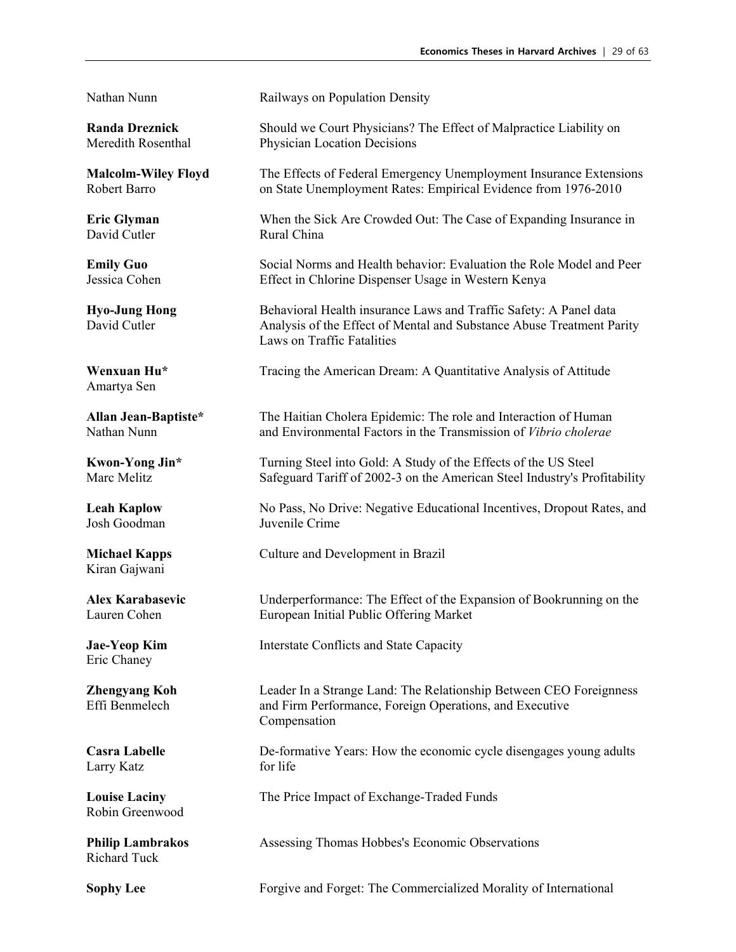David Cutler Rural China

Amartya Sen

Josh Goodman

Kiran Gajwani

Eric Chaney

Larry Katz for life

Robin Greenwood

Richard Tuck

Nathan Nunn Railways on Population Density

**Randa Dreznick** Should we Court Physicians? The Effect of Malpractice Liability on Meredith Rosenthal Physician Location Decisions

**Malcolm-Wiley Floyd** The Effects of Federal Emergency Unemployment Insurance Extensions Robert Barro on State Unemployment Rates: Empirical Evidence from 1976-2010

**Eric Glyman** When the Sick Are Crowded Out: The Case of Expanding Insurance in

**Emily Guo** Social Norms and Health behavior: Evaluation the Role Model and Peer Jessica Cohen Effect in Chlorine Dispenser Usage in Western Kenya

**Hyo-Jung Hong** Behavioral Health insurance Laws and Traffic Safety: A Panel data David Cutler **Analysis of the Effect of Mental and Substance Abuse Treatment Parity** Laws on Traffic Fatalities

**Wenxuan Hu\*** Tracing the American Dream: A Quantitative Analysis of Attitude

**Allan Jean-Baptiste\*** The Haitian Cholera Epidemic: The role and Interaction of Human Nathan Nunn and Environmental Factors in the Transmission of *Vibrio cholerae*

**Kwon-Yong Jin\*** Turning Steel into Gold: A Study of the Effects of the US Steel Marc Melitz Safeguard Tariff of 2002-3 on the American Steel Industry's Profitability

**Leah Kaplow** No Pass, No Drive: Negative Educational Incentives, Dropout Rates, and Josh Goodman Juvenile Crime

**Michael Kapps** Culture and Development in Brazil

Alex Karabasevic **Number 1** Underperformance: The Effect of the Expansion of Bookrunning on the Lauren Cohen<br>
Lauren Cohen **Expansion** European Initial Public Offering Market European Initial Public Offering Market

**Jae-Yeop Kim** Interstate Conflicts and State Capacity

**Zhengyang Koh Leader In a Strange Land: The Relationship Between CEO Foreignness**<br>Effi Benmelech **and Firm Performance. Foreign Operations**, and Executive and Firm Performance, Foreign Operations, and Executive Compensation

**Casra Labelle** De-formative Years: How the economic cycle disengages young adults

**Louise Laciny** The Price Impact of Exchange-Traded Funds

**Philip Lambrakos Assessing Thomas Hobbes's Economic Observations** 

**Sophy Lee Forgive and Forget: The Commercialized Morality of International**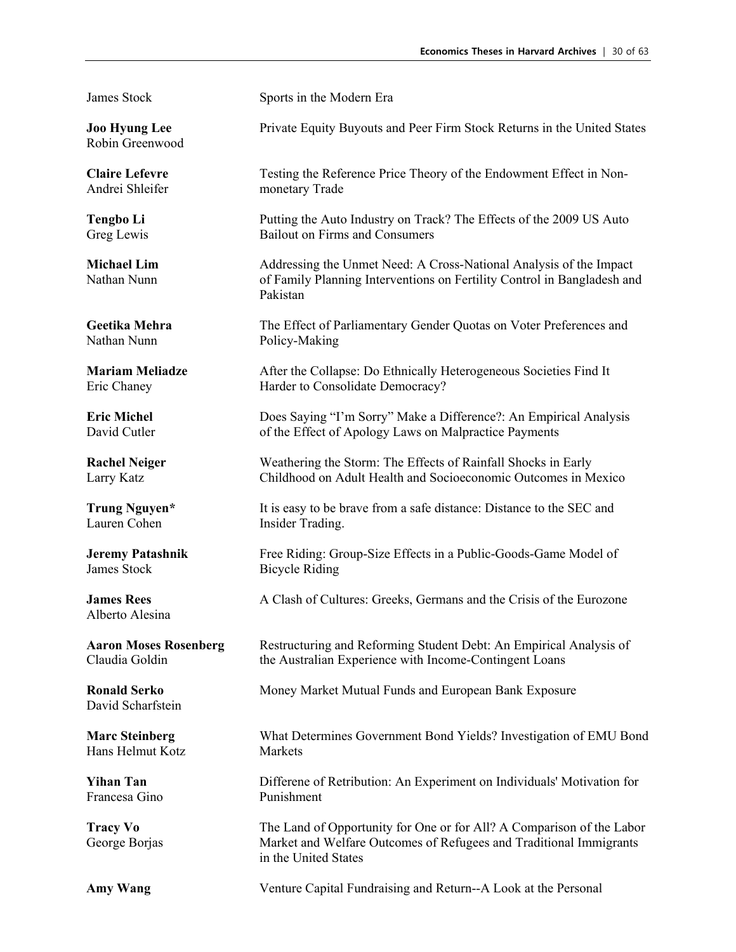Robin Greenwood

Nathan Nunn Policy-Making

James Stock Bicycle Riding

Alberto Alesina

David Scharfstein

Hans Helmut Kotz Markets

Francesa Gino Punishment

James Stock Sports in the Modern Era

**Joo Hyung Lee <b>Private Equity Buyouts and Peer Firm Stock Returns in the United States** 

**Claire Lefevre** Testing the Reference Price Theory of the Endowment Effect in Non-Andrei Shleifer monetary Trade

**Tengbo Li Putting the Auto Industry on Track? The Effects of the 2009 US Auto** Greg Lewis Bailout on Firms and Consumers

**Michael Lim** Addressing the Unmet Need: A Cross-National Analysis of the Impact Nathan Nunn of Family Planning Interventions on Fertility Control in Bangladesh and Pakistan

**Geetika Mehra** The Effect of Parliamentary Gender Quotas on Voter Preferences and

**Mariam Meliadze** After the Collapse: Do Ethnically Heterogeneous Societies Find It Eric Chaney Harder to Consolidate Democracy?

**Eric Michel <b>Does Saying "I'm Sorry"** Make a Difference?: An Empirical Analysis David Cutler of the Effect of Apology Laws on Malpractice Payments

**Rachel Neiger** Weathering the Storm: The Effects of Rainfall Shocks in Early Larry Katz Childhood on Adult Health and Socioeconomic Outcomes in Mexico

**Trung Nguyen\*** It is easy to be brave from a safe distance: Distance to the SEC and Lauren Cohen Insider Trading. Insider Trading.

**Jeremy Patashnik** Free Riding: Group-Size Effects in a Public-Goods-Game Model of

**James Rees** A Clash of Cultures: Greeks, Germans and the Crisis of the Eurozone

**Aaron Moses Rosenberg Face Restructuring and Reforming Student Debt: An Empirical Analysis of** Claudia Goldin the Australian Experience with Income-Contingent Loans

**Ronald Serko** Money Market Mutual Funds and European Bank Exposure

**Marc Steinberg** What Determines Government Bond Yields? Investigation of EMU Bond

**Yihan Tan** Differene of Retribution: An Experiment on Individuals' Motivation for

**Tracy Vo** The Land of Opportunity for One or for All? A Comparison of the Labor George Borjas Market and Welfare Outcomes of Refugees and Traditional Immigrants in the United States

**Amy Wang** Venture Capital Fundraising and Return--A Look at the Personal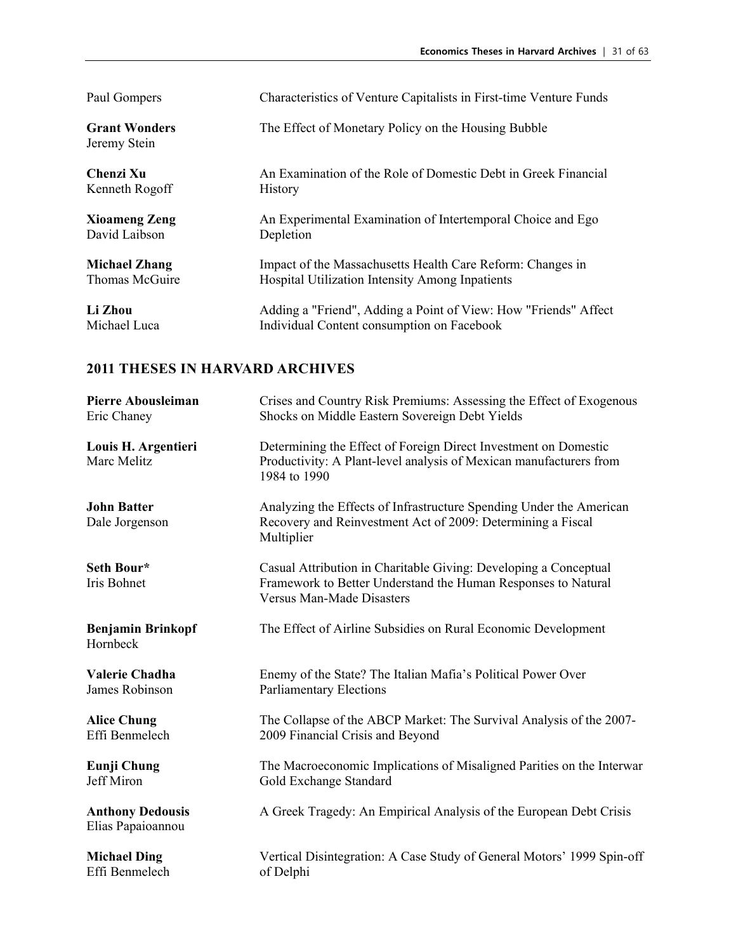| Paul Gompers                         | Characteristics of Venture Capitalists in First-time Venture Funds |
|--------------------------------------|--------------------------------------------------------------------|
| <b>Grant Wonders</b><br>Jeremy Stein | The Effect of Monetary Policy on the Housing Bubble                |
| Chenzi Xu                            | An Examination of the Role of Domestic Debt in Greek Financial     |
| Kenneth Rogoff                       | History                                                            |
| <b>Xioameng Zeng</b>                 | An Experimental Examination of Intertemporal Choice and Ego        |
| David Laibson                        | Depletion                                                          |
| <b>Michael Zhang</b>                 | Impact of the Massachusetts Health Care Reform: Changes in         |
| Thomas McGuire                       | Hospital Utilization Intensity Among Inpatients                    |
| Li Zhou                              | Adding a "Friend", Adding a Point of View: How "Friends" Affect    |
| Michael Luca                         | Individual Content consumption on Facebook                         |

| <b>Pierre Abousleiman</b>                    | Crises and Country Risk Premiums: Assessing the Effect of Exogenous                                                                                                   |
|----------------------------------------------|-----------------------------------------------------------------------------------------------------------------------------------------------------------------------|
| Eric Chaney                                  | Shocks on Middle Eastern Sovereign Debt Yields                                                                                                                        |
| Louis H. Argentieri<br>Marc Melitz           | Determining the Effect of Foreign Direct Investment on Domestic<br>Productivity: A Plant-level analysis of Mexican manufacturers from<br>1984 to 1990                 |
| <b>John Batter</b><br>Dale Jorgenson         | Analyzing the Effects of Infrastructure Spending Under the American<br>Recovery and Reinvestment Act of 2009: Determining a Fiscal<br>Multiplier                      |
| Seth Bour*<br>Iris Bohnet                    | Casual Attribution in Charitable Giving: Developing a Conceptual<br>Framework to Better Understand the Human Responses to Natural<br><b>Versus Man-Made Disasters</b> |
| <b>Benjamin Brinkopf</b><br>Hornbeck         | The Effect of Airline Subsidies on Rural Economic Development                                                                                                         |
| Valerie Chadha                               | Enemy of the State? The Italian Mafia's Political Power Over                                                                                                          |
| James Robinson                               | <b>Parliamentary Elections</b>                                                                                                                                        |
| <b>Alice Chung</b>                           | The Collapse of the ABCP Market: The Survival Analysis of the 2007-                                                                                                   |
| Effi Benmelech                               | 2009 Financial Crisis and Beyond                                                                                                                                      |
| <b>Eunji Chung</b>                           | The Macroeconomic Implications of Misaligned Parities on the Interwar                                                                                                 |
| Jeff Miron                                   | Gold Exchange Standard                                                                                                                                                |
| <b>Anthony Dedousis</b><br>Elias Papaioannou | A Greek Tragedy: An Empirical Analysis of the European Debt Crisis                                                                                                    |
| <b>Michael Ding</b>                          | Vertical Disintegration: A Case Study of General Motors' 1999 Spin-off                                                                                                |
| Effi Benmelech                               | of Delphi                                                                                                                                                             |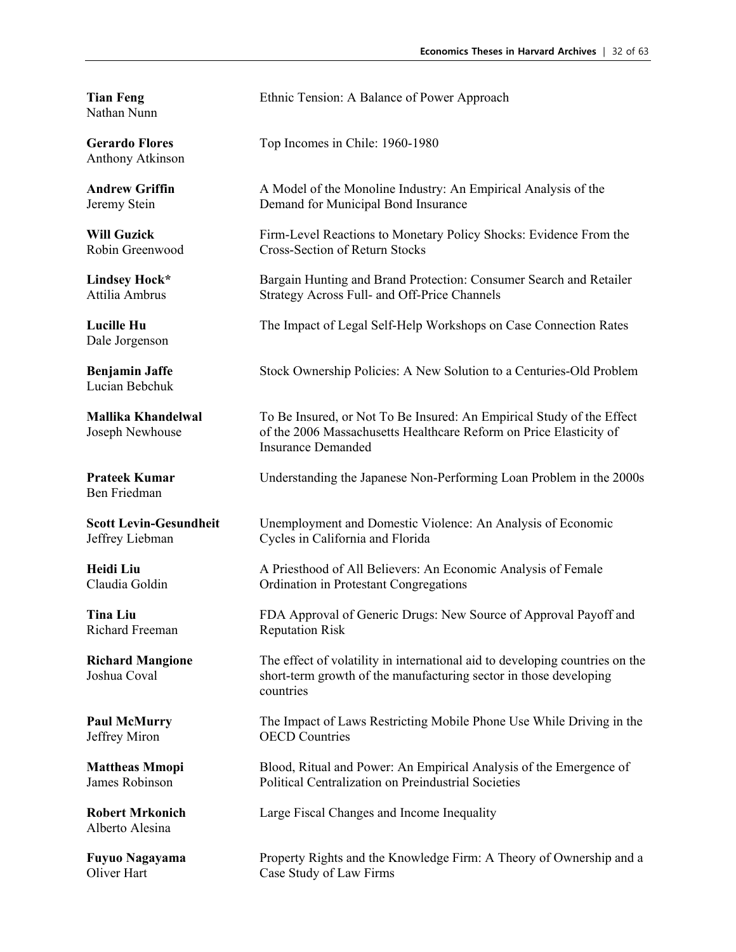Nathan Nunn

Anthony Atkinson

Dale Jorgenson

Lucian Bebchuk

Ben Friedman

Richard Freeman Reputation Risk

Alberto Alesina

**Tian Feng** Ethnic Tension: A Balance of Power Approach

Gerardo Flores Top Incomes in Chile: 1960-1980

**Andrew Griffin** A Model of the Monoline Industry: An Empirical Analysis of the Jeremy Stein Demand for Municipal Bond Insurance

**Will Guzick** Firm-Level Reactions to Monetary Policy Shocks: Evidence From the Robin Greenwood Cross-Section of Return Stocks

**Lindsey Hock\*** Bargain Hunting and Brand Protection: Consumer Search and Retailer Attilia Ambrus Strategy Across Full- and Off-Price Channels

**Lucille Hu** The Impact of Legal Self-Help Workshops on Case Connection Rates

**Benjamin Jaffe** Stock Ownership Policies: A New Solution to a Centuries-Old Problem

**Mallika Khandelwal** To Be Insured, or Not To Be Insured: An Empirical Study of the Effect Joseph Newhouse of the 2006 Massachusetts Healthcare Reform on Price Elasticity of Insurance Demanded

**Prateek Kumar** Understanding the Japanese Non-Performing Loan Problem in the 2000s

**Scott Levin-Gesundheit** Unemployment and Domestic Violence: An Analysis of Economic Jeffrey Liebman Cycles in California and Florida

Heidi Liu **A** Priesthood of All Believers: An Economic Analysis of Female Claudia Goldin Ordination in Protestant Congregations

**Tina Liu** FDA Approval of Generic Drugs: New Source of Approval Payoff and

**Richard Mangione** The effect of volatility in international aid to developing countries on the Joshua Coval<br>Joshua Coval short-term growth of the manufacturing sector in those developing short-term growth of the manufacturing sector in those developing countries

**Paul McMurry** The Impact of Laws Restricting Mobile Phone Use While Driving in the Jeffrey Miron OECD Countries

**Mattheas Mmopi** Blood, Ritual and Power: An Empirical Analysis of the Emergence of James Robinson Political Centralization on Preindustrial Societies

**Robert Mrkonich** Large Fiscal Changes and Income Inequality

**Fuyuo Nagayama** Property Rights and the Knowledge Firm: A Theory of Ownership and a Oliver Hart Case Study of Law Firms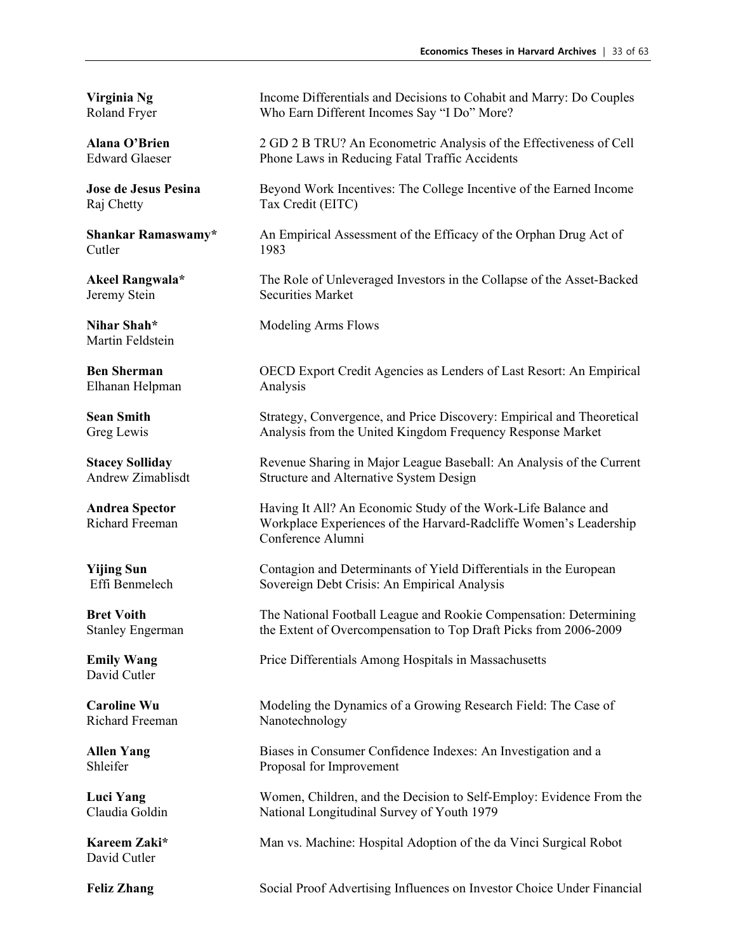Raj Chetty Tax Credit (EITC)

Cutler 1983

Martin Feldstein

Elhanan Helpman Analysis

David Cutler

Richard Freeman Nanotechnology

David Cutler

**Virginia Ng** Income Differentials and Decisions to Cohabit and Marry: Do Couples Roland Fryer Who Earn Different Incomes Say "I Do" More?

**Alana O'Brien** 2 GD 2 B TRU? An Econometric Analysis of the Effectiveness of Cell<br> **Edward Glaeser** Phone Laws in Reducing Fatal Traffic Accidents Phone Laws in Reducing Fatal Traffic Accidents

**Jose de Jesus Pesina** Beyond Work Incentives: The College Incentive of the Earned Income

**Shankar Ramaswamy\*** An Empirical Assessment of the Efficacy of the Orphan Drug Act of

**Akeel Rangwala\*** The Role of Unleveraged Investors in the Collapse of the Asset-Backed Jeremy Stein Securities Market

**Nihar Shah\*** Modeling Arms Flows

**Ben Sherman** OECD Export Credit Agencies as Lenders of Last Resort: An Empirical

**Sean Smith** Strategy, Convergence, and Price Discovery: Empirical and Theoretical Greg Lewis Analysis from the United Kingdom Frequency Response Market

**Stacey Solliday** Revenue Sharing in Major League Baseball: An Analysis of the Current Andrew Zimablisdt Structure and Alternative System Design

**Andrea Spector** Having It All? An Economic Study of the Work-Life Balance and Richard Freeman Workplace Experiences of the Harvard-Radcliffe Women's Leadership Conference Alumni

**Yijing Sun** Contagion and Determinants of Yield Differentials in the European Effi Benmelech Sovereign Debt Crisis: An Empirical Analysis

**Bret Voith** The National Football League and Rookie Compensation: Determining Stanley Engerman the Extent of Overcompensation to Top Draft Picks from 2006-2009

**Emily Wang** Price Differentials Among Hospitals in Massachusetts

**Caroline Wu** Modeling the Dynamics of a Growing Research Field: The Case of

**Allen Yang** Biases in Consumer Confidence Indexes: An Investigation and a Shleifer Proposal for Improvement

**Luci Yang** Women, Children, and the Decision to Self-Employ: Evidence From the Claudia Goldin National Longitudinal Survey of Youth 1979

**Kareem Zaki\*** Man vs. Machine: Hospital Adoption of the da Vinci Surgical Robot

**Feliz Zhang** Social Proof Advertising Influences on Investor Choice Under Financial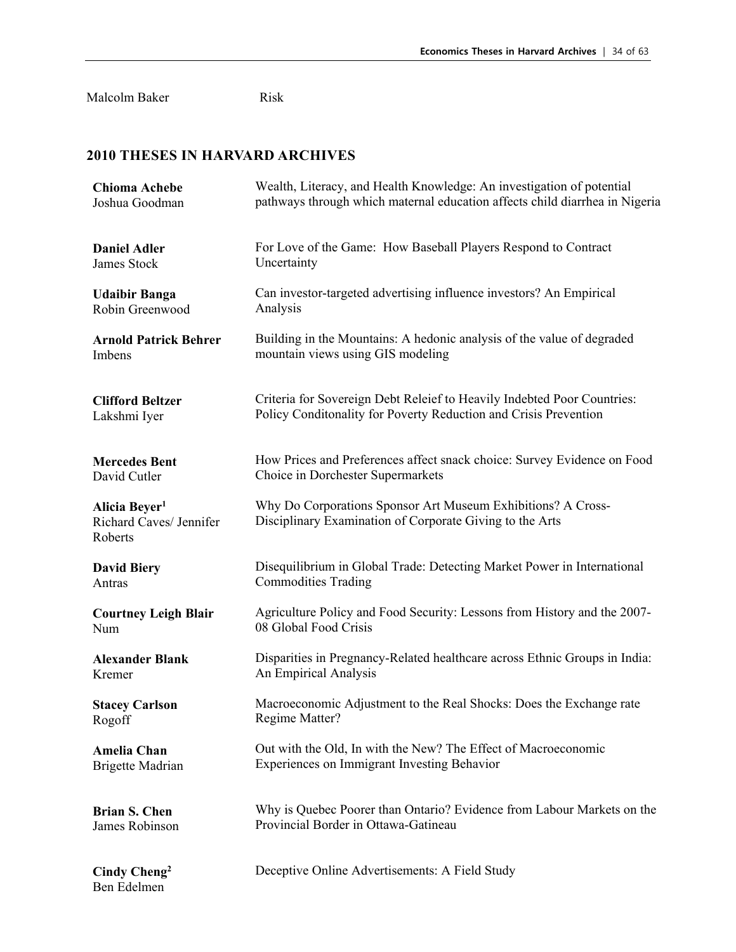Malcolm Baker Risk

| <b>Chioma Achebe</b>                                            | Wealth, Literacy, and Health Knowledge: An investigation of potential                                                    |
|-----------------------------------------------------------------|--------------------------------------------------------------------------------------------------------------------------|
| Joshua Goodman                                                  | pathways through which maternal education affects child diarrhea in Nigeria                                              |
| <b>Daniel Adler</b>                                             | For Love of the Game: How Baseball Players Respond to Contract                                                           |
| James Stock                                                     | Uncertainty                                                                                                              |
| <b>Udaibir Banga</b>                                            | Can investor-targeted advertising influence investors? An Empirical                                                      |
| Robin Greenwood                                                 | Analysis                                                                                                                 |
| <b>Arnold Patrick Behrer</b>                                    | Building in the Mountains: A hedonic analysis of the value of degraded                                                   |
| Imbens                                                          | mountain views using GIS modeling                                                                                        |
| <b>Clifford Beltzer</b>                                         | Criteria for Sovereign Debt Releief to Heavily Indebted Poor Countries:                                                  |
| Lakshmi Iyer                                                    | Policy Conditonality for Poverty Reduction and Crisis Prevention                                                         |
| <b>Mercedes Bent</b>                                            | How Prices and Preferences affect snack choice: Survey Evidence on Food                                                  |
| David Cutler                                                    | Choice in Dorchester Supermarkets                                                                                        |
| Alicia Beyer <sup>1</sup><br>Richard Caves/ Jennifer<br>Roberts | Why Do Corporations Sponsor Art Museum Exhibitions? A Cross-<br>Disciplinary Examination of Corporate Giving to the Arts |
| <b>David Biery</b>                                              | Disequilibrium in Global Trade: Detecting Market Power in International                                                  |
| Antras                                                          | <b>Commodities Trading</b>                                                                                               |
| <b>Courtney Leigh Blair</b>                                     | Agriculture Policy and Food Security: Lessons from History and the 2007-                                                 |
| Num                                                             | 08 Global Food Crisis                                                                                                    |
| <b>Alexander Blank</b>                                          | Disparities in Pregnancy-Related healthcare across Ethnic Groups in India:                                               |
| Kremer                                                          | An Empirical Analysis                                                                                                    |
| <b>Stacey Carlson</b>                                           | Macroeconomic Adjustment to the Real Shocks: Does the Exchange rate                                                      |
| Rogoff                                                          | Regime Matter?                                                                                                           |
| <b>Amelia Chan</b>                                              | Out with the Old, In with the New? The Effect of Macroeconomic                                                           |
| <b>Brigette Madrian</b>                                         | Experiences on Immigrant Investing Behavior                                                                              |
| <b>Brian S. Chen</b>                                            | Why is Quebec Poorer than Ontario? Evidence from Labour Markets on the                                                   |
| James Robinson                                                  | Provincial Border in Ottawa-Gatineau                                                                                     |
| Cindy Cheng <sup>2</sup><br>Ben Edelmen                         | Deceptive Online Advertisements: A Field Study                                                                           |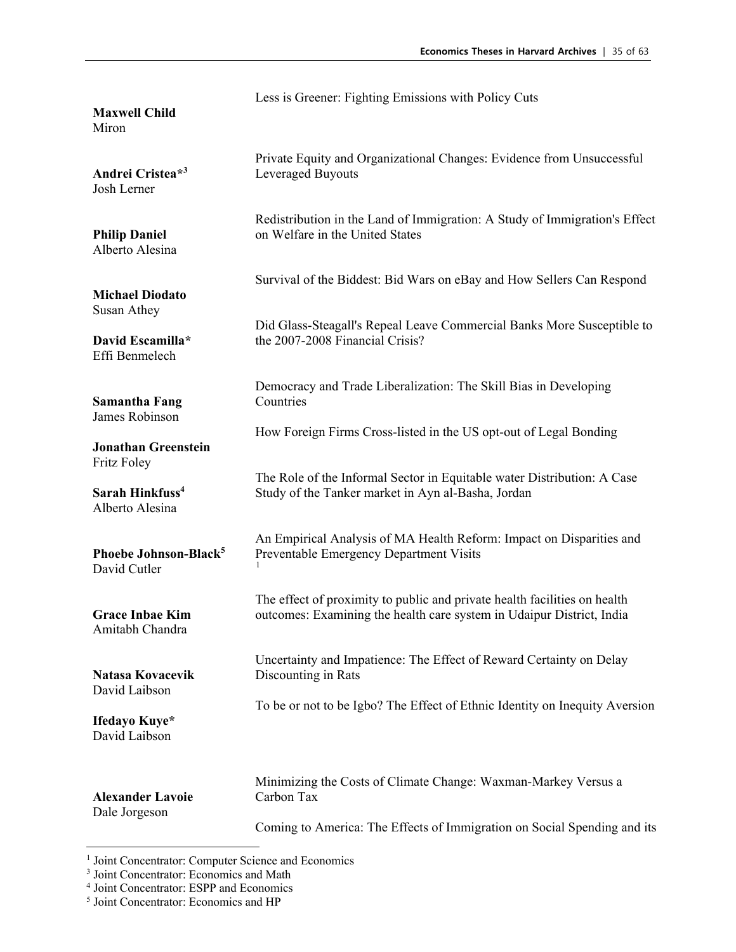**Maxwell Child**  Miron **Andrei Cristea\*3**  Josh Lerner **Philip Daniel** Alberto Alesina **Michael Diodato** Susan Athey **David Escamilla\***  Effi Benmelech **Samantha Fang**  James Robinson **Jonathan Greenstein** Fritz Foley **Sarah Hinkfuss4** Alberto Alesina **Phoebe Johnson-Black5** David Cutler **Grace Inbae Kim** Amitabh Chandra **Natasa Kovacevik** David Laibson **Ifedayo Kuye\***  David Laibson **Alexander Lavoie**  Dale Jorgeson Less is Greener: Fighting Emissions with Policy Cuts Private Equity and Organizational Changes: Evidence from Unsuccessful Leveraged Buyouts Redistribution in the Land of Immigration: A Study of Immigration's Effect on Welfare in the United States Survival of the Biddest: Bid Wars on eBay and How Sellers Can Respond Did Glass-Steagall's Repeal Leave Commercial Banks More Susceptible to the 2007-2008 Financial Crisis? Democracy and Trade Liberalization: The Skill Bias in Developing **Countries** How Foreign Firms Cross-listed in the US opt-out of Legal Bonding The Role of the Informal Sector in Equitable water Distribution: A Case Study of the Tanker market in Ayn al-Basha, Jordan An Empirical Analysis of MA Health Reform: Impact on Disparities and Preventable Emergency Department Visits [1](#page-34-0) The effect of proximity to public and private health facilities on health outcomes: Examining the health care system in Udaipur District, India Uncertainty and Impatience: The Effect of Reward Certainty on Delay Discounting in Rats To be or not to be Igbo? The Effect of Ethnic Identity on Inequity Aversion Minimizing the Costs of Climate Change: Waxman-Markey Versus a Carbon Tax

Coming to America: The Effects of Immigration on Social Spending and its

<span id="page-34-0"></span><sup>&</sup>lt;sup>1</sup> Joint Concentrator: Computer Science and Economics<br>
<sup>3</sup> Joint Concentrator: Economics and Math<br>
<sup>4</sup> Joint Concentrator: ESPP and Economics

<sup>&</sup>lt;sup>5</sup> Joint Concentrator: Economics and HP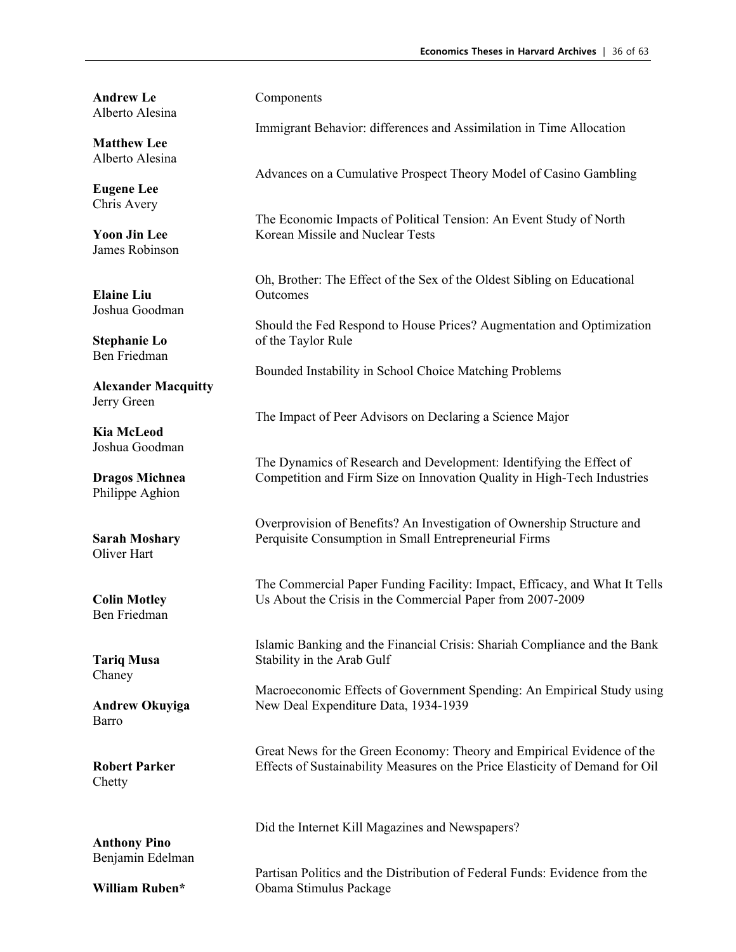**Andrew Le** Alberto Alesina

**Matthew Lee** Alberto Alesina

**Eugene Lee** Chris Avery

**Yoon Jin Lee** James Robinson

**Elaine Liu** Joshua Goodman

**Stephanie Lo** Ben Friedman

**Alexander Macquitty** Jerry Green

**Kia McLeod** Joshua Goodman

**Dragos Michnea** Philippe Aghion

**Sarah Moshary** Oliver Hart

**Colin Motley** Ben Friedman

**Tariq Musa** Chaney

**Andrew Okuyiga** Barro

**Robert Parker** Chetty

**Anthony Pino** Benjamin Edelman

**William Ruben\***

#### Components

Immigrant Behavior: differences and Assimilation in Time Allocation

Advances on a Cumulative Prospect Theory Model of Casino Gambling

The Economic Impacts of Political Tension: An Event Study of North Korean Missile and Nuclear Tests

Oh, Brother: The Effect of the Sex of the Oldest Sibling on Educational **Outcomes** 

Should the Fed Respond to House Prices? Augmentation and Optimization of the Taylor Rule

Bounded Instability in School Choice Matching Problems

The Impact of Peer Advisors on Declaring a Science Major

The Dynamics of Research and Development: Identifying the Effect of Competition and Firm Size on Innovation Quality in High-Tech Industries

Overprovision of Benefits? An Investigation of Ownership Structure and Perquisite Consumption in Small Entrepreneurial Firms

The Commercial Paper Funding Facility: Impact, Efficacy, and What It Tells Us About the Crisis in the Commercial Paper from 2007-2009

Islamic Banking and the Financial Crisis: Shariah Compliance and the Bank Stability in the Arab Gulf

Macroeconomic Effects of Government Spending: An Empirical Study using New Deal Expenditure Data, 1934-1939

Great News for the Green Economy: Theory and Empirical Evidence of the Effects of Sustainability Measures on the Price Elasticity of Demand for Oil

Did the Internet Kill Magazines and Newspapers?

Partisan Politics and the Distribution of Federal Funds: Evidence from the Obama Stimulus Package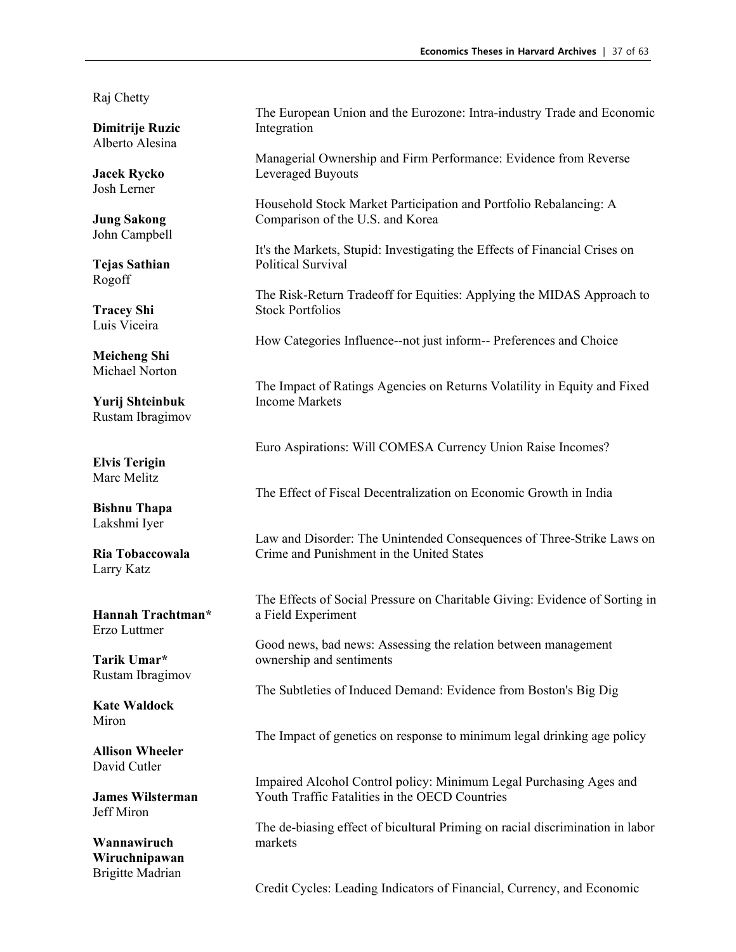Raj Chetty

**Dimitrije Ruzic** Alberto Alesina

**Jacek Rycko** Josh Lerner

**Jung Sakong** John Campbell

**Tejas Sathian** Rogoff

**Tracey Shi** Luis Viceira

**Meicheng Shi** Michael Norton

**Yurij Shteinbuk** Rustam Ibragimov

**Elvis Terigin** Marc Melitz

**Bishnu Thapa** Lakshmi Iyer

**Ria Tobaccowala** Larry Katz

**Hannah Trachtman\***  Erzo Luttmer

**Tarik Umar\***  Rustam Ibragimov

**Kate Waldock** Miron

**Allison Wheeler** David Cutler

**James Wilsterman** Jeff Miron

**Wannawiruch Wiruchnipawan** Brigitte Madrian

The European Union and the Eurozone: Intra-industry Trade and Economic Integration

Managerial Ownership and Firm Performance: Evidence from Reverse Leveraged Buyouts

Household Stock Market Participation and Portfolio Rebalancing: A Comparison of the U.S. and Korea

It's the Markets, Stupid: Investigating the Effects of Financial Crises on Political Survival

The Risk-Return Tradeoff for Equities: Applying the MIDAS Approach to Stock Portfolios

How Categories Influence--not just inform-- Preferences and Choice

The Impact of Ratings Agencies on Returns Volatility in Equity and Fixed Income Markets

Euro Aspirations: Will COMESA Currency Union Raise Incomes?

The Effect of Fiscal Decentralization on Economic Growth in India

Law and Disorder: The Unintended Consequences of Three-Strike Laws on Crime and Punishment in the United States

The Effects of Social Pressure on Charitable Giving: Evidence of Sorting in a Field Experiment

Good news, bad news: Assessing the relation between management ownership and sentiments

The Subtleties of Induced Demand: Evidence from Boston's Big Dig

The Impact of genetics on response to minimum legal drinking age policy

Impaired Alcohol Control policy: Minimum Legal Purchasing Ages and Youth Traffic Fatalities in the OECD Countries

The de-biasing effect of bicultural Priming on racial discrimination in labor markets

Credit Cycles: Leading Indicators of Financial, Currency, and Economic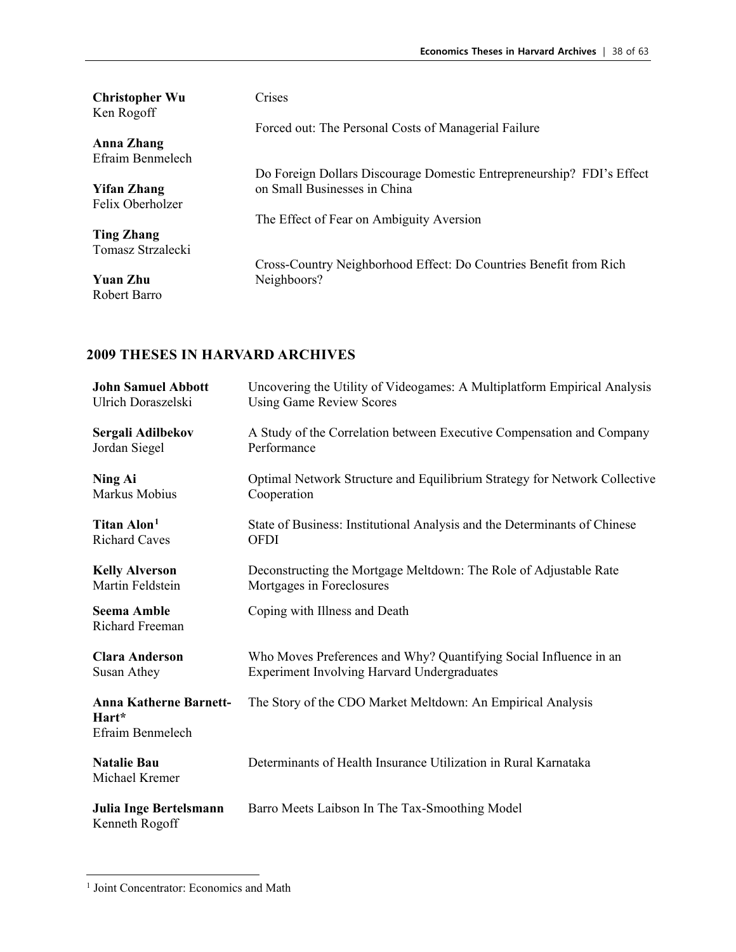| <b>Christopher Wu</b><br>Ken Rogoff | Crises                                                                |
|-------------------------------------|-----------------------------------------------------------------------|
|                                     | Forced out: The Personal Costs of Managerial Failure                  |
| Anna Zhang                          |                                                                       |
| Efraim Benmelech                    |                                                                       |
|                                     | Do Foreign Dollars Discourage Domestic Entrepreneurship? FDI's Effect |
| <b>Yifan Zhang</b>                  | on Small Businesses in China                                          |
| Felix Oberholzer                    |                                                                       |
|                                     | The Effect of Fear on Ambiguity Aversion                              |
| <b>Ting Zhang</b>                   |                                                                       |
| Tomasz Strzalecki                   |                                                                       |
|                                     | Cross-Country Neighborhood Effect: Do Countries Benefit from Rich     |
| <b>Yuan Zhu</b>                     | Neighboors?                                                           |
| Robert Barro                        |                                                                       |
|                                     |                                                                       |

| <b>John Samuel Abbott</b>                                  | Uncovering the Utility of Videogames: A Multiplatform Empirical Analysis  |
|------------------------------------------------------------|---------------------------------------------------------------------------|
| Ulrich Doraszelski                                         | <b>Using Game Review Scores</b>                                           |
| Sergali Adilbekov                                          | A Study of the Correlation between Executive Compensation and Company     |
| Jordan Siegel                                              | Performance                                                               |
| Ning Ai                                                    | Optimal Network Structure and Equilibrium Strategy for Network Collective |
| Markus Mobius                                              | Cooperation                                                               |
| Titan Alon <sup>1</sup>                                    | State of Business: Institutional Analysis and the Determinants of Chinese |
| <b>Richard Caves</b>                                       | <b>OFDI</b>                                                               |
| <b>Kelly Alverson</b>                                      | Deconstructing the Mortgage Meltdown: The Role of Adjustable Rate         |
| Martin Feldstein                                           | Mortgages in Foreclosures                                                 |
| <b>Seema Amble</b><br>Richard Freeman                      | Coping with Illness and Death                                             |
| <b>Clara Anderson</b>                                      | Who Moves Preferences and Why? Quantifying Social Influence in an         |
| Susan Athey                                                | <b>Experiment Involving Harvard Undergraduates</b>                        |
| <b>Anna Katherne Barnett-</b><br>Hart*<br>Efraim Benmelech | The Story of the CDO Market Meltdown: An Empirical Analysis               |
| <b>Natalie Bau</b><br>Michael Kremer                       | Determinants of Health Insurance Utilization in Rural Karnataka           |
| Julia Inge Bertelsmann<br>Kenneth Rogoff                   | Barro Meets Laibson In The Tax-Smoothing Model                            |

<span id="page-37-0"></span><sup>&</sup>lt;sup>1</sup> Joint Concentrator: Economics and Math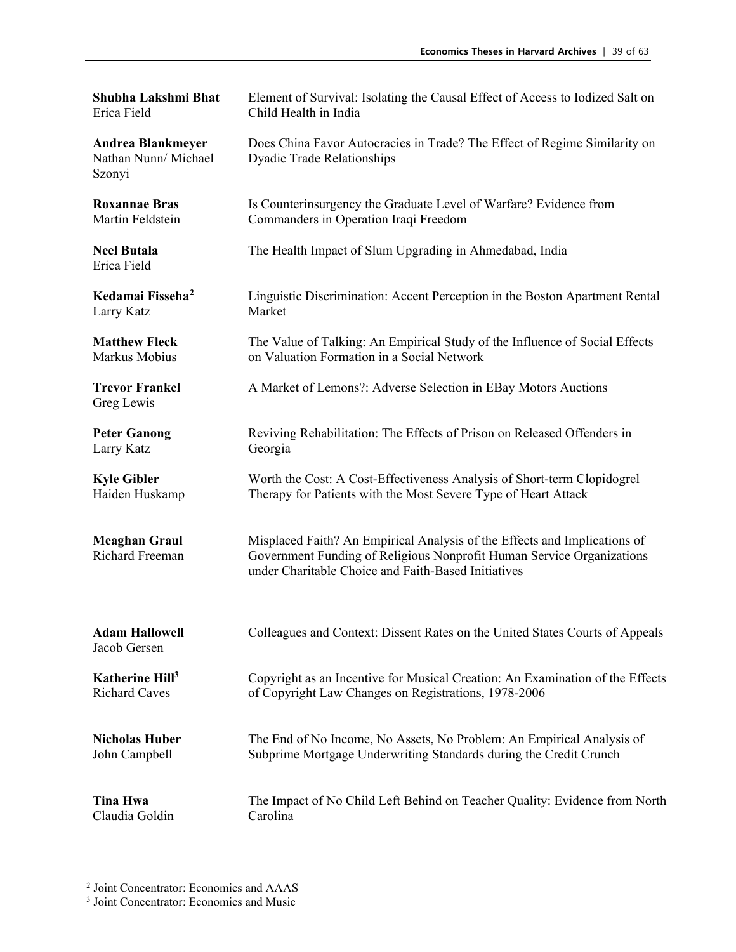**Shubha Lakshmi Bhat** Erica Field Element of Survival: Isolating the Causal Effect of Access to Iodized Salt on Child Health in India **Andrea Blankmeyer** Nathan Nunn/ Michael Szonyi Does China Favor Autocracies in Trade? The Effect of Regime Similarity on Dyadic Trade Relationships **Roxannae Bras** Martin Feldstein Is Counterinsurgency the Graduate Level of Warfare? Evidence from Commanders in Operation Iraqi Freedom **Neel Butala** Erica Field The Health Impact of Slum Upgrading in Ahmedabad, India **Kedamai Fisseha[2](#page-38-0)** Larry Katz Linguistic Discrimination: Accent Perception in the Boston Apartment Rental Market **Matthew Fleck** Markus Mobius The Value of Talking: An Empirical Study of the Influence of Social Effects on Valuation Formation in a Social Network **Trevor Frankel** Greg Lewis A Market of Lemons?: Adverse Selection in EBay Motors Auctions **Peter Ganong** Larry Katz Reviving Rehabilitation: The Effects of Prison on Released Offenders in Georgia **Kyle Gibler** Haiden Huskamp Worth the Cost: A Cost-Effectiveness Analysis of Short-term Clopidogrel Therapy for Patients with the Most Severe Type of Heart Attack **Meaghan Graul** Richard Freeman Misplaced Faith? An Empirical Analysis of the Effects and Implications of Government Funding of Religious Nonprofit Human Service Organizations under Charitable Choice and Faith-Based Initiatives **Adam Hallowell** Jacob Gersen Colleagues and Context: Dissent Rates on the United States Courts of Appeals **Katherine Hill3** Richard Caves Copyright as an Incentive for Musical Creation: An Examination of the Effects of Copyright Law Changes on Registrations, 1978-2006 **Nicholas Huber** John Campbell The End of No Income, No Assets, No Problem: An Empirical Analysis of Subprime Mortgage Underwriting Standards during the Credit Crunch **Tina Hwa** Claudia Goldin The Impact of No Child Left Behind on Teacher Quality: Evidence from North Carolina

<span id="page-38-0"></span><sup>2</sup> Joint Concentrator: Economics and AAAS 3 Joint Concentrator: Economics and Music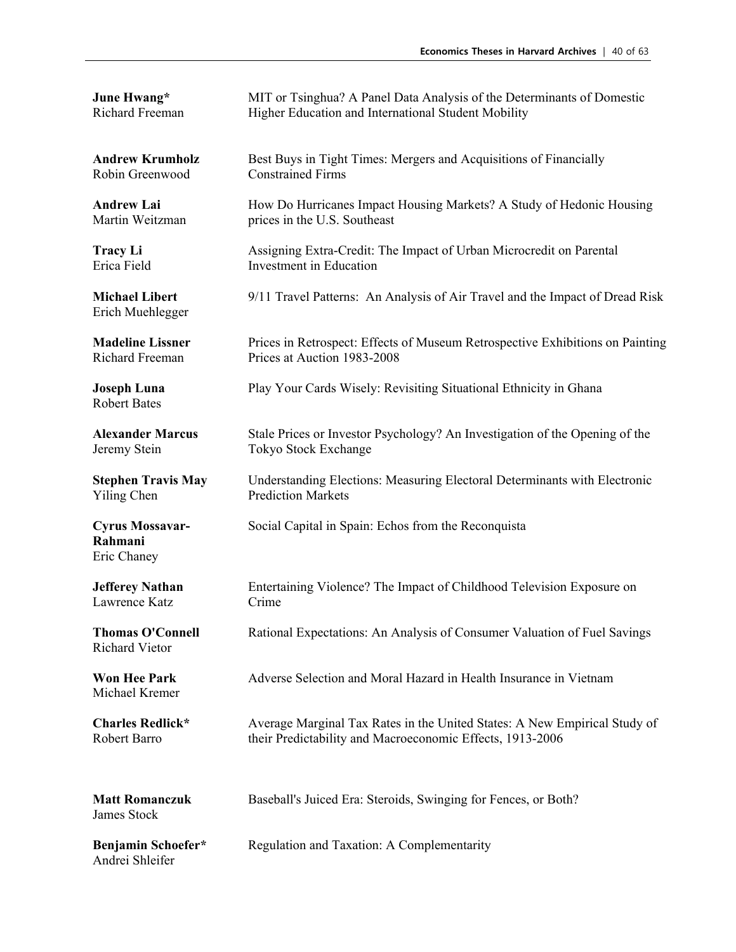| June Hwang*                                      | MIT or Tsinghua? A Panel Data Analysis of the Determinants of Domestic        |
|--------------------------------------------------|-------------------------------------------------------------------------------|
| Richard Freeman                                  | Higher Education and International Student Mobility                           |
| <b>Andrew Krumholz</b>                           | Best Buys in Tight Times: Mergers and Acquisitions of Financially             |
| Robin Greenwood                                  | <b>Constrained Firms</b>                                                      |
| <b>Andrew Lai</b>                                | How Do Hurricanes Impact Housing Markets? A Study of Hedonic Housing          |
| Martin Weitzman                                  | prices in the U.S. Southeast                                                  |
| <b>Tracy Li</b>                                  | Assigning Extra-Credit: The Impact of Urban Microcredit on Parental           |
| Erica Field                                      | Investment in Education                                                       |
| <b>Michael Libert</b><br>Erich Muehlegger        | 9/11 Travel Patterns: An Analysis of Air Travel and the Impact of Dread Risk  |
| <b>Madeline Lissner</b>                          | Prices in Retrospect: Effects of Museum Retrospective Exhibitions on Painting |
| Richard Freeman                                  | Prices at Auction 1983-2008                                                   |
| <b>Joseph Luna</b><br><b>Robert Bates</b>        | Play Your Cards Wisely: Revisiting Situational Ethnicity in Ghana             |
| <b>Alexander Marcus</b>                          | Stale Prices or Investor Psychology? An Investigation of the Opening of the   |
| Jeremy Stein                                     | Tokyo Stock Exchange                                                          |
| <b>Stephen Travis May</b>                        | Understanding Elections: Measuring Electoral Determinants with Electronic     |
| Yiling Chen                                      | <b>Prediction Markets</b>                                                     |
| <b>Cyrus Mossavar-</b><br>Rahmani<br>Eric Chaney | Social Capital in Spain: Echos from the Reconquista                           |
| <b>Jefferey Nathan</b>                           | Entertaining Violence? The Impact of Childhood Television Exposure on         |
| Lawrence Katz                                    | Crime                                                                         |
| <b>Thomas O'Connell</b><br><b>Richard Vietor</b> | Rational Expectations: An Analysis of Consumer Valuation of Fuel Savings      |
| <b>Won Hee Park</b><br>Michael Kremer            | Adverse Selection and Moral Hazard in Health Insurance in Vietnam             |
| <b>Charles Redlick*</b>                          | Average Marginal Tax Rates in the United States: A New Empirical Study of     |
| Robert Barro                                     | their Predictability and Macroeconomic Effects, 1913-2006                     |
| <b>Matt Romanczuk</b><br>James Stock             | Baseball's Juiced Era: Steroids, Swinging for Fences, or Both?                |
| Benjamin Schoefer*<br>Andrei Shleifer            | Regulation and Taxation: A Complementarity                                    |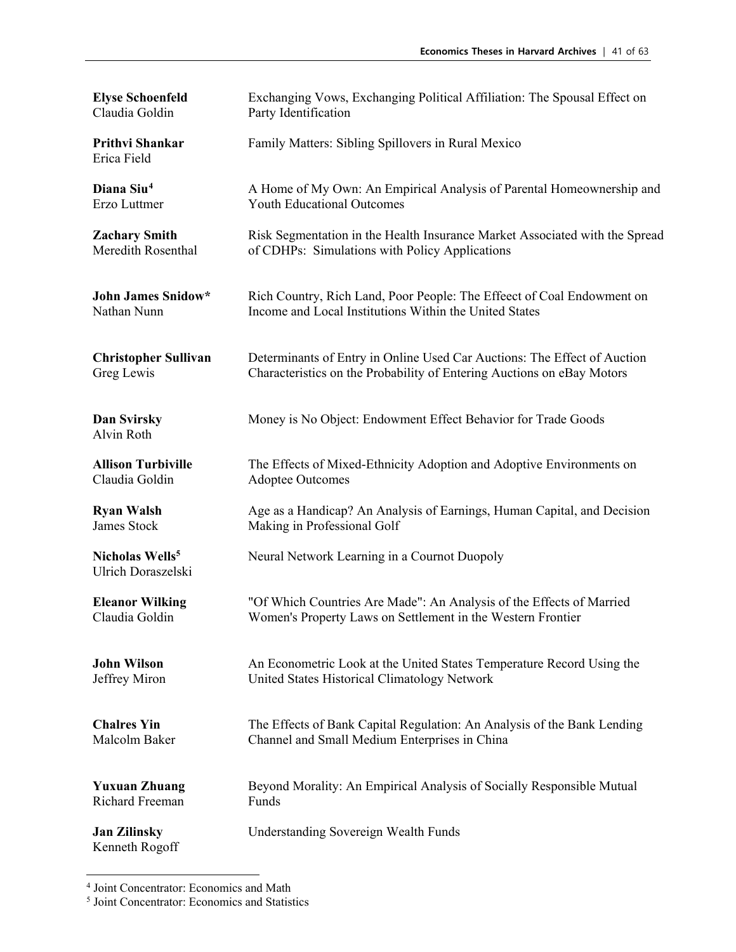| <b>Elyse Schoenfeld</b>                           | Exchanging Vows, Exchanging Political Affiliation: The Spousal Effect on    |
|---------------------------------------------------|-----------------------------------------------------------------------------|
| Claudia Goldin                                    | Party Identification                                                        |
| Prithvi Shankar<br>Erica Field                    | Family Matters: Sibling Spillovers in Rural Mexico                          |
| Diana Siu <sup>4</sup>                            | A Home of My Own: An Empirical Analysis of Parental Homeownership and       |
| Erzo Luttmer                                      | <b>Youth Educational Outcomes</b>                                           |
| <b>Zachary Smith</b>                              | Risk Segmentation in the Health Insurance Market Associated with the Spread |
| Meredith Rosenthal                                | of CDHPs: Simulations with Policy Applications                              |
| <b>John James Snidow*</b>                         | Rich Country, Rich Land, Poor People: The Effeect of Coal Endowment on      |
| Nathan Nunn                                       | Income and Local Institutions Within the United States                      |
| <b>Christopher Sullivan</b>                       | Determinants of Entry in Online Used Car Auctions: The Effect of Auction    |
| Greg Lewis                                        | Characteristics on the Probability of Entering Auctions on eBay Motors      |
| Dan Svirsky<br>Alvin Roth                         | Money is No Object: Endowment Effect Behavior for Trade Goods               |
| <b>Allison Turbiville</b>                         | The Effects of Mixed-Ethnicity Adoption and Adoptive Environments on        |
| Claudia Goldin                                    | <b>Adoptee Outcomes</b>                                                     |
| <b>Ryan Walsh</b>                                 | Age as a Handicap? An Analysis of Earnings, Human Capital, and Decision     |
| James Stock                                       | Making in Professional Golf                                                 |
| Nicholas Wells <sup>5</sup><br>Ulrich Doraszelski | Neural Network Learning in a Cournot Duopoly                                |
| <b>Eleanor Wilking</b>                            | "Of Which Countries Are Made": An Analysis of the Effects of Married        |
| Claudia Goldin                                    | Women's Property Laws on Settlement in the Western Frontier                 |
| <b>John Wilson</b>                                | An Econometric Look at the United States Temperature Record Using the       |
| Jeffrey Miron                                     | United States Historical Climatology Network                                |
| <b>Chalres Yin</b>                                | The Effects of Bank Capital Regulation: An Analysis of the Bank Lending     |
| Malcolm Baker                                     | Channel and Small Medium Enterprises in China                               |
| <b>Yuxuan Zhuang</b>                              | Beyond Morality: An Empirical Analysis of Socially Responsible Mutual       |
| <b>Richard Freeman</b>                            | Funds                                                                       |
| <b>Jan Zilinsky</b><br>Kenneth Rogoff             | Understanding Sovereign Wealth Funds                                        |

<span id="page-40-0"></span><sup>4</sup> Joint Concentrator: Economics and Math 5 Joint Concentrator: Economics and Statistics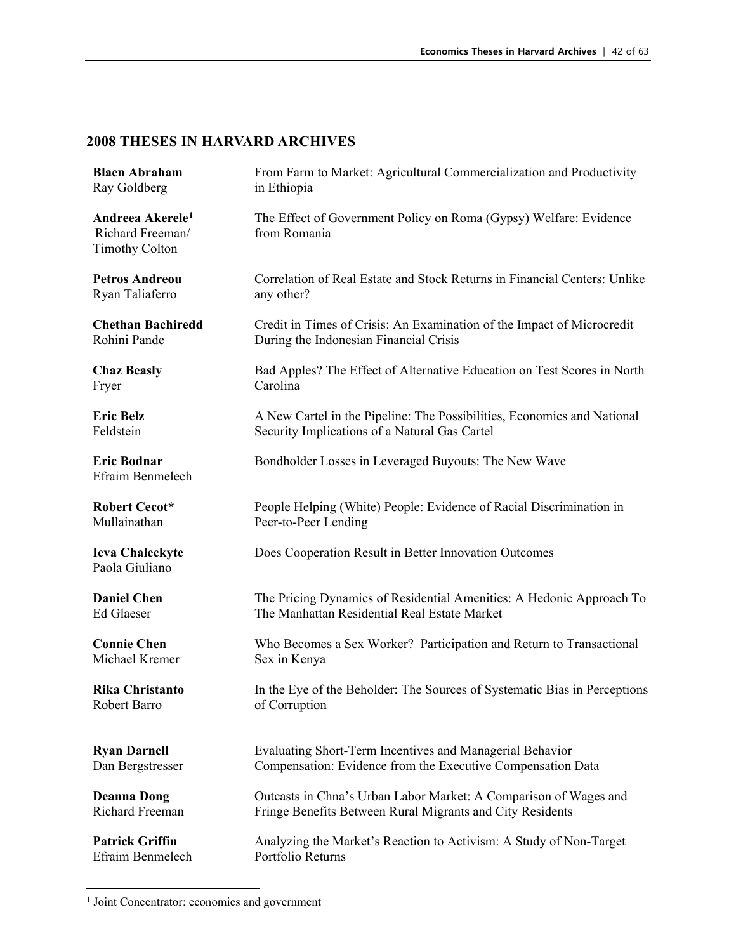| <b>Blaen Abraham</b>                                                      | From Farm to Market: Agricultural Commercialization and Productivity              |
|---------------------------------------------------------------------------|-----------------------------------------------------------------------------------|
| Ray Goldberg                                                              | in Ethiopia                                                                       |
| Andreea Akerele <sup>1</sup><br>Richard Freeman/<br><b>Timothy Colton</b> | The Effect of Government Policy on Roma (Gypsy) Welfare: Evidence<br>from Romania |
| <b>Petros Andreou</b>                                                     | Correlation of Real Estate and Stock Returns in Financial Centers: Unlike         |
| Ryan Taliaferro                                                           | any other?                                                                        |
| <b>Chethan Bachiredd</b>                                                  | Credit in Times of Crisis: An Examination of the Impact of Microcredit            |
| Rohini Pande                                                              | During the Indonesian Financial Crisis                                            |
| <b>Chaz Beasly</b>                                                        | Bad Apples? The Effect of Alternative Education on Test Scores in North           |
| Fryer                                                                     | Carolina                                                                          |
| <b>Eric Belz</b>                                                          | A New Cartel in the Pipeline: The Possibilities, Economics and National           |
| Feldstein                                                                 | Security Implications of a Natural Gas Cartel                                     |
| <b>Eric Bodnar</b><br>Efraim Benmelech                                    | Bondholder Losses in Leveraged Buyouts: The New Wave                              |
| <b>Robert Cecot*</b>                                                      | People Helping (White) People: Evidence of Racial Discrimination in               |
| Mullainathan                                                              | Peer-to-Peer Lending                                                              |
| <b>Ieva Chaleckyte</b><br>Paola Giuliano                                  | Does Cooperation Result in Better Innovation Outcomes                             |
| <b>Daniel Chen</b>                                                        | The Pricing Dynamics of Residential Amenities: A Hedonic Approach To              |
| <b>Ed Glaeser</b>                                                         | The Manhattan Residential Real Estate Market                                      |
| <b>Connie Chen</b>                                                        | Who Becomes a Sex Worker? Participation and Return to Transactional               |
| Michael Kremer                                                            | Sex in Kenya                                                                      |
| <b>Rika Christanto</b>                                                    | In the Eye of the Beholder: The Sources of Systematic Bias in Perceptions         |
| Robert Barro                                                              | of Corruption                                                                     |
| <b>Ryan Darnell</b>                                                       | Evaluating Short-Term Incentives and Managerial Behavior                          |
| Dan Bergstresser                                                          | Compensation: Evidence from the Executive Compensation Data                       |
| <b>Deanna Dong</b>                                                        | Outcasts in Chna's Urban Labor Market: A Comparison of Wages and                  |
| <b>Richard Freeman</b>                                                    | Fringe Benefits Between Rural Migrants and City Residents                         |
| <b>Patrick Griffin</b>                                                    | Analyzing the Market's Reaction to Activism: A Study of Non-Target                |
| Efraim Benmelech                                                          | Portfolio Returns                                                                 |

<span id="page-41-0"></span><sup>&</sup>lt;sup>1</sup> Joint Concentrator: economics and government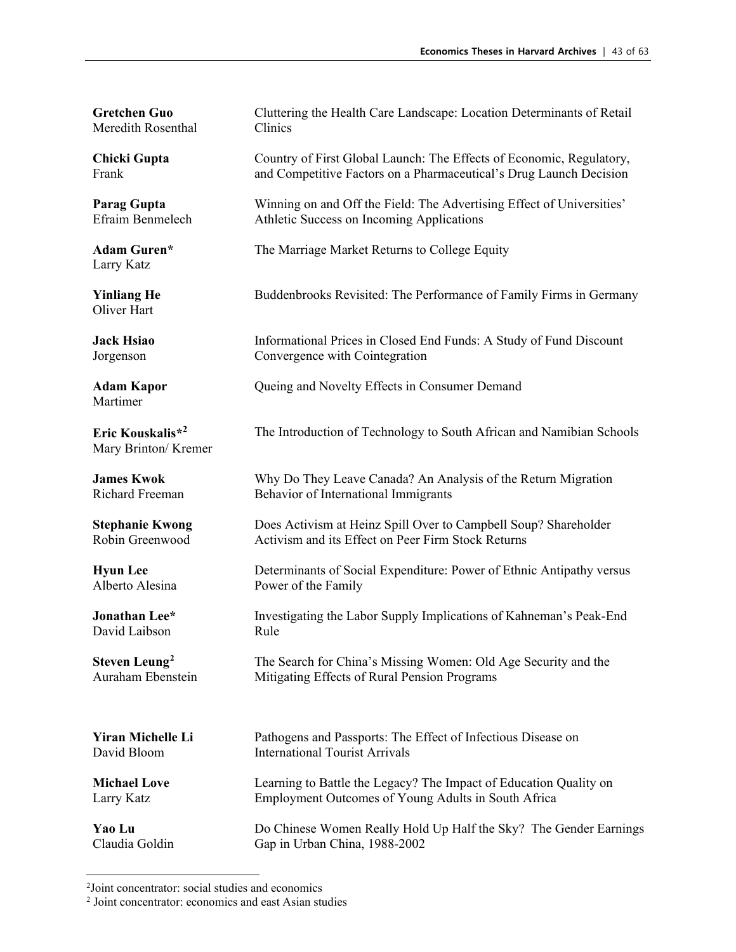**Gretchen Guo** Meredith Rosenthal

**Chicki Gupta** Frank

**Parag Gupta** Efraim Benmelech

**Adam Guren\*** Larry Katz

**Yinliang He** Oliver Hart

**Jack Hsiao** Jorgenson

Martimer

**Eric Kouskalis\*<sup>2</sup>** Mary Brinton/ Kremer

**James Kwok** Richard Freeman

**Stephanie Kwong** Robin Greenwood

**Hyun Lee** Alberto Alesina

**Jonathan Lee\*** David Laibson

**Steven Leung[2](#page-42-0)** Auraham Ebenstein

**Yiran Michelle Li** David Bloom

**Michael Love** Larry Katz

**Yao Lu** Claudia Goldin Cluttering the Health Care Landscape: Location Determinants of Retail Clinics

Country of First Global Launch: The Effects of Economic, Regulatory, and Competitive Factors on a Pharmaceutical's Drug Launch Decision

Winning on and Off the Field: The Advertising Effect of Universities' Athletic Success on Incoming Applications

The Marriage Market Returns to College Equity

Buddenbrooks Revisited: The Performance of Family Firms in Germany

Informational Prices in Closed End Funds: A Study of Fund Discount Convergence with Cointegration

**Adam Kapor Cueing and Novelty Effects in Consumer Demand** 

The Introduction of Technology to South African and Namibian Schools

Why Do They Leave Canada? An Analysis of the Return Migration Behavior of International Immigrants

Does Activism at Heinz Spill Over to Campbell Soup? Shareholder Activism and its Effect on Peer Firm Stock Returns

Determinants of Social Expenditure: Power of Ethnic Antipathy versus Power of the Family

Investigating the Labor Supply Implications of Kahneman's Peak-End Rule

The Search for China's Missing Women: Old Age Security and the Mitigating Effects of Rural Pension Programs

Pathogens and Passports: The Effect of Infectious Disease on International Tourist Arrivals

Learning to Battle the Legacy? The Impact of Education Quality on Employment Outcomes of Young Adults in South Africa

Do Chinese Women Really Hold Up Half the Sky? The Gender Earnings Gap in Urban China, 1988-2002

<sup>2</sup> Joint concentrator: social studies and economics

<span id="page-42-0"></span><sup>2</sup> Joint concentrator: economics and east Asian studies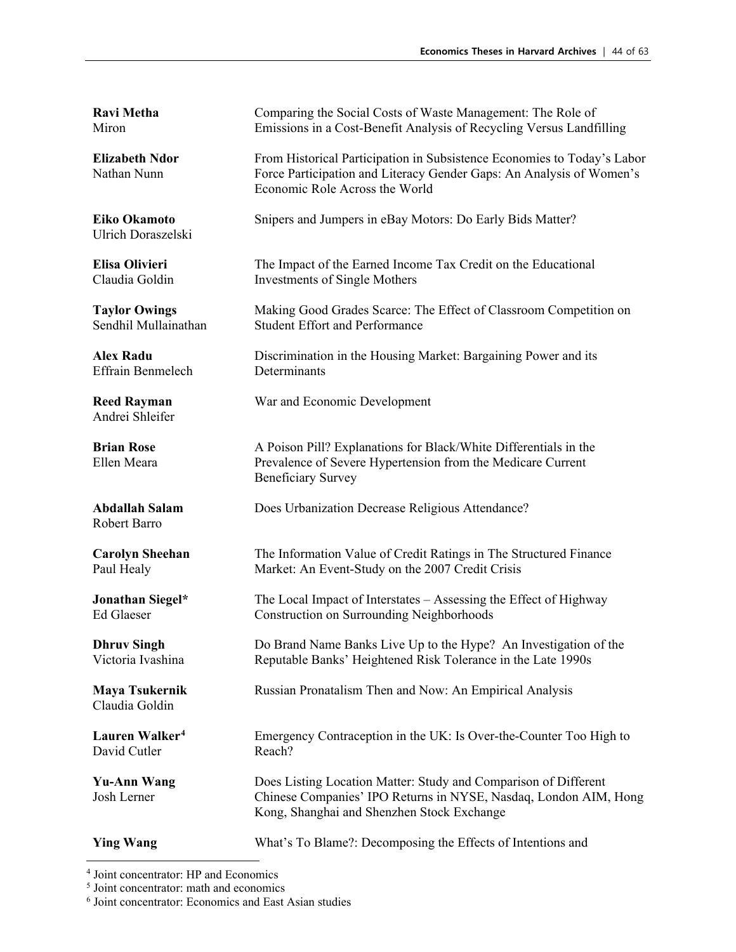**Ravi Metha** Miron

**Elizabeth Ndor** Nathan Nunn

**Eiko Okamoto** Ulrich Doraszelski

**Elisa Olivieri** Claudia Goldin

**Taylor Owings** Sendhil Mullainathan

**Alex Radu** Effrain Benmelech

Andrei Shleifer

**Brian Rose** Ellen Meara

Robert Barro

**Carolyn Sheehan** Paul Healy

**Jonathan Siegel\*** Ed Glaeser

**Dhruv Singh** Victoria Ivashina

**Maya Tsukernik** Claudia Goldin

**Lauren Walker[4](#page-43-0)** David Cutler

**Yu-Ann Wang** Josh Lerner

**Ying Wang** What's To Blame?: Decomposing the Effects of Intentions and

Comparing the Social Costs of Waste Management: The Role of Emissions in a Cost-Benefit Analysis of Recycling Versus Landfilling

From Historical Participation in Subsistence Economies to Today's Labor Force Participation and Literacy Gender Gaps: An Analysis of Women's Economic Role Across the World

Snipers and Jumpers in eBay Motors: Do Early Bids Matter?

The Impact of the Earned Income Tax Credit on the Educational Investments of Single Mothers

Making Good Grades Scarce: The Effect of Classroom Competition on Student Effort and Performance

Discrimination in the Housing Market: Bargaining Power and its **Determinants** 

**Reed Rayman** War and Economic Development

A Poison Pill? Explanations for Black/White Differentials in the Prevalence of Severe Hypertension from the Medicare Current Beneficiary Survey

**Abdallah Salam** Does Urbanization Decrease Religious Attendance?

The Information Value of Credit Ratings in The Structured Finance Market: An Event-Study on the 2007 Credit Crisis

The Local Impact of Interstates – Assessing the Effect of Highway Construction on Surrounding Neighborhoods

Do Brand Name Banks Live Up to the Hype? An Investigation of the Reputable Banks' Heightened Risk Tolerance in the Late 1990s

Russian Pronatalism Then and Now: An Empirical Analysis

Emergency Contraception in the UK: Is Over-the-Counter Too High to Reach?

Does Listing Location Matter: Study and Comparison of Different Chinese Companies' IPO Returns in NYSE, Nasdaq, London AIM, Hong Kong, Shanghai and Shenzhen Stock Exchange

<span id="page-43-0"></span> $<sup>4</sup>$  Joint concentrator: HP and Economics  $<sup>5</sup>$  Joint concentrator: math and economics</sup></sup>

<sup>6</sup> Joint concentrator: Economics and East Asian studies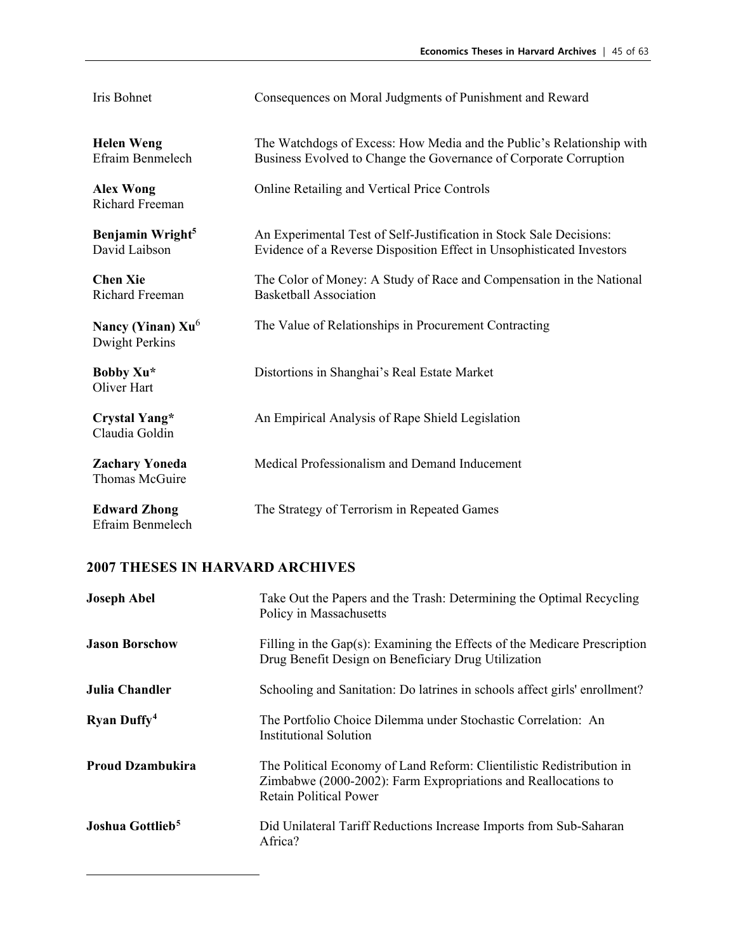| Iris Bohnet                                   | Consequences on Moral Judgments of Punishment and Reward                                                                                     |
|-----------------------------------------------|----------------------------------------------------------------------------------------------------------------------------------------------|
| <b>Helen Weng</b><br>Efraim Benmelech         | The Watchdogs of Excess: How Media and the Public's Relationship with<br>Business Evolved to Change the Governance of Corporate Corruption   |
| <b>Alex Wong</b><br>Richard Freeman           | Online Retailing and Vertical Price Controls                                                                                                 |
| Benjamin Wright <sup>5</sup><br>David Laibson | An Experimental Test of Self-Justification in Stock Sale Decisions:<br>Evidence of a Reverse Disposition Effect in Unsophisticated Investors |
| <b>Chen Xie</b><br>Richard Freeman            | The Color of Money: A Study of Race and Compensation in the National<br><b>Basketball Association</b>                                        |
| Nancy (Yinan) $Xu^6$<br>Dwight Perkins        | The Value of Relationships in Procurement Contracting                                                                                        |
| Bobby Xu*<br>Oliver Hart                      | Distortions in Shanghai's Real Estate Market                                                                                                 |
| Crystal Yang*<br>Claudia Goldin               | An Empirical Analysis of Rape Shield Legislation                                                                                             |
| <b>Zachary Yoneda</b><br>Thomas McGuire       | Medical Professionalism and Demand Inducement                                                                                                |
| <b>Edward Zhong</b><br>Efraim Benmelech       | The Strategy of Terrorism in Repeated Games                                                                                                  |

<span id="page-44-1"></span><span id="page-44-0"></span>

| <b>Joseph Abel</b>             | Take Out the Papers and the Trash: Determining the Optimal Recycling<br>Policy in Massachusetts                                                                          |
|--------------------------------|--------------------------------------------------------------------------------------------------------------------------------------------------------------------------|
| <b>Jason Borschow</b>          | Filling in the $Gap(s)$ : Examining the Effects of the Medicare Prescription<br>Drug Benefit Design on Beneficiary Drug Utilization                                      |
| Julia Chandler                 | Schooling and Sanitation: Do latrines in schools affect girls' enrollment?                                                                                               |
| <b>Ryan Duffy</b> <sup>4</sup> | The Portfolio Choice Dilemma under Stochastic Correlation: An<br>Institutional Solution                                                                                  |
| <b>Proud Dzambukira</b>        | The Political Economy of Land Reform: Clientilistic Redistribution in<br>Zimbabwe (2000-2002): Farm Expropriations and Reallocations to<br><b>Retain Political Power</b> |
| Joshua Gottlieb <sup>5</sup>   | Did Unilateral Tariff Reductions Increase Imports from Sub-Saharan<br>Africa?                                                                                            |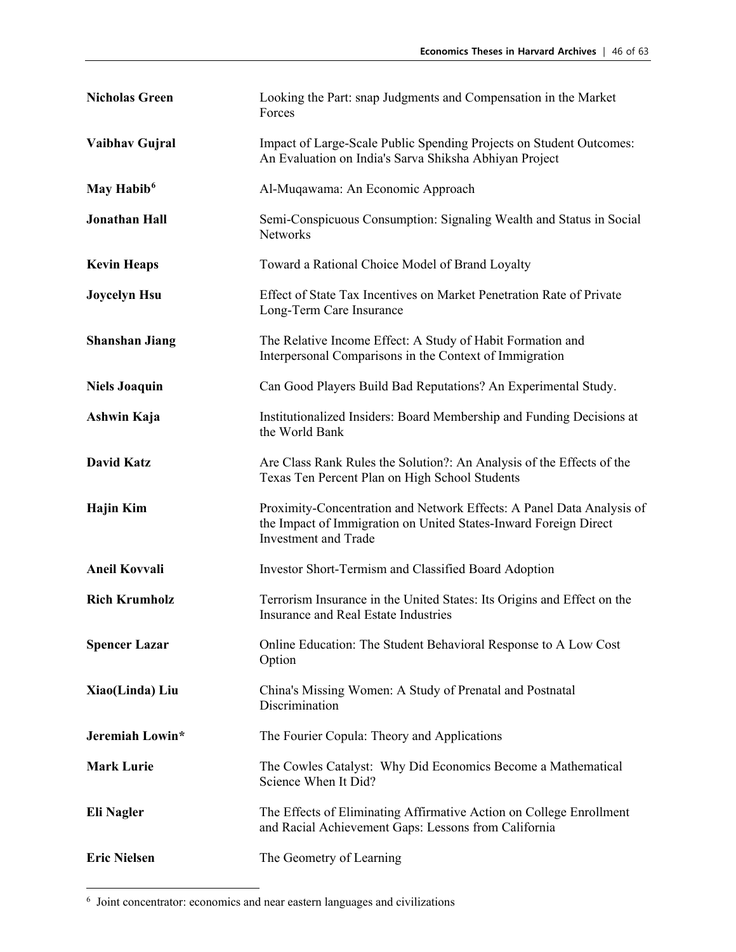| <b>Nicholas Green</b>  | Looking the Part: snap Judgments and Compensation in the Market<br>Forces                                                                                                |
|------------------------|--------------------------------------------------------------------------------------------------------------------------------------------------------------------------|
| Vaibhav Gujral         | Impact of Large-Scale Public Spending Projects on Student Outcomes:<br>An Evaluation on India's Sarva Shiksha Abhiyan Project                                            |
| May Habib <sup>6</sup> | Al-Muqawama: An Economic Approach                                                                                                                                        |
| <b>Jonathan Hall</b>   | Semi-Conspicuous Consumption: Signaling Wealth and Status in Social<br><b>Networks</b>                                                                                   |
| <b>Kevin Heaps</b>     | Toward a Rational Choice Model of Brand Loyalty                                                                                                                          |
| <b>Joycelyn Hsu</b>    | Effect of State Tax Incentives on Market Penetration Rate of Private<br>Long-Term Care Insurance                                                                         |
| <b>Shanshan Jiang</b>  | The Relative Income Effect: A Study of Habit Formation and<br>Interpersonal Comparisons in the Context of Immigration                                                    |
| <b>Niels Joaquin</b>   | Can Good Players Build Bad Reputations? An Experimental Study.                                                                                                           |
| Ashwin Kaja            | Institutionalized Insiders: Board Membership and Funding Decisions at<br>the World Bank                                                                                  |
| <b>David Katz</b>      | Are Class Rank Rules the Solution?: An Analysis of the Effects of the<br>Texas Ten Percent Plan on High School Students                                                  |
| <b>Hajin Kim</b>       | Proximity-Concentration and Network Effects: A Panel Data Analysis of<br>the Impact of Immigration on United States-Inward Foreign Direct<br><b>Investment</b> and Trade |
| <b>Aneil Kovvali</b>   | Investor Short-Termism and Classified Board Adoption                                                                                                                     |
| <b>Rich Krumholz</b>   | Terrorism Insurance in the United States: Its Origins and Effect on the<br>Insurance and Real Estate Industries                                                          |
| <b>Spencer Lazar</b>   | Online Education: The Student Behavioral Response to A Low Cost<br>Option                                                                                                |
| Xiao(Linda) Liu        | China's Missing Women: A Study of Prenatal and Postnatal<br>Discrimination                                                                                               |
| Jeremiah Lowin*        | The Fourier Copula: Theory and Applications                                                                                                                              |
| <b>Mark Lurie</b>      | The Cowles Catalyst: Why Did Economics Become a Mathematical<br>Science When It Did?                                                                                     |
| <b>Eli Nagler</b>      | The Effects of Eliminating Affirmative Action on College Enrollment<br>and Racial Achievement Gaps: Lessons from California                                              |
| <b>Eric Nielsen</b>    | The Geometry of Learning                                                                                                                                                 |

<span id="page-45-0"></span><sup>6</sup> Joint concentrator: economics and near eastern languages and civilizations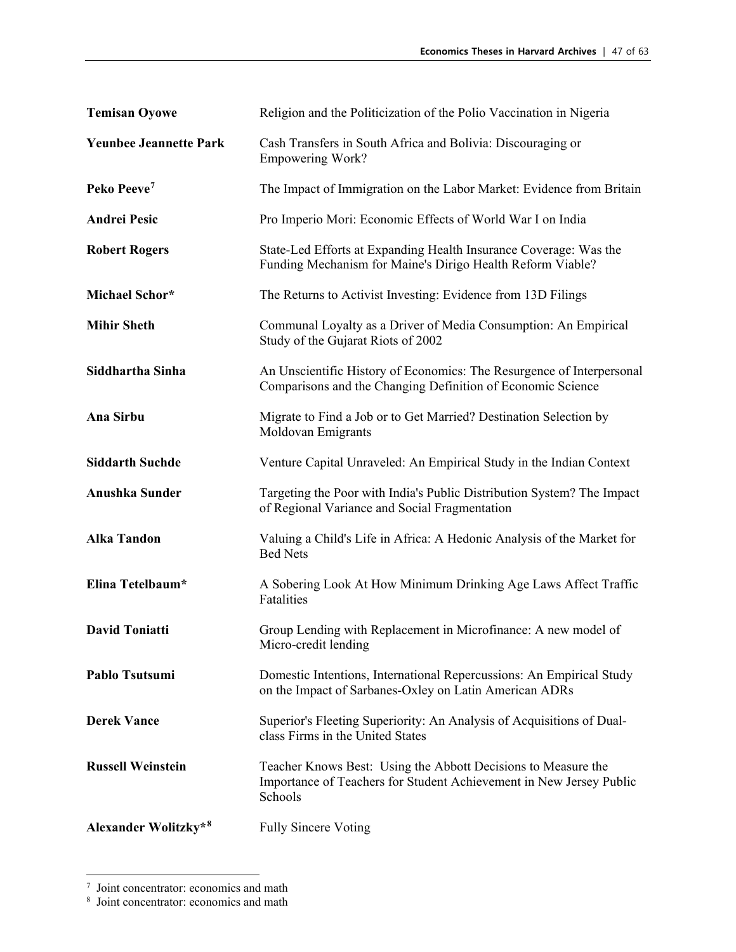| <b>Temisan Oyowe</b>          | Religion and the Politicization of the Polio Vaccination in Nigeria                                                                             |
|-------------------------------|-------------------------------------------------------------------------------------------------------------------------------------------------|
| <b>Yeunbee Jeannette Park</b> | Cash Transfers in South Africa and Bolivia: Discouraging or<br><b>Empowering Work?</b>                                                          |
| Peko Peeve <sup>7</sup>       | The Impact of Immigration on the Labor Market: Evidence from Britain                                                                            |
| <b>Andrei Pesic</b>           | Pro Imperio Mori: Economic Effects of World War I on India                                                                                      |
| <b>Robert Rogers</b>          | State-Led Efforts at Expanding Health Insurance Coverage: Was the<br>Funding Mechanism for Maine's Dirigo Health Reform Viable?                 |
| Michael Schor*                | The Returns to Activist Investing: Evidence from 13D Filings                                                                                    |
| <b>Mihir Sheth</b>            | Communal Loyalty as a Driver of Media Consumption: An Empirical<br>Study of the Gujarat Riots of 2002                                           |
| Siddhartha Sinha              | An Unscientific History of Economics: The Resurgence of Interpersonal<br>Comparisons and the Changing Definition of Economic Science            |
| Ana Sirbu                     | Migrate to Find a Job or to Get Married? Destination Selection by<br>Moldovan Emigrants                                                         |
| <b>Siddarth Suchde</b>        | Venture Capital Unraveled: An Empirical Study in the Indian Context                                                                             |
| <b>Anushka Sunder</b>         | Targeting the Poor with India's Public Distribution System? The Impact<br>of Regional Variance and Social Fragmentation                         |
| <b>Alka Tandon</b>            | Valuing a Child's Life in Africa: A Hedonic Analysis of the Market for<br><b>Bed Nets</b>                                                       |
| Elina Tetelbaum*              | A Sobering Look At How Minimum Drinking Age Laws Affect Traffic<br>Fatalities                                                                   |
| <b>David Toniatti</b>         | Group Lending with Replacement in Microfinance: A new model of<br>Micro-credit lending                                                          |
| Pablo Tsutsumi                | Domestic Intentions, International Repercussions: An Empirical Study<br>on the Impact of Sarbanes-Oxley on Latin American ADRs                  |
| <b>Derek Vance</b>            | Superior's Fleeting Superiority: An Analysis of Acquisitions of Dual-<br>class Firms in the United States                                       |
| <b>Russell Weinstein</b>      | Teacher Knows Best: Using the Abbott Decisions to Measure the<br>Importance of Teachers for Student Achievement in New Jersey Public<br>Schools |
| Alexander Wolitzky*8          | <b>Fully Sincere Voting</b>                                                                                                                     |

<span id="page-46-0"></span> $\frac{7}{8}$  Joint concentrator: economics and math  $\frac{8}{8}$  Joint concentrator: economics and math

<span id="page-46-1"></span>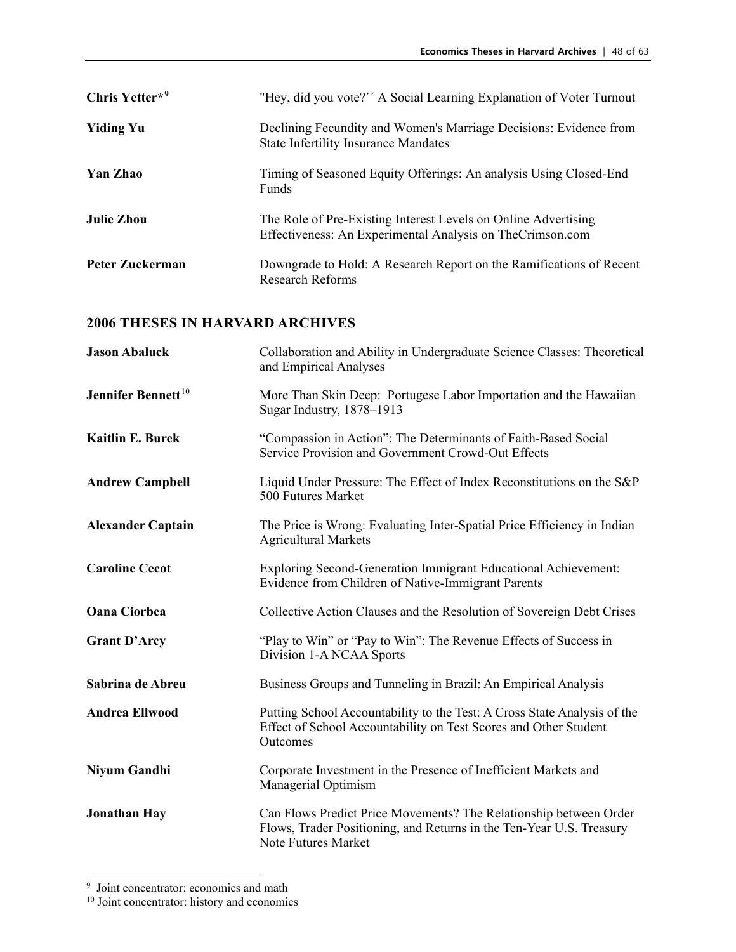| Chris Yetter* <sup>9</sup> | "Hey, did you vote?" A Social Learning Explanation of Voter Turnout                                                         |
|----------------------------|-----------------------------------------------------------------------------------------------------------------------------|
| <b>Yiding Yu</b>           | Declining Fecundity and Women's Marriage Decisions: Evidence from<br><b>State Infertility Insurance Mandates</b>            |
| Yan Zhao                   | Timing of Seasoned Equity Offerings: An analysis Using Closed-End<br><b>Funds</b>                                           |
| <b>Julie Zhou</b>          | The Role of Pre-Existing Interest Levels on Online Advertising<br>Effectiveness: An Experimental Analysis on TheCrimson.com |
| Peter Zuckerman            | Downgrade to Hold: A Research Report on the Ramifications of Recent<br>Research Reforms                                     |

| <b>Jason Abaluck</b>           | Collaboration and Ability in Undergraduate Science Classes: Theoretical<br>and Empirical Analyses                                                                |
|--------------------------------|------------------------------------------------------------------------------------------------------------------------------------------------------------------|
| Jennifer Bennett <sup>10</sup> | More Than Skin Deep: Portugese Labor Importation and the Hawaiian<br>Sugar Industry, 1878-1913                                                                   |
| <b>Kaitlin E. Burek</b>        | "Compassion in Action": The Determinants of Faith-Based Social<br>Service Provision and Government Crowd-Out Effects                                             |
| <b>Andrew Campbell</b>         | Liquid Under Pressure: The Effect of Index Reconstitutions on the S&P<br>500 Futures Market                                                                      |
| <b>Alexander Captain</b>       | The Price is Wrong: Evaluating Inter-Spatial Price Efficiency in Indian<br><b>Agricultural Markets</b>                                                           |
| <b>Caroline Cecot</b>          | Exploring Second-Generation Immigrant Educational Achievement:<br>Evidence from Children of Native-Immigrant Parents                                             |
| <b>Oana Ciorbea</b>            | Collective Action Clauses and the Resolution of Sovereign Debt Crises                                                                                            |
| <b>Grant D'Arcy</b>            | "Play to Win" or "Pay to Win": The Revenue Effects of Success in<br>Division 1-A NCAA Sports                                                                     |
| Sabrina de Abreu               | Business Groups and Tunneling in Brazil: An Empirical Analysis                                                                                                   |
| <b>Andrea Ellwood</b>          | Putting School Accountability to the Test: A Cross State Analysis of the<br>Effect of School Accountability on Test Scores and Other Student<br>Outcomes         |
| <b>Niyum Gandhi</b>            | Corporate Investment in the Presence of Inefficient Markets and<br>Managerial Optimism                                                                           |
| <b>Jonathan Hay</b>            | Can Flows Predict Price Movements? The Relationship between Order<br>Flows, Trader Positioning, and Returns in the Ten-Year U.S. Treasury<br>Note Futures Market |

<span id="page-47-0"></span><sup>&</sup>lt;sup>9</sup> Joint concentrator: economics and math

<span id="page-47-1"></span><sup>&</sup>lt;sup>10</sup> Joint concentrator: history and economics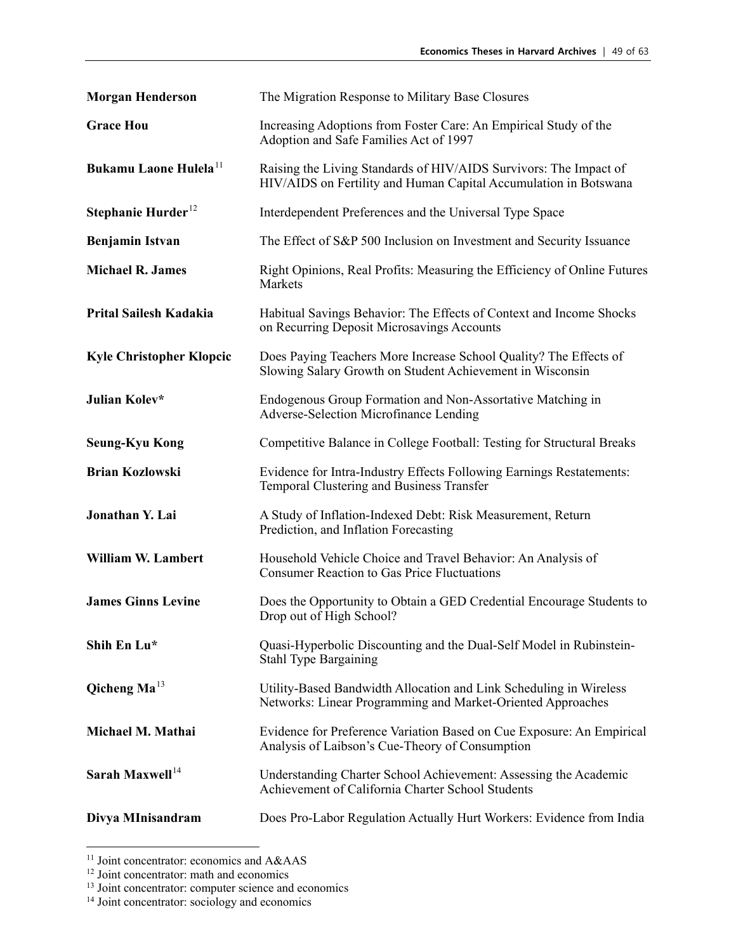| <b>Morgan Henderson</b>              | The Migration Response to Military Base Closures                                                                                      |
|--------------------------------------|---------------------------------------------------------------------------------------------------------------------------------------|
| <b>Grace Hou</b>                     | Increasing Adoptions from Foster Care: An Empirical Study of the<br>Adoption and Safe Families Act of 1997                            |
| Bukamu Laone Hulela <sup>11</sup>    | Raising the Living Standards of HIV/AIDS Survivors: The Impact of<br>HIV/AIDS on Fertility and Human Capital Accumulation in Botswana |
| Stephanie Hurder <sup>12</sup>       | Interdependent Preferences and the Universal Type Space                                                                               |
| <b>Benjamin Istvan</b>               | The Effect of S&P 500 Inclusion on Investment and Security Issuance                                                                   |
| <b>Michael R. James</b>              | Right Opinions, Real Profits: Measuring the Efficiency of Online Futures<br>Markets                                                   |
| Prital Sailesh Kadakia               | Habitual Savings Behavior: The Effects of Context and Income Shocks<br>on Recurring Deposit Microsavings Accounts                     |
| <b>Kyle Christopher Klopcic</b>      | Does Paying Teachers More Increase School Quality? The Effects of<br>Slowing Salary Growth on Student Achievement in Wisconsin        |
| Julian Kolev*                        | Endogenous Group Formation and Non-Assortative Matching in<br>Adverse-Selection Microfinance Lending                                  |
| <b>Seung-Kyu Kong</b>                | Competitive Balance in College Football: Testing for Structural Breaks                                                                |
| <b>Brian Kozlowski</b>               | Evidence for Intra-Industry Effects Following Earnings Restatements:<br>Temporal Clustering and Business Transfer                     |
| Jonathan Y. Lai                      | A Study of Inflation-Indexed Debt: Risk Measurement, Return<br>Prediction, and Inflation Forecasting                                  |
| <b>William W. Lambert</b>            | Household Vehicle Choice and Travel Behavior: An Analysis of<br><b>Consumer Reaction to Gas Price Fluctuations</b>                    |
| <b>James Ginns Levine</b>            | Does the Opportunity to Obtain a GED Credential Encourage Students to<br>Drop out of High School?                                     |
| Shih En Lu*                          | Quasi-Hyperbolic Discounting and the Dual-Self Model in Rubinstein-<br><b>Stahl Type Bargaining</b>                                   |
| Qicheng $\mathbf{M} \mathbf{a}^{13}$ | Utility-Based Bandwidth Allocation and Link Scheduling in Wireless<br>Networks: Linear Programming and Market-Oriented Approaches     |
| Michael M. Mathai                    | Evidence for Preference Variation Based on Cue Exposure: An Empirical<br>Analysis of Laibson's Cue-Theory of Consumption              |
| Sarah Maxwell <sup>14</sup>          | Understanding Charter School Achievement: Assessing the Academic<br>Achievement of California Charter School Students                 |
| Divya MInisandram                    | Does Pro-Labor Regulation Actually Hurt Workers: Evidence from India                                                                  |

<span id="page-48-0"></span><sup>&</sup>lt;sup>11</sup> Joint concentrator: economics and A&AAS

<span id="page-48-1"></span><sup>&</sup>lt;sup>12</sup> Joint concentrator: math and economics

<span id="page-48-2"></span><sup>&</sup>lt;sup>13</sup> Joint concentrator: computer science and economics  $14$  Joint concentrator: sociology and economics

<span id="page-48-3"></span>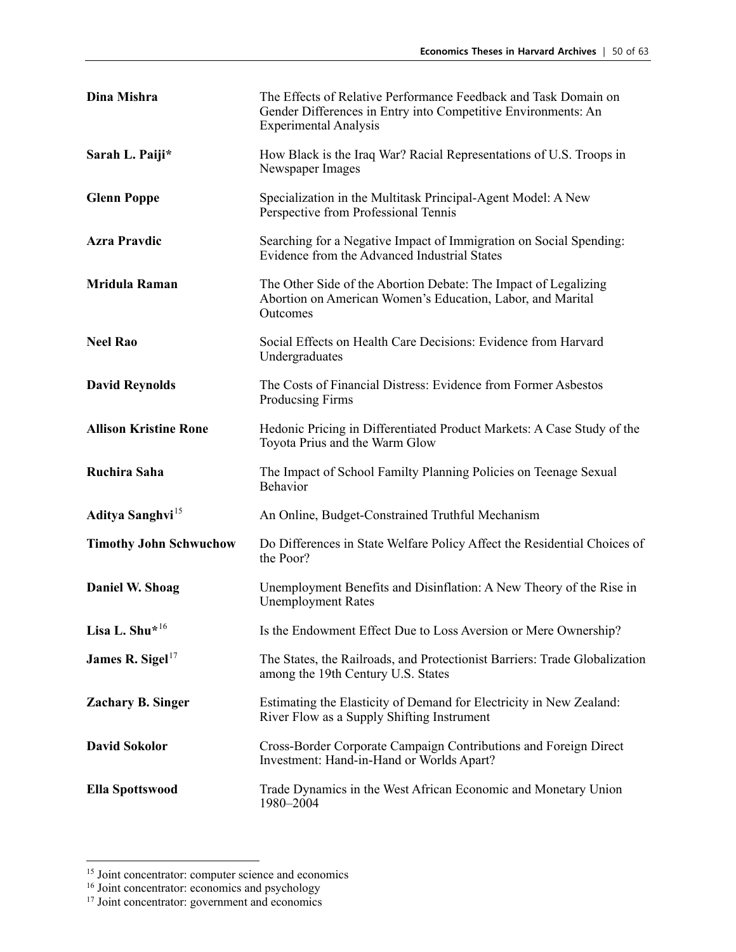| Dina Mishra                   | The Effects of Relative Performance Feedback and Task Domain on<br>Gender Differences in Entry into Competitive Environments: An<br><b>Experimental Analysis</b> |
|-------------------------------|------------------------------------------------------------------------------------------------------------------------------------------------------------------|
| Sarah L. Paiji*               | How Black is the Iraq War? Racial Representations of U.S. Troops in<br>Newspaper Images                                                                          |
| <b>Glenn Poppe</b>            | Specialization in the Multitask Principal-Agent Model: A New<br>Perspective from Professional Tennis                                                             |
| <b>Azra Pravdic</b>           | Searching for a Negative Impact of Immigration on Social Spending:<br>Evidence from the Advanced Industrial States                                               |
| <b>Mridula Raman</b>          | The Other Side of the Abortion Debate: The Impact of Legalizing<br>Abortion on American Women's Education, Labor, and Marital<br>Outcomes                        |
| <b>Neel Rao</b>               | Social Effects on Health Care Decisions: Evidence from Harvard<br>Undergraduates                                                                                 |
| <b>David Reynolds</b>         | The Costs of Financial Distress: Evidence from Former Asbestos<br>Producsing Firms                                                                               |
| <b>Allison Kristine Rone</b>  | Hedonic Pricing in Differentiated Product Markets: A Case Study of the<br>Toyota Prius and the Warm Glow                                                         |
| Ruchira Saha                  | The Impact of School Familty Planning Policies on Teenage Sexual<br>Behavior                                                                                     |
| Aditya Sanghvi <sup>15</sup>  | An Online, Budget-Constrained Truthful Mechanism                                                                                                                 |
| <b>Timothy John Schwuchow</b> | Do Differences in State Welfare Policy Affect the Residential Choices of<br>the Poor?                                                                            |
| Daniel W. Shoag               | Unemployment Benefits and Disinflation: A New Theory of the Rise in<br><b>Unemployment Rates</b>                                                                 |
| Lisa L. Shu* <sup>16</sup>    | Is the Endowment Effect Due to Loss Aversion or Mere Ownership?                                                                                                  |
| James R. Sigel $^{17}$        | The States, the Railroads, and Protectionist Barriers: Trade Globalization<br>among the 19th Century U.S. States                                                 |
| <b>Zachary B. Singer</b>      | Estimating the Elasticity of Demand for Electricity in New Zealand:<br>River Flow as a Supply Shifting Instrument                                                |
| <b>David Sokolor</b>          | Cross-Border Corporate Campaign Contributions and Foreign Direct<br>Investment: Hand-in-Hand or Worlds Apart?                                                    |
| <b>Ella Spottswood</b>        | Trade Dynamics in the West African Economic and Monetary Union<br>1980-2004                                                                                      |

<span id="page-49-0"></span><sup>&</sup>lt;sup>15</sup> Joint concentrator: computer science and economics

<span id="page-49-1"></span><sup>&</sup>lt;sup>16</sup> Joint concentrator: economics and psychology

<span id="page-49-2"></span><sup>&</sup>lt;sup>17</sup> Joint concentrator: government and economics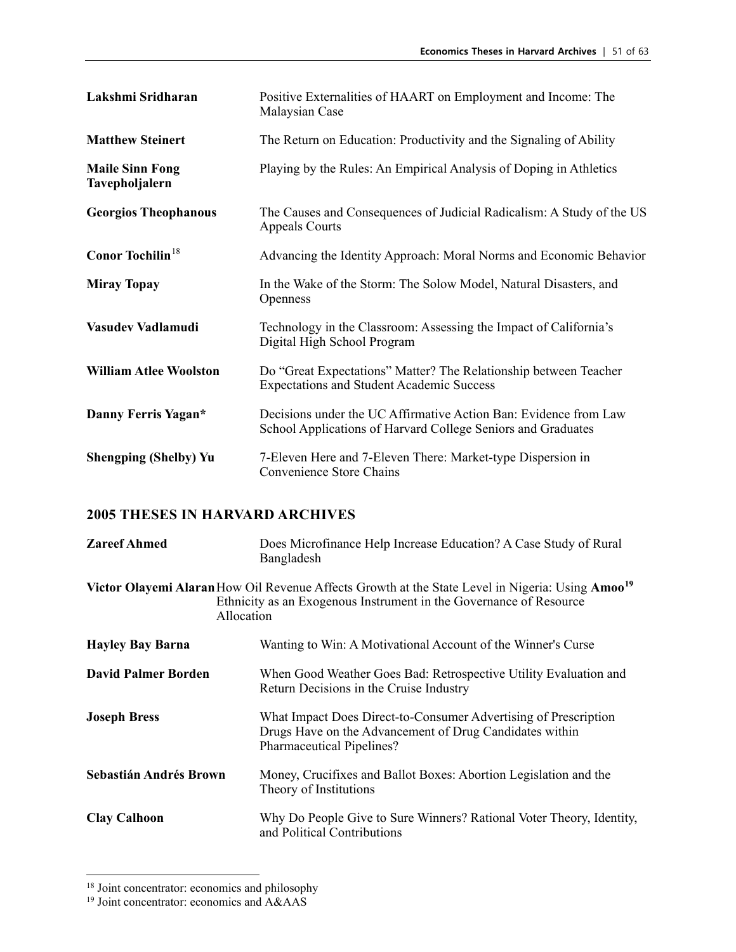| Lakshmi Sridharan                        | Positive Externalities of HAART on Employment and Income: The<br>Malaysian Case                                                  |
|------------------------------------------|----------------------------------------------------------------------------------------------------------------------------------|
| <b>Matthew Steinert</b>                  | The Return on Education: Productivity and the Signaling of Ability                                                               |
| <b>Maile Sinn Fong</b><br>Tavepholjalern | Playing by the Rules: An Empirical Analysis of Doping in Athletics                                                               |
| <b>Georgios Theophanous</b>              | The Causes and Consequences of Judicial Radicalism: A Study of the US<br><b>Appeals Courts</b>                                   |
| Conor Tochilin <sup>18</sup>             | Advancing the Identity Approach: Moral Norms and Economic Behavior                                                               |
| <b>Miray Topay</b>                       | In the Wake of the Storm: The Solow Model, Natural Disasters, and<br>Openness                                                    |
| Vasudev Vadlamudi                        | Technology in the Classroom: Assessing the Impact of California's<br>Digital High School Program                                 |
| <b>William Atlee Woolston</b>            | Do "Great Expectations" Matter? The Relationship between Teacher<br><b>Expectations and Student Academic Success</b>             |
| Danny Ferris Yagan*                      | Decisions under the UC Affirmative Action Ban: Evidence from Law<br>School Applications of Harvard College Seniors and Graduates |
| <b>Shengping (Shelby) Yu</b>             | 7-Eleven Here and 7-Eleven There: Market-type Dispersion in<br>Convenience Store Chains                                          |

| <b>Zareef Ahmed</b>                                                                                                                                                                              | Does Microfinance Help Increase Education? A Case Study of Rural<br>Bangladesh                                                                          |
|--------------------------------------------------------------------------------------------------------------------------------------------------------------------------------------------------|---------------------------------------------------------------------------------------------------------------------------------------------------------|
| Victor Olayemi Alaran How Oil Revenue Affects Growth at the State Level in Nigeria: Using Amoo <sup>19</sup><br>Ethnicity as an Exogenous Instrument in the Governance of Resource<br>Allocation |                                                                                                                                                         |
| <b>Hayley Bay Barna</b>                                                                                                                                                                          | Wanting to Win: A Motivational Account of the Winner's Curse                                                                                            |
| <b>David Palmer Borden</b>                                                                                                                                                                       | When Good Weather Goes Bad: Retrospective Utility Evaluation and<br>Return Decisions in the Cruise Industry                                             |
| <b>Joseph Bress</b>                                                                                                                                                                              | What Impact Does Direct-to-Consumer Advertising of Prescription<br>Drugs Have on the Advancement of Drug Candidates within<br>Pharmaceutical Pipelines? |
| Sebastián Andrés Brown                                                                                                                                                                           | Money, Crucifixes and Ballot Boxes: Abortion Legislation and the<br>Theory of Institutions                                                              |
| <b>Clay Calhoon</b>                                                                                                                                                                              | Why Do People Give to Sure Winners? Rational Voter Theory, Identity,<br>and Political Contributions                                                     |

<span id="page-50-0"></span><sup>&</sup>lt;sup>18</sup> Joint concentrator: economics and philosophy

<span id="page-50-1"></span><sup>&</sup>lt;sup>19</sup> Joint concentrator: economics and A&AAS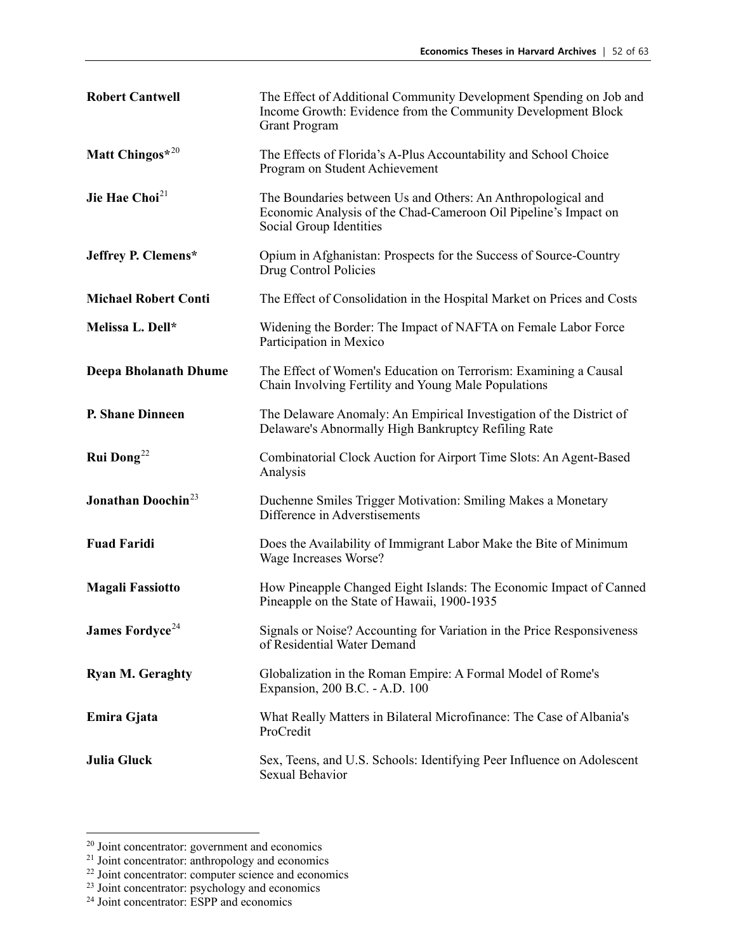| <b>Robert Cantwell</b>         | The Effect of Additional Community Development Spending on Job and<br>Income Growth: Evidence from the Community Development Block<br><b>Grant Program</b> |
|--------------------------------|------------------------------------------------------------------------------------------------------------------------------------------------------------|
| Matt Chingos*20                | The Effects of Florida's A-Plus Accountability and School Choice<br>Program on Student Achievement                                                         |
| Jie Hae Choi <sup>21</sup>     | The Boundaries between Us and Others: An Anthropological and<br>Economic Analysis of the Chad-Cameroon Oil Pipeline's Impact on<br>Social Group Identities |
| Jeffrey P. Clemens*            | Opium in Afghanistan: Prospects for the Success of Source-Country<br>Drug Control Policies                                                                 |
| <b>Michael Robert Conti</b>    | The Effect of Consolidation in the Hospital Market on Prices and Costs                                                                                     |
| Melissa L. Dell*               | Widening the Border: The Impact of NAFTA on Female Labor Force<br>Participation in Mexico                                                                  |
| <b>Deepa Bholanath Dhume</b>   | The Effect of Women's Education on Terrorism: Examining a Causal<br>Chain Involving Fertility and Young Male Populations                                   |
| <b>P. Shane Dinneen</b>        | The Delaware Anomaly: An Empirical Investigation of the District of<br>Delaware's Abnormally High Bankruptcy Refiling Rate                                 |
| <b>Rui Dong</b> <sup>22</sup>  | Combinatorial Clock Auction for Airport Time Slots: An Agent-Based<br>Analysis                                                                             |
| Jonathan Doochin <sup>23</sup> | Duchenne Smiles Trigger Motivation: Smiling Makes a Monetary<br>Difference in Adverstisements                                                              |
| <b>Fuad Faridi</b>             | Does the Availability of Immigrant Labor Make the Bite of Minimum<br>Wage Increases Worse?                                                                 |
| <b>Magali Fassiotto</b>        | How Pineapple Changed Eight Islands: The Economic Impact of Canned<br>Pineapple on the State of Hawaii, 1900-1935                                          |
| James Fordyce <sup>24</sup>    | Signals or Noise? Accounting for Variation in the Price Responsiveness<br>of Residential Water Demand                                                      |
| <b>Ryan M. Geraghty</b>        | Globalization in the Roman Empire: A Formal Model of Rome's<br>Expansion, 200 B.C. - A.D. 100                                                              |
| Emira Gjata                    | What Really Matters in Bilateral Microfinance: The Case of Albania's<br>ProCredit                                                                          |
| <b>Julia Gluck</b>             | Sex, Teens, and U.S. Schools: Identifying Peer Influence on Adolescent<br>Sexual Behavior                                                                  |

<span id="page-51-0"></span>

<span id="page-51-2"></span><span id="page-51-1"></span>

<sup>&</sup>lt;sup>20</sup> Joint concentrator: government and economics<br><sup>21</sup> Joint concentrator: anthropology and economics<br><sup>22</sup> Joint concentrator: computer science and economics

<span id="page-51-3"></span><sup>&</sup>lt;sup>23</sup> Joint concentrator: psychology and economics

<span id="page-51-4"></span><sup>&</sup>lt;sup>24</sup> Joint concentrator: ESPP and economics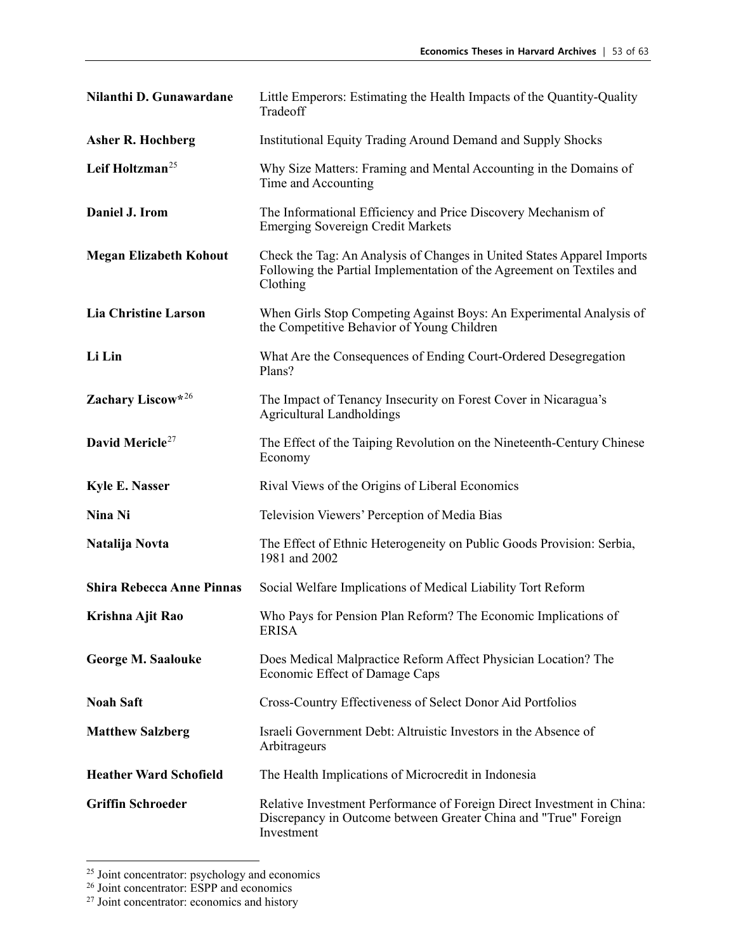| Nilanthi D. Gunawardane          | Little Emperors: Estimating the Health Impacts of the Quantity-Quality<br>Tradeoff                                                                          |
|----------------------------------|-------------------------------------------------------------------------------------------------------------------------------------------------------------|
| <b>Asher R. Hochberg</b>         | Institutional Equity Trading Around Demand and Supply Shocks                                                                                                |
| Leif Holtzman <sup>25</sup>      | Why Size Matters: Framing and Mental Accounting in the Domains of<br>Time and Accounting                                                                    |
| Daniel J. Irom                   | The Informational Efficiency and Price Discovery Mechanism of<br><b>Emerging Sovereign Credit Markets</b>                                                   |
| <b>Megan Elizabeth Kohout</b>    | Check the Tag: An Analysis of Changes in United States Apparel Imports<br>Following the Partial Implementation of the Agreement on Textiles and<br>Clothing |
| <b>Lia Christine Larson</b>      | When Girls Stop Competing Against Boys: An Experimental Analysis of<br>the Competitive Behavior of Young Children                                           |
| Li Lin                           | What Are the Consequences of Ending Court-Ordered Desegregation<br>Plans?                                                                                   |
| Zachary Liscow*26                | The Impact of Tenancy Insecurity on Forest Cover in Nicaragua's<br><b>Agricultural Landholdings</b>                                                         |
| David Mericle <sup>27</sup>      | The Effect of the Taiping Revolution on the Nineteenth-Century Chinese<br>Economy                                                                           |
| <b>Kyle E. Nasser</b>            | Rival Views of the Origins of Liberal Economics                                                                                                             |
| Nina Ni                          | Television Viewers' Perception of Media Bias                                                                                                                |
| Natalija Novta                   | The Effect of Ethnic Heterogeneity on Public Goods Provision: Serbia,<br>1981 and 2002                                                                      |
| <b>Shira Rebecca Anne Pinnas</b> | Social Welfare Implications of Medical Liability Tort Reform                                                                                                |
| Krishna Ajit Rao                 | Who Pays for Pension Plan Reform? The Economic Implications of<br>ERISA                                                                                     |
| <b>George M. Saalouke</b>        | Does Medical Malpractice Reform Affect Physician Location? The<br>Economic Effect of Damage Caps                                                            |
| <b>Noah Saft</b>                 | Cross-Country Effectiveness of Select Donor Aid Portfolios                                                                                                  |
| <b>Matthew Salzberg</b>          | Israeli Government Debt: Altruistic Investors in the Absence of<br>Arbitrageurs                                                                             |
| <b>Heather Ward Schofield</b>    | The Health Implications of Microcredit in Indonesia                                                                                                         |
| <b>Griffin Schroeder</b>         | Relative Investment Performance of Foreign Direct Investment in China:<br>Discrepancy in Outcome between Greater China and "True" Foreign<br>Investment     |

<span id="page-52-1"></span><span id="page-52-0"></span> $\frac{25}{26}$  Joint concentrator: psychology and economics  $\frac{26}{27}$  Joint concentrator: economics and history

<span id="page-52-2"></span>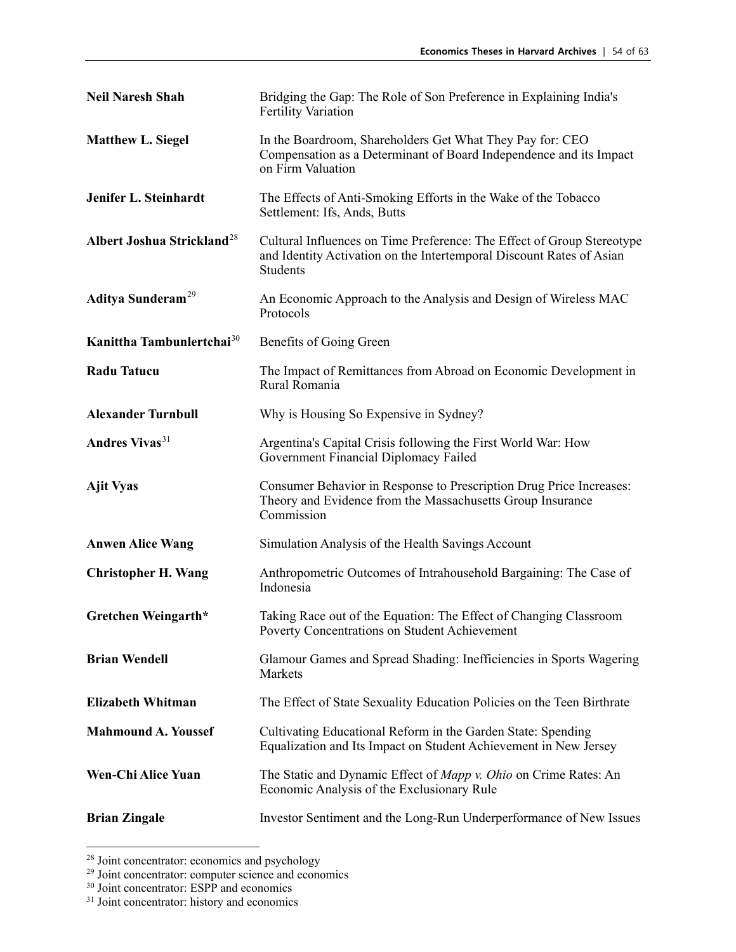| <b>Neil Naresh Shah</b>                | Bridging the Gap: The Role of Son Preference in Explaining India's<br><b>Fertility Variation</b>                                                           |
|----------------------------------------|------------------------------------------------------------------------------------------------------------------------------------------------------------|
| <b>Matthew L. Siegel</b>               | In the Boardroom, Shareholders Get What They Pay for: CEO<br>Compensation as a Determinant of Board Independence and its Impact<br>on Firm Valuation       |
| Jenifer L. Steinhardt                  | The Effects of Anti-Smoking Efforts in the Wake of the Tobacco<br>Settlement: Ifs, Ands, Butts                                                             |
| Albert Joshua Strickland <sup>28</sup> | Cultural Influences on Time Preference: The Effect of Group Stereotype<br>and Identity Activation on the Intertemporal Discount Rates of Asian<br>Students |
| Aditya Sunderam <sup>29</sup>          | An Economic Approach to the Analysis and Design of Wireless MAC<br>Protocols                                                                               |
| Kanittha Tambunlertchai <sup>30</sup>  | Benefits of Going Green                                                                                                                                    |
| <b>Radu Tatucu</b>                     | The Impact of Remittances from Abroad on Economic Development in<br>Rural Romania                                                                          |
| <b>Alexander Turnbull</b>              | Why is Housing So Expensive in Sydney?                                                                                                                     |
| Andres Vivas <sup>31</sup>             | Argentina's Capital Crisis following the First World War: How<br>Government Financial Diplomacy Failed                                                     |
| <b>Ajit Vyas</b>                       | Consumer Behavior in Response to Prescription Drug Price Increases:<br>Theory and Evidence from the Massachusetts Group Insurance<br>Commission            |
| <b>Anwen Alice Wang</b>                | Simulation Analysis of the Health Savings Account                                                                                                          |
| <b>Christopher H. Wang</b>             | Anthropometric Outcomes of Intrahousehold Bargaining: The Case of<br>Indonesia                                                                             |
| Gretchen Weingarth*                    | Taking Race out of the Equation: The Effect of Changing Classroom<br>Poverty Concentrations on Student Achievement                                         |
| <b>Brian Wendell</b>                   | Glamour Games and Spread Shading: Inefficiencies in Sports Wagering<br>Markets                                                                             |
| <b>Elizabeth Whitman</b>               | The Effect of State Sexuality Education Policies on the Teen Birthrate                                                                                     |
| <b>Mahmound A. Youssef</b>             | Cultivating Educational Reform in the Garden State: Spending<br>Equalization and Its Impact on Student Achievement in New Jersey                           |
| <b>Wen-Chi Alice Yuan</b>              | The Static and Dynamic Effect of <i>Mapp v. Ohio</i> on Crime Rates: An<br>Economic Analysis of the Exclusionary Rule                                      |
| <b>Brian Zingale</b>                   | Investor Sentiment and the Long-Run Underperformance of New Issues                                                                                         |

<span id="page-53-0"></span><sup>&</sup>lt;sup>28</sup> Joint concentrator: economics and psychology

<span id="page-53-1"></span><sup>&</sup>lt;sup>29</sup> Joint concentrator: computer science and economics

<span id="page-53-2"></span><sup>&</sup>lt;sup>30</sup> Joint concentrator: ESPP and economics

<span id="page-53-3"></span><sup>&</sup>lt;sup>31</sup> Joint concentrator: history and economics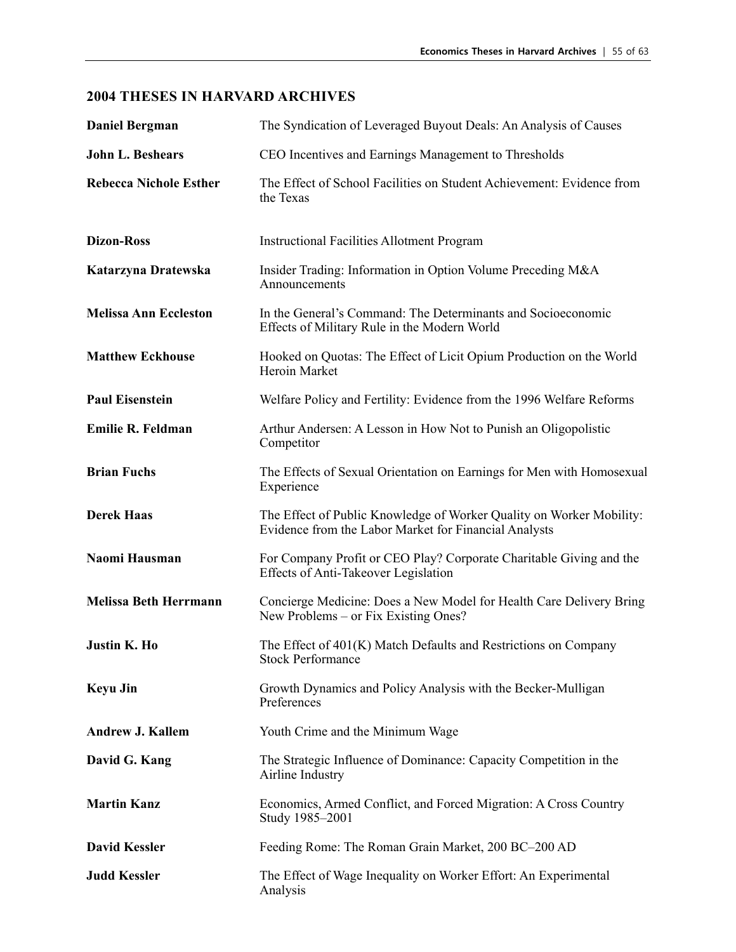| <b>Daniel Bergman</b>         | The Syndication of Leveraged Buyout Deals: An Analysis of Causes                                                              |
|-------------------------------|-------------------------------------------------------------------------------------------------------------------------------|
| <b>John L. Beshears</b>       | CEO Incentives and Earnings Management to Thresholds                                                                          |
| <b>Rebecca Nichole Esther</b> | The Effect of School Facilities on Student Achievement: Evidence from<br>the Texas                                            |
| <b>Dizon-Ross</b>             | <b>Instructional Facilities Allotment Program</b>                                                                             |
| Katarzyna Dratewska           | Insider Trading: Information in Option Volume Preceding M&A<br>Announcements                                                  |
| <b>Melissa Ann Eccleston</b>  | In the General's Command: The Determinants and Socioeconomic<br>Effects of Military Rule in the Modern World                  |
| <b>Matthew Eckhouse</b>       | Hooked on Quotas: The Effect of Licit Opium Production on the World<br>Heroin Market                                          |
| <b>Paul Eisenstein</b>        | Welfare Policy and Fertility: Evidence from the 1996 Welfare Reforms                                                          |
| <b>Emilie R. Feldman</b>      | Arthur Andersen: A Lesson in How Not to Punish an Oligopolistic<br>Competitor                                                 |
| <b>Brian Fuchs</b>            | The Effects of Sexual Orientation on Earnings for Men with Homosexual<br>Experience                                           |
| <b>Derek Haas</b>             | The Effect of Public Knowledge of Worker Quality on Worker Mobility:<br>Evidence from the Labor Market for Financial Analysts |
| Naomi Hausman                 | For Company Profit or CEO Play? Corporate Charitable Giving and the<br>Effects of Anti-Takeover Legislation                   |
| <b>Melissa Beth Herrmann</b>  | Concierge Medicine: Does a New Model for Health Care Delivery Bring<br>New Problems – or Fix Existing Ones?                   |
| <b>Justin K. Ho</b>           | The Effect of 401(K) Match Defaults and Restrictions on Company<br><b>Stock Performance</b>                                   |
| <b>Keyu Jin</b>               | Growth Dynamics and Policy Analysis with the Becker-Mulligan<br>Preferences                                                   |
| <b>Andrew J. Kallem</b>       | Youth Crime and the Minimum Wage                                                                                              |
| David G. Kang                 | The Strategic Influence of Dominance: Capacity Competition in the<br>Airline Industry                                         |
| <b>Martin Kanz</b>            | Economics, Armed Conflict, and Forced Migration: A Cross Country<br>Study 1985-2001                                           |
| <b>David Kessler</b>          | Feeding Rome: The Roman Grain Market, 200 BC-200 AD                                                                           |
| <b>Judd Kessler</b>           | The Effect of Wage Inequality on Worker Effort: An Experimental<br>Analysis                                                   |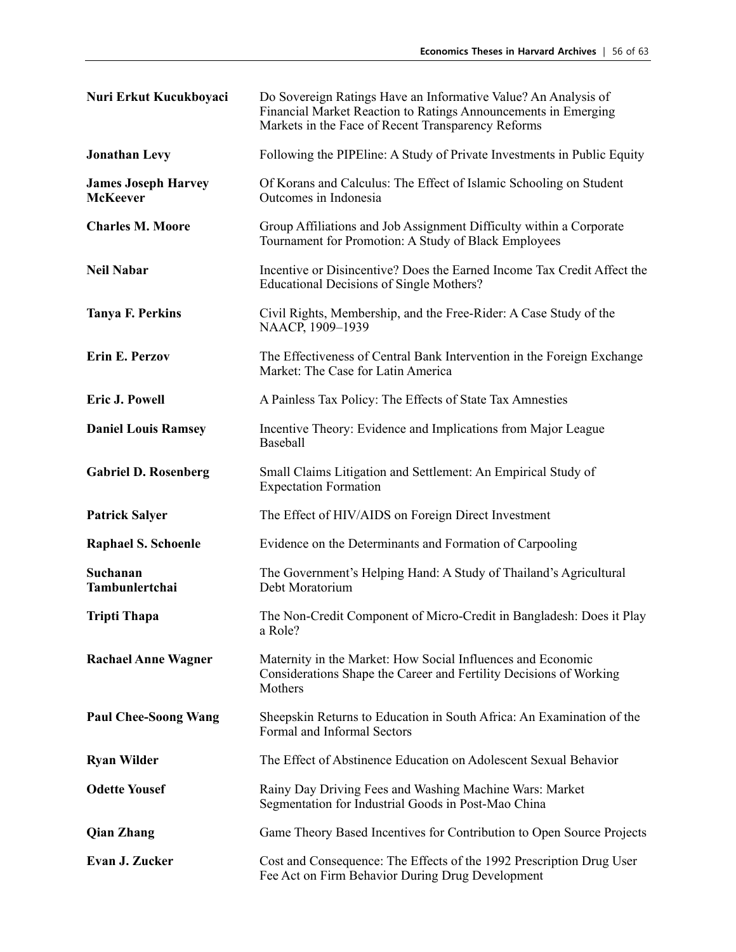| Nuri Erkut Kucukboyaci                        | Do Sovereign Ratings Have an Informative Value? An Analysis of<br>Financial Market Reaction to Ratings Announcements in Emerging<br>Markets in the Face of Recent Transparency Reforms |
|-----------------------------------------------|----------------------------------------------------------------------------------------------------------------------------------------------------------------------------------------|
| <b>Jonathan Levy</b>                          | Following the PIPE line: A Study of Private Investments in Public Equity                                                                                                               |
| <b>James Joseph Harvey</b><br><b>McKeever</b> | Of Korans and Calculus: The Effect of Islamic Schooling on Student<br>Outcomes in Indonesia                                                                                            |
| <b>Charles M. Moore</b>                       | Group Affiliations and Job Assignment Difficulty within a Corporate<br>Tournament for Promotion: A Study of Black Employees                                                            |
| <b>Neil Nabar</b>                             | Incentive or Disincentive? Does the Earned Income Tax Credit Affect the<br><b>Educational Decisions of Single Mothers?</b>                                                             |
| <b>Tanya F. Perkins</b>                       | Civil Rights, Membership, and the Free-Rider: A Case Study of the<br>NAACP, 1909-1939                                                                                                  |
| Erin E. Perzov                                | The Effectiveness of Central Bank Intervention in the Foreign Exchange<br>Market: The Case for Latin America                                                                           |
| <b>Eric J. Powell</b>                         | A Painless Tax Policy: The Effects of State Tax Amnesties                                                                                                                              |
| <b>Daniel Louis Ramsey</b>                    | Incentive Theory: Evidence and Implications from Major League<br>Baseball                                                                                                              |
| <b>Gabriel D. Rosenberg</b>                   | Small Claims Litigation and Settlement: An Empirical Study of<br><b>Expectation Formation</b>                                                                                          |
| <b>Patrick Salyer</b>                         | The Effect of HIV/AIDS on Foreign Direct Investment                                                                                                                                    |
| <b>Raphael S. Schoenle</b>                    | Evidence on the Determinants and Formation of Carpooling                                                                                                                               |
| Suchanan<br>Tambunlertchai                    | The Government's Helping Hand: A Study of Thailand's Agricultural<br>Debt Moratorium                                                                                                   |
| <b>Tripti Thapa</b>                           | The Non-Credit Component of Micro-Credit in Bangladesh: Does it Play<br>a Role?                                                                                                        |
| <b>Rachael Anne Wagner</b>                    | Maternity in the Market: How Social Influences and Economic<br>Considerations Shape the Career and Fertility Decisions of Working<br>Mothers                                           |
| <b>Paul Chee-Soong Wang</b>                   | Sheepskin Returns to Education in South Africa: An Examination of the<br>Formal and Informal Sectors                                                                                   |
| <b>Ryan Wilder</b>                            | The Effect of Abstinence Education on Adolescent Sexual Behavior                                                                                                                       |
| <b>Odette Yousef</b>                          | Rainy Day Driving Fees and Washing Machine Wars: Market<br>Segmentation for Industrial Goods in Post-Mao China                                                                         |
| <b>Qian Zhang</b>                             | Game Theory Based Incentives for Contribution to Open Source Projects                                                                                                                  |
| Evan J. Zucker                                | Cost and Consequence: The Effects of the 1992 Prescription Drug User<br>Fee Act on Firm Behavior During Drug Development                                                               |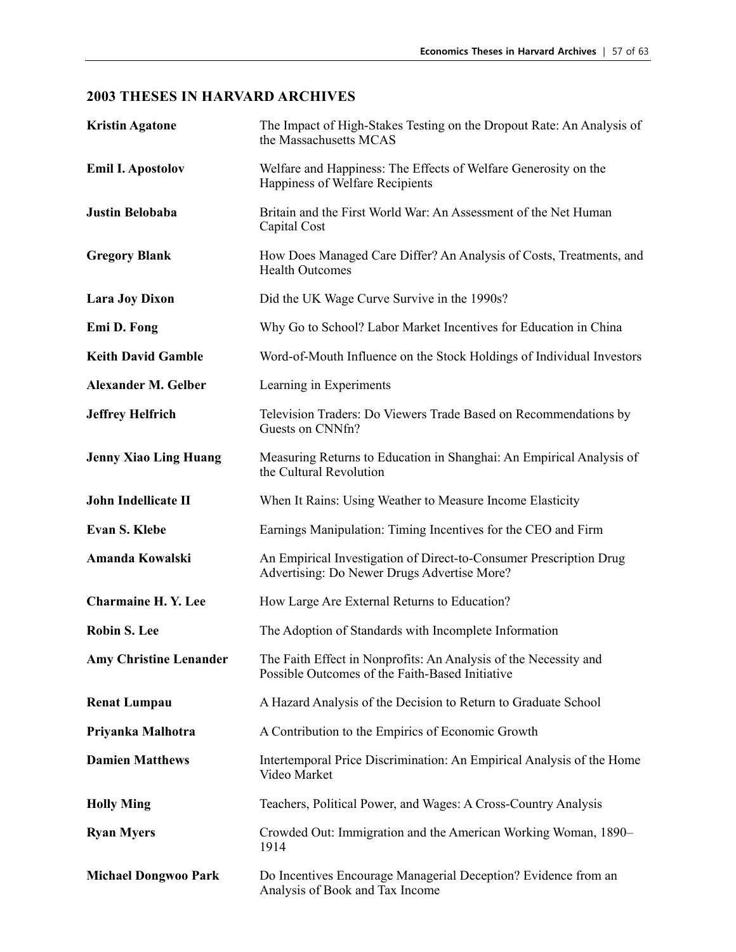| <b>Kristin Agatone</b>        | The Impact of High-Stakes Testing on the Dropout Rate: An Analysis of<br>the Massachusetts MCAS                     |
|-------------------------------|---------------------------------------------------------------------------------------------------------------------|
| <b>Emil I. Apostolov</b>      | Welfare and Happiness: The Effects of Welfare Generosity on the<br>Happiness of Welfare Recipients                  |
| <b>Justin Belobaba</b>        | Britain and the First World War: An Assessment of the Net Human<br>Capital Cost                                     |
| <b>Gregory Blank</b>          | How Does Managed Care Differ? An Analysis of Costs, Treatments, and<br><b>Health Outcomes</b>                       |
| <b>Lara Joy Dixon</b>         | Did the UK Wage Curve Survive in the 1990s?                                                                         |
| Emi D. Fong                   | Why Go to School? Labor Market Incentives for Education in China                                                    |
| <b>Keith David Gamble</b>     | Word-of-Mouth Influence on the Stock Holdings of Individual Investors                                               |
| <b>Alexander M. Gelber</b>    | Learning in Experiments                                                                                             |
| <b>Jeffrey Helfrich</b>       | Television Traders: Do Viewers Trade Based on Recommendations by<br>Guests on CNNfn?                                |
| <b>Jenny Xiao Ling Huang</b>  | Measuring Returns to Education in Shanghai: An Empirical Analysis of<br>the Cultural Revolution                     |
| <b>John Indellicate II</b>    | When It Rains: Using Weather to Measure Income Elasticity                                                           |
| <b>Evan S. Klebe</b>          | Earnings Manipulation: Timing Incentives for the CEO and Firm                                                       |
| Amanda Kowalski               | An Empirical Investigation of Direct-to-Consumer Prescription Drug<br>Advertising: Do Newer Drugs Advertise More?   |
| <b>Charmaine H. Y. Lee</b>    | How Large Are External Returns to Education?                                                                        |
| <b>Robin S. Lee</b>           | The Adoption of Standards with Incomplete Information                                                               |
| <b>Amy Christine Lenander</b> | The Faith Effect in Nonprofits: An Analysis of the Necessity and<br>Possible Outcomes of the Faith-Based Initiative |
| <b>Renat Lumpau</b>           | A Hazard Analysis of the Decision to Return to Graduate School                                                      |
| Priyanka Malhotra             | A Contribution to the Empirics of Economic Growth                                                                   |
| <b>Damien Matthews</b>        | Intertemporal Price Discrimination: An Empirical Analysis of the Home<br>Video Market                               |
| <b>Holly Ming</b>             | Teachers, Political Power, and Wages: A Cross-Country Analysis                                                      |
| <b>Ryan Myers</b>             | Crowded Out: Immigration and the American Working Woman, 1890-<br>1914                                              |
| <b>Michael Dongwoo Park</b>   | Do Incentives Encourage Managerial Deception? Evidence from an<br>Analysis of Book and Tax Income                   |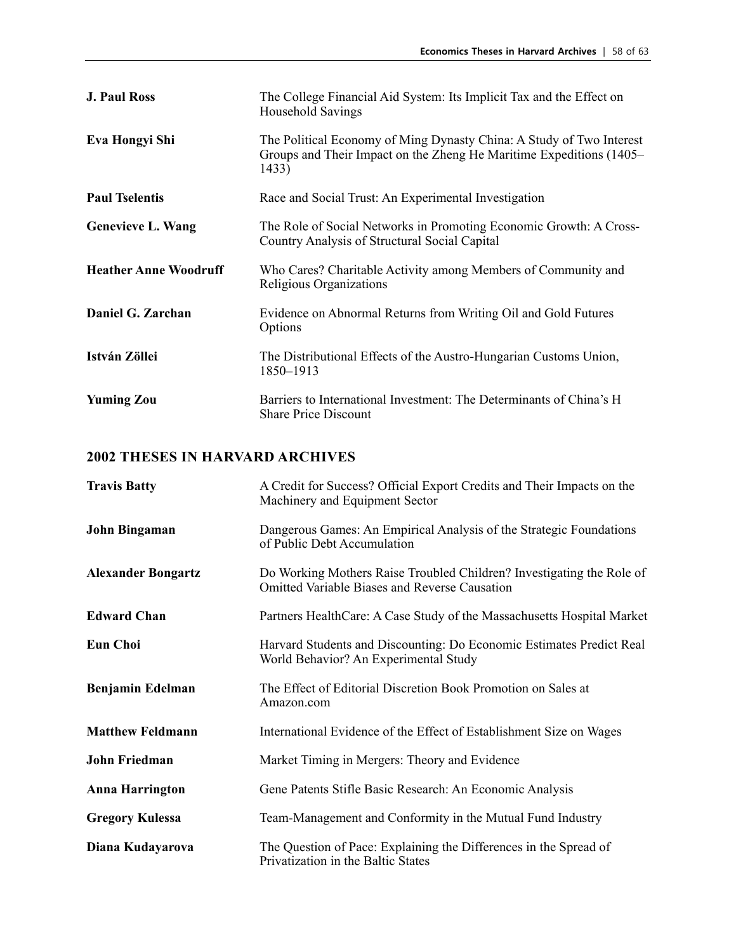| <b>J. Paul Ross</b>          | The College Financial Aid System: Its Implicit Tax and the Effect on<br>Household Savings                                                            |
|------------------------------|------------------------------------------------------------------------------------------------------------------------------------------------------|
| Eva Hongyi Shi               | The Political Economy of Ming Dynasty China: A Study of Two Interest<br>Groups and Their Impact on the Zheng He Maritime Expeditions (1405–<br>1433) |
| <b>Paul Tselentis</b>        | Race and Social Trust: An Experimental Investigation                                                                                                 |
| <b>Genevieve L. Wang</b>     | The Role of Social Networks in Promoting Economic Growth: A Cross-<br>Country Analysis of Structural Social Capital                                  |
| <b>Heather Anne Woodruff</b> | Who Cares? Charitable Activity among Members of Community and<br>Religious Organizations                                                             |
| Daniel G. Zarchan            | Evidence on Abnormal Returns from Writing Oil and Gold Futures<br>Options                                                                            |
| István Zöllei                | The Distributional Effects of the Austro-Hungarian Customs Union,<br>1850-1913                                                                       |
| <b>Yuming Zou</b>            | Barriers to International Investment: The Determinants of China's H<br><b>Share Price Discount</b>                                                   |

| <b>Travis Batty</b>       | A Credit for Success? Official Export Credits and Their Impacts on the<br>Machinery and Equipment Sector                      |
|---------------------------|-------------------------------------------------------------------------------------------------------------------------------|
| John Bingaman             | Dangerous Games: An Empirical Analysis of the Strategic Foundations<br>of Public Debt Accumulation                            |
| <b>Alexander Bongartz</b> | Do Working Mothers Raise Troubled Children? Investigating the Role of<br><b>Omitted Variable Biases and Reverse Causation</b> |
| <b>Edward Chan</b>        | Partners HealthCare: A Case Study of the Massachusetts Hospital Market                                                        |
| <b>Eun Choi</b>           | Harvard Students and Discounting: Do Economic Estimates Predict Real<br>World Behavior? An Experimental Study                 |
| <b>Benjamin Edelman</b>   | The Effect of Editorial Discretion Book Promotion on Sales at<br>Amazon.com                                                   |
| <b>Matthew Feldmann</b>   | International Evidence of the Effect of Establishment Size on Wages                                                           |
| John Friedman             | Market Timing in Mergers: Theory and Evidence                                                                                 |
| <b>Anna Harrington</b>    | Gene Patents Stifle Basic Research: An Economic Analysis                                                                      |
| <b>Gregory Kulessa</b>    | Team-Management and Conformity in the Mutual Fund Industry                                                                    |
| Diana Kudayarova          | The Question of Pace: Explaining the Differences in the Spread of<br>Privatization in the Baltic States                       |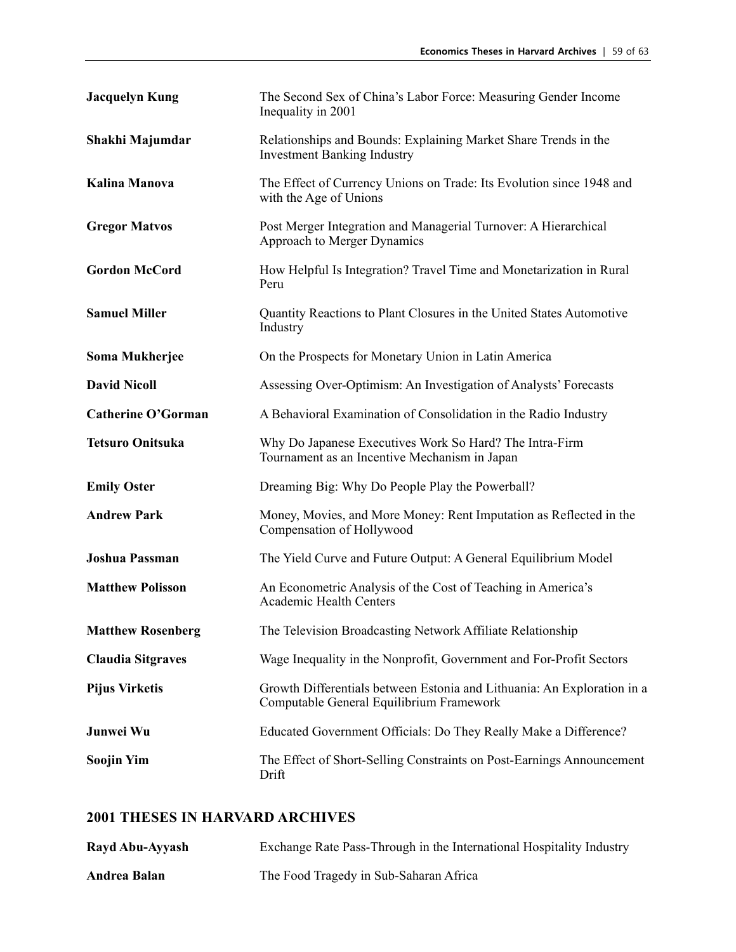| <b>Jacquelyn Kung</b>     | The Second Sex of China's Labor Force: Measuring Gender Income<br>Inequality in 2001                                |
|---------------------------|---------------------------------------------------------------------------------------------------------------------|
| Shakhi Majumdar           | Relationships and Bounds: Explaining Market Share Trends in the<br><b>Investment Banking Industry</b>               |
| Kalina Manova             | The Effect of Currency Unions on Trade: Its Evolution since 1948 and<br>with the Age of Unions                      |
| <b>Gregor Matvos</b>      | Post Merger Integration and Managerial Turnover: A Hierarchical<br>Approach to Merger Dynamics                      |
| <b>Gordon McCord</b>      | How Helpful Is Integration? Travel Time and Monetarization in Rural<br>Peru                                         |
| <b>Samuel Miller</b>      | Quantity Reactions to Plant Closures in the United States Automotive<br>Industry                                    |
| Soma Mukherjee            | On the Prospects for Monetary Union in Latin America                                                                |
| <b>David Nicoll</b>       | Assessing Over-Optimism: An Investigation of Analysts' Forecasts                                                    |
| <b>Catherine O'Gorman</b> | A Behavioral Examination of Consolidation in the Radio Industry                                                     |
| <b>Tetsuro Onitsuka</b>   | Why Do Japanese Executives Work So Hard? The Intra-Firm<br>Tournament as an Incentive Mechanism in Japan            |
| <b>Emily Oster</b>        | Dreaming Big: Why Do People Play the Powerball?                                                                     |
| <b>Andrew Park</b>        | Money, Movies, and More Money: Rent Imputation as Reflected in the<br>Compensation of Hollywood                     |
| <b>Joshua Passman</b>     | The Yield Curve and Future Output: A General Equilibrium Model                                                      |
| <b>Matthew Polisson</b>   | An Econometric Analysis of the Cost of Teaching in America's<br><b>Academic Health Centers</b>                      |
| <b>Matthew Rosenberg</b>  | The Television Broadcasting Network Affiliate Relationship                                                          |
| <b>Claudia Sitgraves</b>  | Wage Inequality in the Nonprofit, Government and For-Profit Sectors                                                 |
| <b>Pijus Virketis</b>     | Growth Differentials between Estonia and Lithuania: An Exploration in a<br>Computable General Equilibrium Framework |
| Junwei Wu                 | Educated Government Officials: Do They Really Make a Difference?                                                    |
| <b>Soojin Yim</b>         | The Effect of Short-Selling Constraints on Post-Earnings Announcement<br>Drift                                      |

| Rayd Abu-Ayyash | Exchange Rate Pass-Through in the International Hospitality Industry |
|-----------------|----------------------------------------------------------------------|
| Andrea Balan    | The Food Tragedy in Sub-Saharan Africa                               |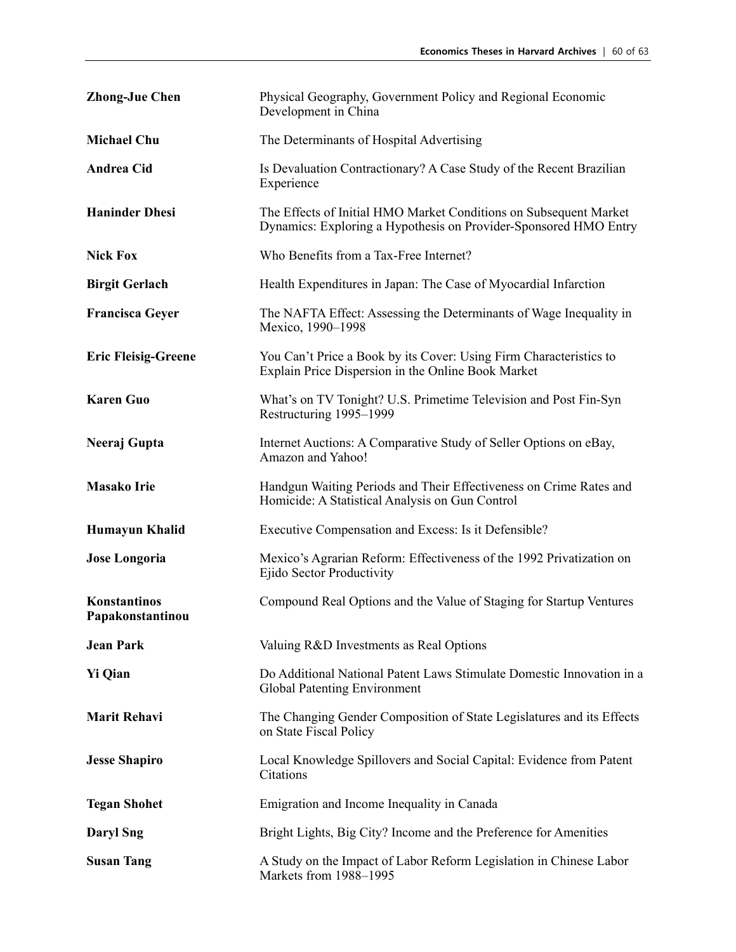| <b>Zhong-Jue Chen</b>            | Physical Geography, Government Policy and Regional Economic<br>Development in China                                                   |
|----------------------------------|---------------------------------------------------------------------------------------------------------------------------------------|
| <b>Michael Chu</b>               | The Determinants of Hospital Advertising                                                                                              |
| <b>Andrea Cid</b>                | Is Devaluation Contractionary? A Case Study of the Recent Brazilian<br>Experience                                                     |
| <b>Haninder Dhesi</b>            | The Effects of Initial HMO Market Conditions on Subsequent Market<br>Dynamics: Exploring a Hypothesis on Provider-Sponsored HMO Entry |
| <b>Nick Fox</b>                  | Who Benefits from a Tax-Free Internet?                                                                                                |
| <b>Birgit Gerlach</b>            | Health Expenditures in Japan: The Case of Myocardial Infarction                                                                       |
| <b>Francisca Geyer</b>           | The NAFTA Effect: Assessing the Determinants of Wage Inequality in<br>Mexico, 1990-1998                                               |
| <b>Eric Fleisig-Greene</b>       | You Can't Price a Book by its Cover: Using Firm Characteristics to<br>Explain Price Dispersion in the Online Book Market              |
| <b>Karen Guo</b>                 | What's on TV Tonight? U.S. Primetime Television and Post Fin-Syn<br>Restructuring 1995-1999                                           |
| Neeraj Gupta                     | Internet Auctions: A Comparative Study of Seller Options on eBay,<br>Amazon and Yahoo!                                                |
| <b>Masako Irie</b>               | Handgun Waiting Periods and Their Effectiveness on Crime Rates and<br>Homicide: A Statistical Analysis on Gun Control                 |
| Humayun Khalid                   | Executive Compensation and Excess: Is it Defensible?                                                                                  |
| <b>Jose Longoria</b>             | Mexico's Agrarian Reform: Effectiveness of the 1992 Privatization on<br>Ejido Sector Productivity                                     |
| Konstantinos<br>Papakonstantinou | Compound Real Options and the Value of Staging for Startup Ventures                                                                   |
| <b>Jean Park</b>                 | Valuing R&D Investments as Real Options                                                                                               |
| <b>Yi Qian</b>                   | Do Additional National Patent Laws Stimulate Domestic Innovation in a<br><b>Global Patenting Environment</b>                          |
| <b>Marit Rehavi</b>              | The Changing Gender Composition of State Legislatures and its Effects<br>on State Fiscal Policy                                       |
| <b>Jesse Shapiro</b>             | Local Knowledge Spillovers and Social Capital: Evidence from Patent<br>Citations                                                      |
| <b>Tegan Shohet</b>              | Emigration and Income Inequality in Canada                                                                                            |
| <b>Daryl Sng</b>                 | Bright Lights, Big City? Income and the Preference for Amenities                                                                      |
| <b>Susan Tang</b>                | A Study on the Impact of Labor Reform Legislation in Chinese Labor<br>Markets from 1988-1995                                          |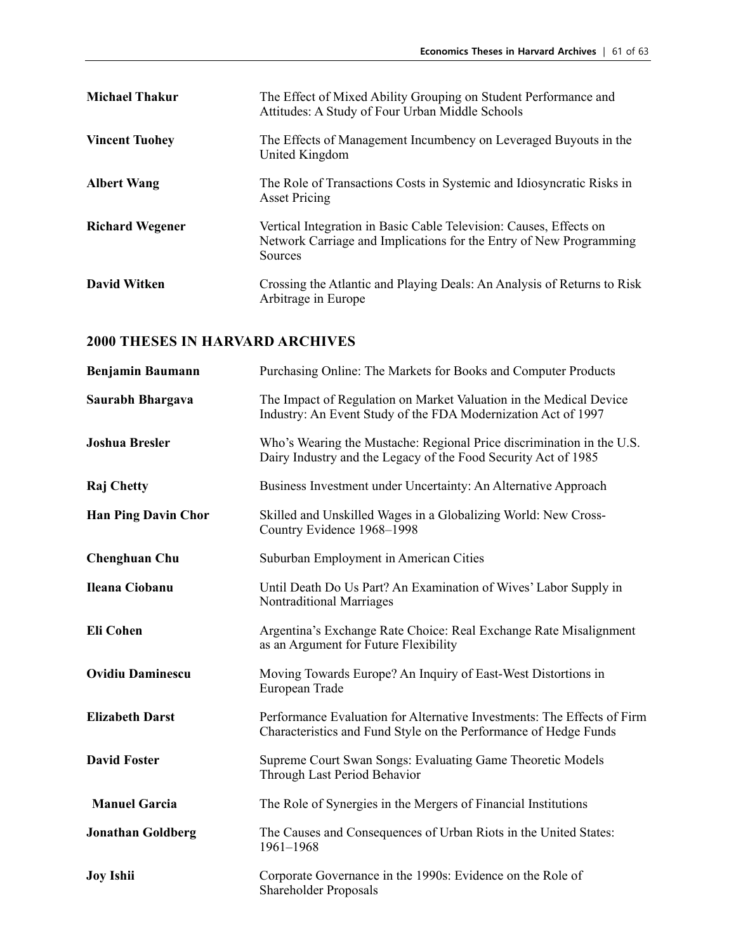| <b>Michael Thakur</b>  | The Effect of Mixed Ability Grouping on Student Performance and<br>Attitudes: A Study of Four Urban Middle Schools                                  |
|------------------------|-----------------------------------------------------------------------------------------------------------------------------------------------------|
| <b>Vincent Tuohey</b>  | The Effects of Management Incumbency on Leveraged Buyouts in the<br>United Kingdom                                                                  |
| <b>Albert Wang</b>     | The Role of Transactions Costs in Systemic and Idiosyncratic Risks in<br><b>Asset Pricing</b>                                                       |
| <b>Richard Wegener</b> | Vertical Integration in Basic Cable Television: Causes, Effects on<br>Network Carriage and Implications for the Entry of New Programming<br>Sources |
| <b>David Witken</b>    | Crossing the Atlantic and Playing Deals: An Analysis of Returns to Risk<br>Arbitrage in Europe                                                      |

| <b>Benjamin Baumann</b>    | Purchasing Online: The Markets for Books and Computer Products                                                                              |
|----------------------------|---------------------------------------------------------------------------------------------------------------------------------------------|
| Saurabh Bhargava           | The Impact of Regulation on Market Valuation in the Medical Device<br>Industry: An Event Study of the FDA Modernization Act of 1997         |
| <b>Joshua Bresler</b>      | Who's Wearing the Mustache: Regional Price discrimination in the U.S.<br>Dairy Industry and the Legacy of the Food Security Act of 1985     |
| <b>Raj Chetty</b>          | Business Investment under Uncertainty: An Alternative Approach                                                                              |
| <b>Han Ping Davin Chor</b> | Skilled and Unskilled Wages in a Globalizing World: New Cross-<br>Country Evidence 1968-1998                                                |
| <b>Chenghuan Chu</b>       | Suburban Employment in American Cities                                                                                                      |
| <b>Ileana Ciobanu</b>      | Until Death Do Us Part? An Examination of Wives' Labor Supply in<br><b>Nontraditional Marriages</b>                                         |
| <b>Eli Cohen</b>           | Argentina's Exchange Rate Choice: Real Exchange Rate Misalignment<br>as an Argument for Future Flexibility                                  |
| <b>Ovidiu Daminescu</b>    | Moving Towards Europe? An Inquiry of East-West Distortions in<br>European Trade                                                             |
| <b>Elizabeth Darst</b>     | Performance Evaluation for Alternative Investments: The Effects of Firm<br>Characteristics and Fund Style on the Performance of Hedge Funds |
| <b>David Foster</b>        | Supreme Court Swan Songs: Evaluating Game Theoretic Models<br>Through Last Period Behavior                                                  |
| <b>Manuel Garcia</b>       | The Role of Synergies in the Mergers of Financial Institutions                                                                              |
| <b>Jonathan Goldberg</b>   | The Causes and Consequences of Urban Riots in the United States:<br>1961-1968                                                               |
| <b>Joy Ishii</b>           | Corporate Governance in the 1990s: Evidence on the Role of<br>Shareholder Proposals                                                         |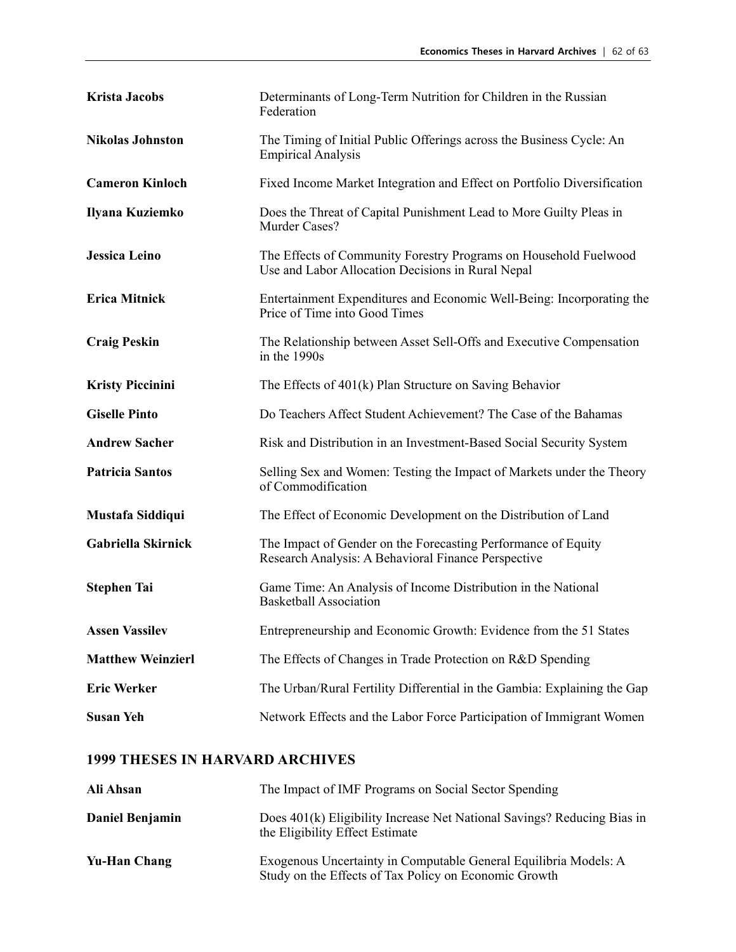| <b>Krista Jacobs</b>     | Determinants of Long-Term Nutrition for Children in the Russian<br>Federation                                         |
|--------------------------|-----------------------------------------------------------------------------------------------------------------------|
| <b>Nikolas Johnston</b>  | The Timing of Initial Public Offerings across the Business Cycle: An<br><b>Empirical Analysis</b>                     |
| <b>Cameron Kinloch</b>   | Fixed Income Market Integration and Effect on Portfolio Diversification                                               |
| Ilyana Kuziemko          | Does the Threat of Capital Punishment Lead to More Guilty Pleas in<br>Murder Cases?                                   |
| Jessica Leino            | The Effects of Community Forestry Programs on Household Fuelwood<br>Use and Labor Allocation Decisions in Rural Nepal |
| <b>Erica Mitnick</b>     | Entertainment Expenditures and Economic Well-Being: Incorporating the<br>Price of Time into Good Times                |
| <b>Craig Peskin</b>      | The Relationship between Asset Sell-Offs and Executive Compensation<br>in the 1990s                                   |
| <b>Kristy Piccinini</b>  | The Effects of 401(k) Plan Structure on Saving Behavior                                                               |
| <b>Giselle Pinto</b>     | Do Teachers Affect Student Achievement? The Case of the Bahamas                                                       |
| <b>Andrew Sacher</b>     | Risk and Distribution in an Investment-Based Social Security System                                                   |
| <b>Patricia Santos</b>   | Selling Sex and Women: Testing the Impact of Markets under the Theory<br>of Commodification                           |
| Mustafa Siddiqui         | The Effect of Economic Development on the Distribution of Land                                                        |
| Gabriella Skirnick       | The Impact of Gender on the Forecasting Performance of Equity<br>Research Analysis: A Behavioral Finance Perspective  |
| <b>Stephen Tai</b>       | Game Time: An Analysis of Income Distribution in the National<br><b>Basketball Association</b>                        |
| <b>Assen Vassilev</b>    | Entrepreneurship and Economic Growth: Evidence from the 51 States                                                     |
| <b>Matthew Weinzierl</b> | The Effects of Changes in Trade Protection on R&D Spending                                                            |
| <b>Eric Werker</b>       | The Urban/Rural Fertility Differential in the Gambia: Explaining the Gap                                              |
| <b>Susan Yeh</b>         | Network Effects and the Labor Force Participation of Immigrant Women                                                  |

| Ali Ahsan       | The Impact of IMF Programs on Social Sector Spending                                                                      |
|-----------------|---------------------------------------------------------------------------------------------------------------------------|
| Daniel Benjamin | Does 401(k) Eligibility Increase Net National Savings? Reducing Bias in<br>the Eligibility Effect Estimate                |
| Yu-Han Chang    | Exogenous Uncertainty in Computable General Equilibria Models: A<br>Study on the Effects of Tax Policy on Economic Growth |